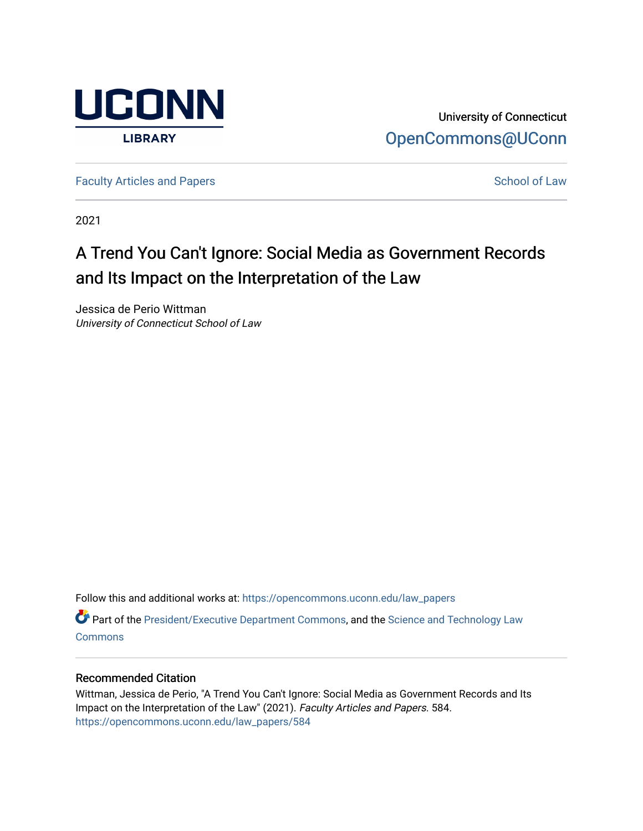

University of Connecticut [OpenCommons@UConn](https://opencommons.uconn.edu/) 

[Faculty Articles and Papers](https://opencommons.uconn.edu/law_papers) **School of Law** School of Law

2021

# A Trend You Can't Ignore: Social Media as Government Records and Its Impact on the Interpretation of the Law

Jessica de Perio Wittman University of Connecticut School of Law

Follow this and additional works at: [https://opencommons.uconn.edu/law\\_papers](https://opencommons.uconn.edu/law_papers?utm_source=opencommons.uconn.edu%2Flaw_papers%2F584&utm_medium=PDF&utm_campaign=PDFCoverPages) 

Part of the [President/Executive Department Commons,](https://network.bepress.com/hgg/discipline/1118?utm_source=opencommons.uconn.edu%2Flaw_papers%2F584&utm_medium=PDF&utm_campaign=PDFCoverPages) and the [Science and Technology Law](https://network.bepress.com/hgg/discipline/875?utm_source=opencommons.uconn.edu%2Flaw_papers%2F584&utm_medium=PDF&utm_campaign=PDFCoverPages) **[Commons](https://network.bepress.com/hgg/discipline/875?utm_source=opencommons.uconn.edu%2Flaw_papers%2F584&utm_medium=PDF&utm_campaign=PDFCoverPages)** 

# Recommended Citation

Wittman, Jessica de Perio, "A Trend You Can't Ignore: Social Media as Government Records and Its Impact on the Interpretation of the Law" (2021). Faculty Articles and Papers. 584. [https://opencommons.uconn.edu/law\\_papers/584](https://opencommons.uconn.edu/law_papers/584?utm_source=opencommons.uconn.edu%2Flaw_papers%2F584&utm_medium=PDF&utm_campaign=PDFCoverPages)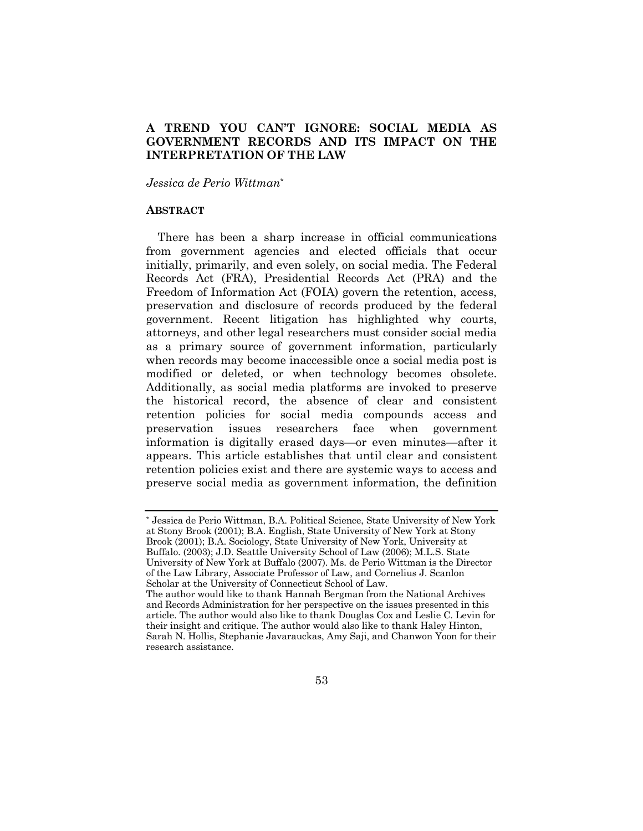# **A TREND YOU CAN'T IGNORE: SOCIAL MEDIA AS GOVERNMENT RECORDS AND ITS IMPACT ON THE INTERPRETATION OF THE LAW**

*Jessica de Perio Wittman*\*

#### **ABSTRACT**

There has been a sharp increase in official communications from government agencies and elected officials that occur initially, primarily, and even solely, on social media. The Federal Records Act (FRA), Presidential Records Act (PRA) and the Freedom of Information Act (FOIA) govern the retention, access, preservation and disclosure of records produced by the federal government. Recent litigation has highlighted why courts, attorneys, and other legal researchers must consider social media as a primary source of government information, particularly when records may become inaccessible once a social media post is modified or deleted, or when technology becomes obsolete. Additionally, as social media platforms are invoked to preserve the historical record, the absence of clear and consistent retention policies for social media compounds access and preservation issues researchers face when government information is digitally erased days—or even minutes—after it appears. This article establishes that until clear and consistent retention policies exist and there are systemic ways to access and preserve social media as government information, the definition

<sup>\*</sup> Jessica de Perio Wittman, B.A. Political Science, State University of New York at Stony Brook (2001); B.A. English, State University of New York at Stony Brook (2001); B.A. Sociology, State University of New York, University at Buffalo. (2003); J.D. Seattle University School of Law (2006); M.L.S. State University of New York at Buffalo (2007). Ms. de Perio Wittman is the Director of the Law Library, Associate Professor of Law, and Cornelius J. Scanlon Scholar at the University of Connecticut School of Law. The author would like to thank Hannah Bergman from the National Archives and Records Administration for her perspective on the issues presented in this article. The author would also like to thank Douglas Cox and Leslie C. Levin for their insight and critique. The author would also like to thank Haley Hinton,

Sarah N. Hollis, Stephanie Javarauckas, Amy Saji, and Chanwon Yoon for their research assistance.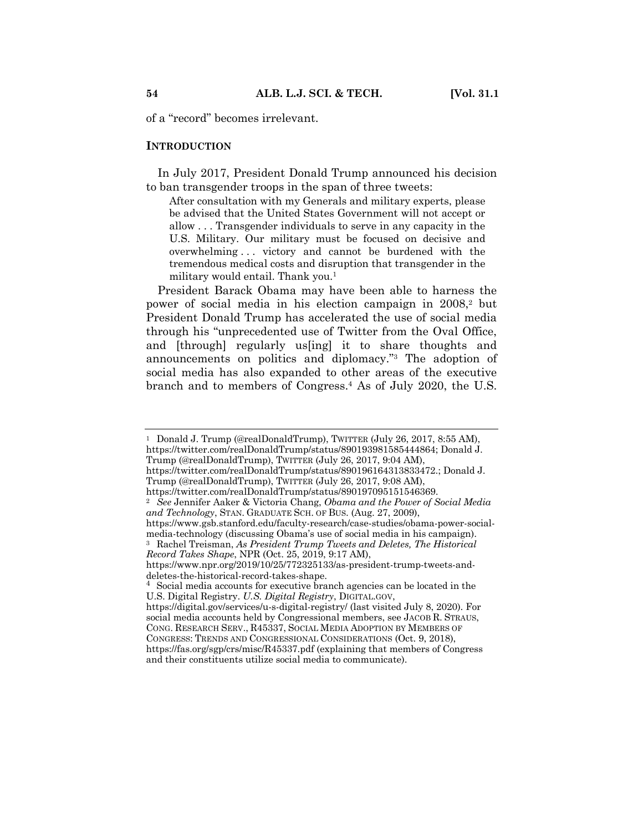of a "record" becomes irrelevant.

#### **INTRODUCTION**

In July 2017, President Donald Trump announced his decision to ban transgender troops in the span of three tweets:

After consultation with my Generals and military experts, please be advised that the United States Government will not accept or allow . . . Transgender individuals to serve in any capacity in the U.S. Military. Our military must be focused on decisive and overwhelming . . . victory and cannot be burdened with the tremendous medical costs and disruption that transgender in the military would entail. Thank you. $<sup>1</sup>$ </sup>

President Barack Obama may have been able to harness the power of social media in his election campaign in 2008,<sup>2</sup> but President Donald Trump has accelerated the use of social media through his "unprecedented use of Twitter from the Oval Office, and [through] regularly us[ing] it to share thoughts and announcements on politics and diplomacy."3 The adoption of social media has also expanded to other areas of the executive branch and to members of Congress.4 As of July 2020, the U.S.

<sup>1</sup> Donald J. Trump (@realDonaldTrump), TWITTER (July 26, 2017, 8:55 AM), https://twitter.com/realDonaldTrump/status/890193981585444864; Donald J. Trump (@realDonaldTrump), TWITTER (July 26, 2017, 9:04 AM),

https://twitter.com/realDonaldTrump/status/890196164313833472.; Donald J. Trump (@realDonaldTrump), TWITTER (July 26, 2017, 9:08 AM),

https://twitter.com/realDonaldTrump/status/890197095151546369.

<sup>2</sup> *See* Jennifer Aaker & Victoria Chang, *Obama and the Power of Social Media and Technology*, STAN. GRADUATE SCH. OF BUS. (Aug. 27, 2009),

https://www.gsb.stanford.edu/faculty-research/case-studies/obama-power-socialmedia-technology (discussing Obama's use of social media in his campaign).

<sup>3</sup> Rachel Treisman, *As President Trump Tweets and Deletes, The Historical Record Takes Shape*, NPR (Oct. 25, 2019, 9:17 AM),

https://www.npr.org/2019/10/25/772325133/as-president-trump-tweets-anddeletes-the-historical-record-takes-shape.

<sup>&</sup>lt;sup>4</sup> Social media accounts for executive branch agencies can be located in the U.S. Digital Registry. *U.S. Digital Registry*, DIGITAL.GOV,

https://digital.gov/services/u-s-digital-registry/ (last visited July 8, 2020). For social media accounts held by Congressional members, see JACOB R. STRAUS, CONG. RESEARCH SERV., R45337, SOCIAL MEDIA ADOPTION BY MEMBERS OF CONGRESS: TRENDS AND CONGRESSIONAL CONSIDERATIONS (Oct. 9, 2018), https://fas.org/sgp/crs/misc/R45337.pdf (explaining that members of Congress and their constituents utilize social media to communicate).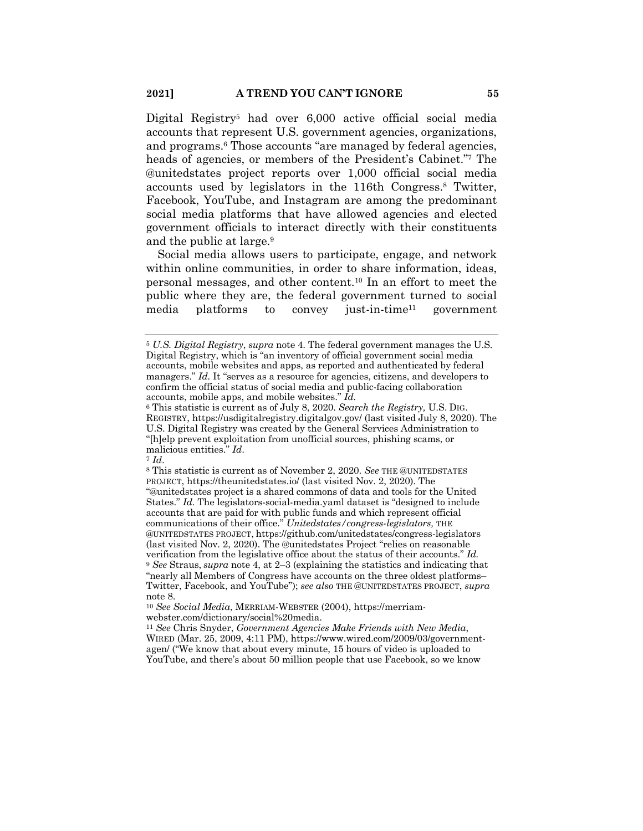Digital Registry<sup>5</sup> had over 6,000 active official social media accounts that represent U.S. government agencies, organizations, and programs.<sup>6</sup> Those accounts "are managed by federal agencies, heads of agencies, or members of the President's Cabinet."7 The @unitedstates project reports over 1,000 official social media accounts used by legislators in the 116th Congress.8 Twitter, Facebook, YouTube, and Instagram are among the predominant social media platforms that have allowed agencies and elected government officials to interact directly with their constituents and the public at large.<sup>9</sup>

Social media allows users to participate, engage, and network within online communities, in order to share information, ideas, personal messages, and other content.10 In an effort to meet the public where they are, the federal government turned to social media platforms to convey just-in-time11 government

<sup>5</sup> *U.S. Digital Registry*, *supra* note 4. The federal government manages the U.S. Digital Registry, which is "an inventory of official government social media accounts, mobile websites and apps, as reported and authenticated by federal managers." *Id.* It "serves as a resource for agencies, citizens, and developers to confirm the official status of social media and public-facing collaboration accounts, mobile apps, and mobile websites." *Id.*

<sup>6</sup> This statistic is current as of July 8, 2020. *Search the Registry,* U.S. DIG. REGISTRY, https://usdigitalregistry.digitalgov.gov/ (last visited July 8, 2020). The U.S. Digital Registry was created by the General Services Administration to "[h]elp prevent exploitation from unofficial sources, phishing scams, or malicious entities." *Id*.

<sup>7</sup> *Id*.

<sup>8</sup> This statistic is current as of November 2, 2020. *See* THE @UNITEDSTATES PROJECT, https://theunitedstates.io/ (last visited Nov. 2, 2020). The "@unitedstates project is a shared commons of data and tools for the United States." *Id.* The legislators-social-media.yaml dataset is "designed to include accounts that are paid for with public funds and which represent official communications of their office." *Unitedstates/congress-legislators,* THE @UNITEDSTATES PROJECT, https://github.com/unitedstates/congress-legislators (last visited Nov. 2, 2020). The @unitedstates Project "relies on reasonable verification from the legislative office about the status of their accounts." *Id.* <sup>9</sup> *See* Straus, *supra* note 4, at 2–3 (explaining the statistics and indicating that "nearly all Members of Congress have accounts on the three oldest platforms– Twitter, Facebook, and YouTube"); *see also* THE @UNITEDSTATES PROJECT, *supra* note 8.

<sup>10</sup> *See Social Media*, MERRIAM-WEBSTER (2004), https://merriamwebster.com/dictionary/social%20media.

<sup>11</sup> *See* Chris Snyder, *Government Agencies Make Friends with New Media*, WIRED (Mar. 25, 2009, 4:11 PM), https://www.wired.com/2009/03/governmentagen/ ("We know that about every minute, 15 hours of video is uploaded to YouTube, and there's about 50 million people that use Facebook, so we know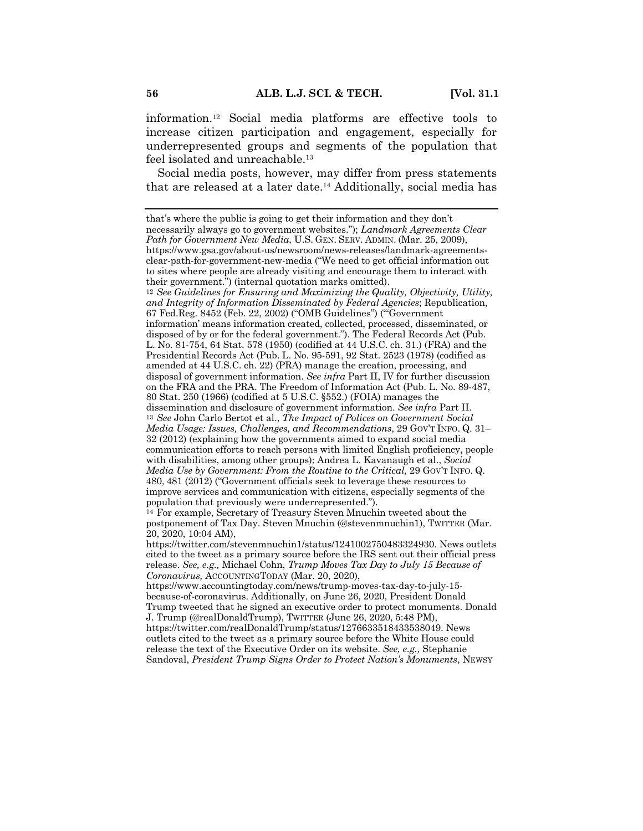information.12 Social media platforms are effective tools to increase citizen participation and engagement, especially for underrepresented groups and segments of the population that feel isolated and unreachable.<sup>13</sup>

Social media posts, however, may differ from press statements that are released at a later date. <sup>14</sup> Additionally, social media has

that's where the public is going to get their information and they don't necessarily always go to government websites."); *Landmark Agreements Clear Path for Government New Media*, U.S. GEN. SERV. ADMIN. (Mar. 25, 2009), https://www.gsa.gov/about-us/newsroom/news-releases/landmark-agreementsclear-path-for-government-new-media ("We need to get official information out to sites where people are already visiting and encourage them to interact with their government.") (internal quotation marks omitted).

<sup>12</sup> *See Guidelines for Ensuring and Maximizing the Quality, Objectivity, Utility, and Integrity of Information Disseminated by Federal Agencies*; Republication, 67 Fed.Reg. 8452 (Feb. 22, 2002) ("OMB Guidelines") ("'Government information' means information created, collected, processed, disseminated, or disposed of by or for the federal government."). The Federal Records Act (Pub. L. No. 81-754, 64 Stat. 578 (1950) (codified at 44 U.S.C. ch. 31.) (FRA) and the Presidential Records Act (Pub. L. No. 95-591, 92 Stat. 2523 (1978) (codified as amended at 44 U.S.C. ch. 22) (PRA) manage the creation, processing, and disposal of government information. *See infra* Part II, IV for further discussion on the FRA and the PRA. The Freedom of Information Act (Pub. L. No. 89-487, 80 Stat. 250 (1966) (codified at 5 U.S.C. §552.) (FOIA) manages the dissemination and disclosure of government information. *See infra* Part II. <sup>13</sup> *See* John Carlo Bertot et al., *The Impact of Polices on Government Social Media Usage: Issues, Challenges, and Recommendations*, 29 GOV'T INFO. Q. 31– 32 (2012) (explaining how the governments aimed to expand social media communication efforts to reach persons with limited English proficiency, people with disabilities, among other groups); Andrea L. Kavanaugh et al., *Social Media Use by Government: From the Routine to the Critical,* 29 GOV'T INFO. Q. 480, 481 (2012) ("Government officials seek to leverage these resources to improve services and communication with citizens, especially segments of the population that previously were underrepresented.").

<sup>14</sup> For example, Secretary of Treasury Steven Mnuchin tweeted about the postponement of Tax Day. Steven Mnuchin (@stevenmnuchin1), TWITTER (Mar. 20, 2020, 10:04 AM),

https://twitter.com/stevenmnuchin1/status/1241002750483324930. News outlets cited to the tweet as a primary source before the IRS sent out their official press release. *See, e.g.,* Michael Cohn, *Trump Moves Tax Day to July 15 Because of Coronavirus,* ACCOUNTINGTODAY (Mar. 20, 2020),

https://www.accountingtoday.com/news/trump-moves-tax-day-to-july-15 because-of-coronavirus. Additionally, on June 26, 2020, President Donald Trump tweeted that he signed an executive order to protect monuments. Donald

J. Trump (@realDonaldTrump), TWITTER (June 26, 2020, 5:48 PM), https://twitter.com/realDonaldTrump/status/1276633518433538049. News outlets cited to the tweet as a primary source before the White House could release the text of the Executive Order on its website. *See, e.g.,* Stephanie Sandoval, *President Trump Signs Order to Protect Nation's Monuments*, NEWSY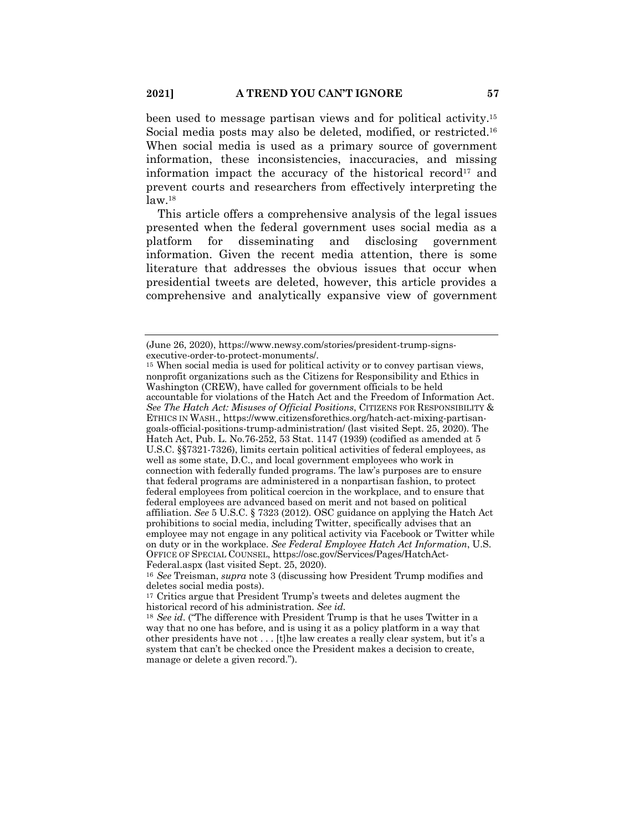been used to message partisan views and for political activity.15 Social media posts may also be deleted, modified, or restricted.<sup>16</sup> When social media is used as a primary source of government information, these inconsistencies, inaccuracies, and missing information impact the accuracy of the historical record<sup>17</sup> and prevent courts and researchers from effectively interpreting the  $law.<sup>18</sup>$ 

This article offers a comprehensive analysis of the legal issues presented when the federal government uses social media as a platform for disseminating and disclosing government information. Given the recent media attention, there is some literature that addresses the obvious issues that occur when presidential tweets are deleted, however, this article provides a comprehensive and analytically expansive view of government

<sup>(</sup>June 26, 2020), https://www.newsy.com/stories/president-trump-signsexecutive-order-to-protect-monuments/.

<sup>15</sup> When social media is used for political activity or to convey partisan views, nonprofit organizations such as the Citizens for Responsibility and Ethics in Washington (CREW), have called for government officials to be held accountable for violations of the Hatch Act and the Freedom of Information Act. *See The Hatch Act: Misuses of Official Positions*, CITIZENS FOR RESPONSIBILITY & ETHICS IN WASH., https://www.citizensforethics.org/hatch-act-mixing-partisangoals-official-positions-trump-administration/ (last visited Sept. 25, 2020). The Hatch Act, Pub. L. No.76-252, 53 Stat. 1147 (1939) (codified as amended at 5 U.S.C. §§7321-7326), limits certain political activities of federal employees, as well as some state, D.C., and local government employees who work in connection with federally funded programs. The law's purposes are to ensure that federal programs are administered in a nonpartisan fashion, to protect federal employees from political coercion in the workplace, and to ensure that federal employees are advanced based on merit and not based on political affiliation. *See* 5 U.S.C. § 7323 (2012). OSC guidance on applying the Hatch Act prohibitions to social media, including Twitter, specifically advises that an employee may not engage in any political activity via Facebook or Twitter while on duty or in the workplace. *See Federal Employee Hatch Act Information*, U.S. OFFICE OF SPECIAL COUNSEL, https://osc.gov/Services/Pages/HatchAct-Federal.aspx (last visited Sept. 25, 2020).

<sup>16</sup> *See* Treisman, *supra* note 3 (discussing how President Trump modifies and deletes social media posts).

<sup>17</sup> Critics argue that President Trump's tweets and deletes augment the historical record of his administration. *See id.*

<sup>18</sup> *See id*. ("The difference with President Trump is that he uses Twitter in a way that no one has before, and is using it as a policy platform in a way that other presidents have not . . . [t]he law creates a really clear system, but it's a system that can't be checked once the President makes a decision to create, manage or delete a given record.").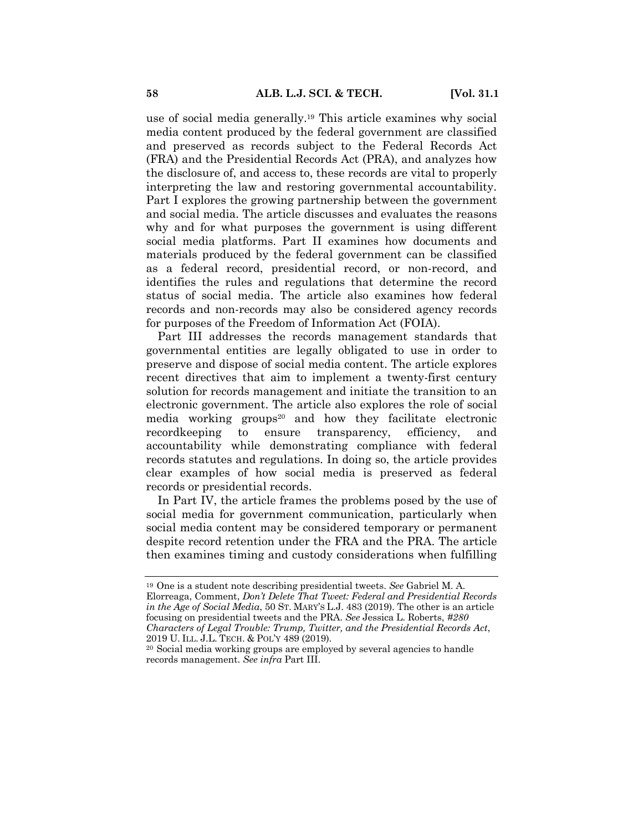use of social media generally.19 This article examines why social media content produced by the federal government are classified and preserved as records subject to the Federal Records Act (FRA) and the Presidential Records Act (PRA), and analyzes how the disclosure of, and access to, these records are vital to properly interpreting the law and restoring governmental accountability. Part I explores the growing partnership between the government and social media. The article discusses and evaluates the reasons why and for what purposes the government is using different social media platforms. Part II examines how documents and materials produced by the federal government can be classified as a federal record, presidential record, or non-record, and identifies the rules and regulations that determine the record status of social media. The article also examines how federal records and non-records may also be considered agency records for purposes of the Freedom of Information Act (FOIA).

Part III addresses the records management standards that governmental entities are legally obligated to use in order to preserve and dispose of social media content. The article explores recent directives that aim to implement a twenty-first century solution for records management and initiate the transition to an electronic government. The article also explores the role of social media working groups<sup>20</sup> and how they facilitate electronic recordkeeping to ensure transparency, efficiency, and accountability while demonstrating compliance with federal records statutes and regulations. In doing so, the article provides clear examples of how social media is preserved as federal records or presidential records.

In Part IV, the article frames the problems posed by the use of social media for government communication, particularly when social media content may be considered temporary or permanent despite record retention under the FRA and the PRA. The article then examines timing and custody considerations when fulfilling

<sup>19</sup> One is a student note describing presidential tweets. *See* Gabriel M. A. Elorreaga, Comment, *Don't Delete That Tweet: Federal and Presidential Records in the Age of Social Media*, 50 ST. MARY'S L.J. 483 (2019). The other is an article focusing on presidential tweets and the PRA. *See* Jessica L. Roberts, *#280 Characters of Legal Trouble: Trump, Twitter, and the Presidential Records Act*, 2019 U. ILL. J.L. TECH. & POL'Y 489 (2019).

<sup>20</sup> Social media working groups are employed by several agencies to handle records management. *See infra* Part III.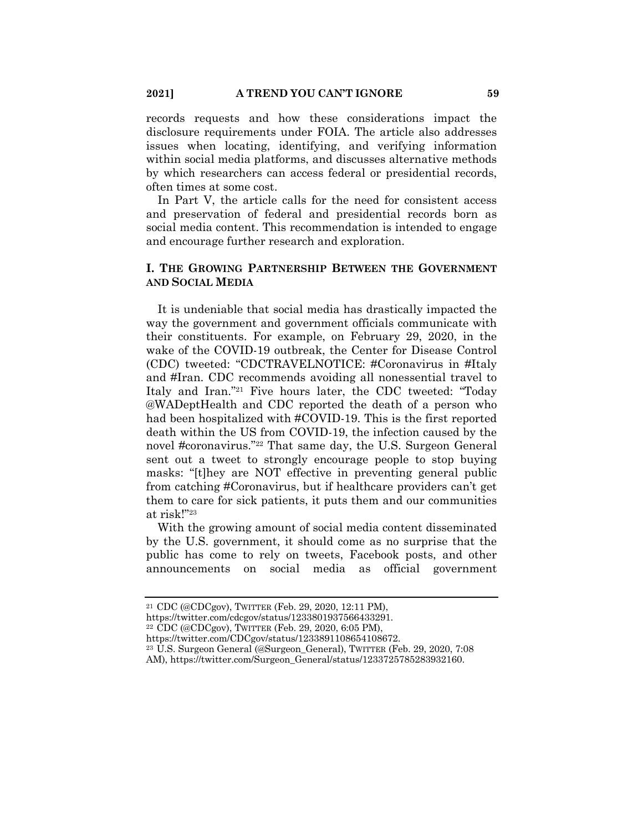records requests and how these considerations impact the disclosure requirements under FOIA. The article also addresses issues when locating, identifying, and verifying information within social media platforms, and discusses alternative methods by which researchers can access federal or presidential records, often times at some cost.

In Part V, the article calls for the need for consistent access and preservation of federal and presidential records born as social media content. This recommendation is intended to engage and encourage further research and exploration.

## **I. THE GROWING PARTNERSHIP BETWEEN THE GOVERNMENT AND SOCIAL MEDIA**

It is undeniable that social media has drastically impacted the way the government and government officials communicate with their constituents. For example, on February 29, 2020, in the wake of the COVID-19 outbreak, the Center for Disease Control (CDC) tweeted: "CDCTRAVELNOTICE: #Coronavirus in #Italy and #Iran. CDC recommends avoiding all nonessential travel to Italy and Iran."21 Five hours later, the CDC tweeted: "Today @WADeptHealth and CDC reported the death of a person who had been hospitalized with #COVID-19. This is the first reported death within the US from COVID-19, the infection caused by the novel #coronavirus."22 That same day, the U.S. Surgeon General sent out a tweet to strongly encourage people to stop buying masks: "[t]hey are NOT effective in preventing general public from catching #Coronavirus, but if healthcare providers can't get them to care for sick patients, it puts them and our communities at risk!"23

With the growing amount of social media content disseminated by the U.S. government, it should come as no surprise that the public has come to rely on tweets, Facebook posts, and other announcements on social media as official government

<sup>21</sup> CDC (@CDCgov), TWITTER (Feb. 29, 2020, 12:11 PM),

https://twitter.com/cdcgov/status/1233801937566433291.

<sup>22</sup> CDC (@CDCgov), TWITTER (Feb. 29, 2020, 6:05 PM),

https://twitter.com/CDCgov/status/1233891108654108672.

<sup>23</sup> U.S. Surgeon General (@Surgeon\_General), TWITTER (Feb. 29, 2020, 7:08 AM), https://twitter.com/Surgeon\_General/status/1233725785283932160.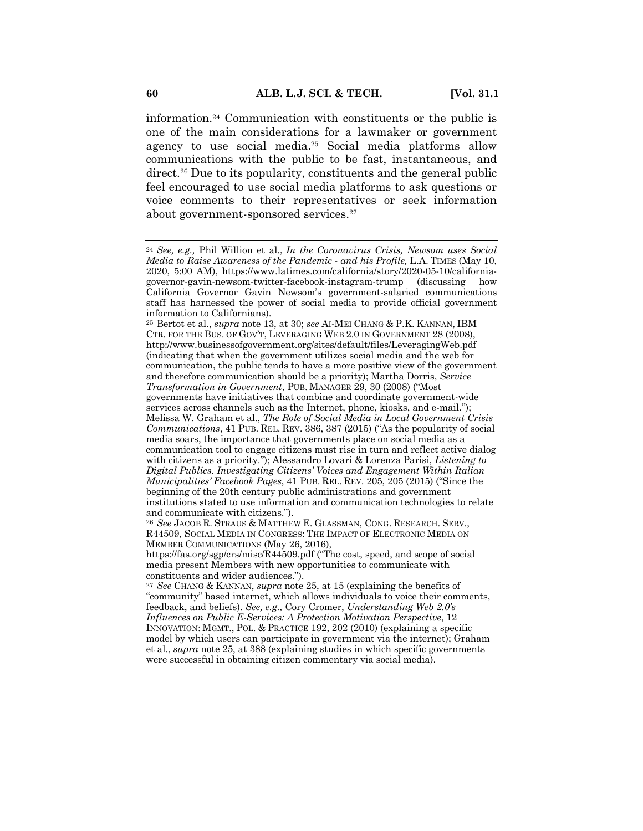information.24 Communication with constituents or the public is one of the main considerations for a lawmaker or government agency to use social media.25 Social media platforms allow communications with the public to be fast, instantaneous, and direct.<sup>26</sup> Due to its popularity, constituents and the general public feel encouraged to use social media platforms to ask questions or voice comments to their representatives or seek information about government-sponsored services.27

<sup>25</sup> Bertot et al., *supra* note 13, at 30; *see* AI-MEI CHANG & P.K. KANNAN, IBM CTR. FOR THE BUS. OF GOV'T, LEVERAGING WEB 2.0 IN GOVERNMENT 28 (2008), http://www.businessofgovernment.org/sites/default/files/LeveragingWeb.pdf (indicating that when the government utilizes social media and the web for communication, the public tends to have a more positive view of the government and therefore communication should be a priority); Martha Dorris, *Service Transformation in Government*, PUB. MANAGER 29, 30 (2008) ("Most governments have initiatives that combine and coordinate government-wide services across channels such as the Internet, phone, kiosks, and e-mail."); Melissa W. Graham et al., *The Role of Social Media in Local Government Crisis Communications*, 41 PUB. REL. REV. 386, 387 (2015) ("As the popularity of social media soars, the importance that governments place on social media as a communication tool to engage citizens must rise in turn and reflect active dialog with citizens as a priority."); Alessandro Lovari & Lorenza Parisi, *Listening to Digital Publics. Investigating Citizens' Voices and Engagement Within Italian Municipalities' Facebook Pages*, 41 PUB. REL. REV. 205, 205 (2015) ("Since the beginning of the 20th century public administrations and government institutions stated to use information and communication technologies to relate and communicate with citizens.").

<sup>24</sup> *See, e.g.,* Phil Willion et al., *In the Coronavirus Crisis, Newsom uses Social Media to Raise Awareness of the Pandemic - and his Profile,* L.A. TIMES (May 10, 2020, 5:00 AM), https://www.latimes.com/california/story/2020-05-10/californiagovernor-gavin-newsom-twitter-facebook-instagram-trump (discussing how California Governor Gavin Newsom's government-salaried communications staff has harnessed the power of social media to provide official government information to Californians).

<sup>26</sup> *See* JACOB R. STRAUS & MATTHEW E. GLASSMAN, CONG. RESEARCH. SERV., R44509, SOCIAL MEDIA IN CONGRESS: THE IMPACT OF ELECTRONIC MEDIA ON MEMBER COMMUNICATIONS (May 26, 2016),

https://fas.org/sgp/crs/misc/R44509.pdf ("The cost, speed, and scope of social media present Members with new opportunities to communicate with constituents and wider audiences.").

<sup>27</sup> *See* CHANG & KANNAN, *supra* note 25, at 15 (explaining the benefits of "community" based internet, which allows individuals to voice their comments, feedback, and beliefs). *See, e.g.,* Cory Cromer, *Understanding Web 2.0's Influences on Public E-Services: A Protection Motivation Perspective*, 12 INNOVATION: MGMT., POL. & PRACTICE 192, 202 (2010) (explaining a specific model by which users can participate in government via the internet); Graham et al., *supra* note 25, at 388 (explaining studies in which specific governments were successful in obtaining citizen commentary via social media).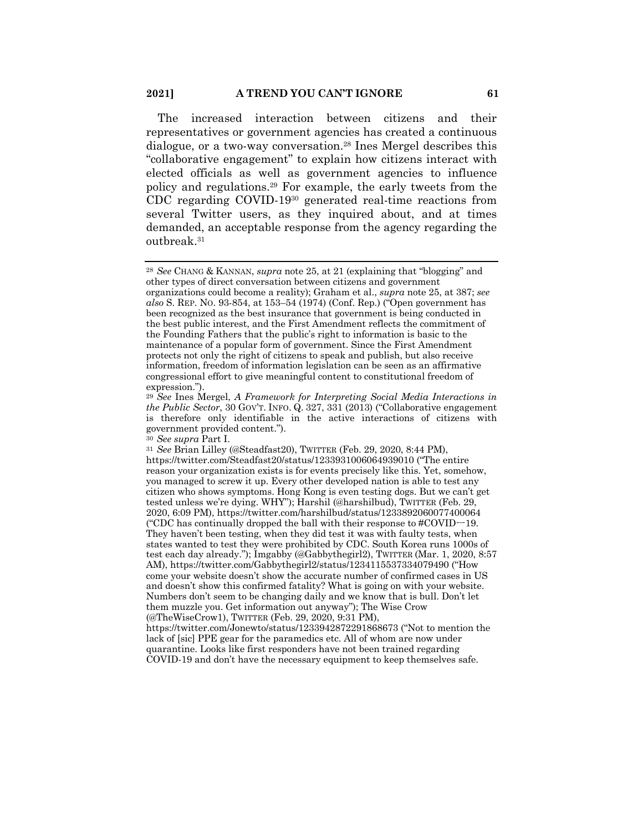The increased interaction between citizens and their representatives or government agencies has created a continuous dialogue, or a two-way conversation.28 Ines Mergel describes this "collaborative engagement" to explain how citizens interact with elected officials as well as government agencies to influence policy and regulations.29 For example, the early tweets from the CDC regarding COVID-1930 generated real-time reactions from several Twitter users, as they inquired about, and at times demanded, an acceptable response from the agency regarding the outbreak.31

<sup>28</sup> *See* CHANG & KANNAN, *supra* note 25, at 21 (explaining that "blogging" and other types of direct conversation between citizens and government organizations could become a reality); Graham et al., *supra* note 25, at 387; *see also* S. REP. NO. 93-854, at 153–54 (1974) (Conf. Rep.) ("Open government has been recognized as the best insurance that government is being conducted in the best public interest, and the First Amendment reflects the commitment of the Founding Fathers that the public's right to information is basic to the maintenance of a popular form of government. Since the First Amendment protects not only the right of citizens to speak and publish, but also receive information, freedom of information legislation can be seen as an affirmative congressional effort to give meaningful content to constitutional freedom of expression.").

<sup>29</sup> *See* Ines Mergel, *A Framework for Interpreting Social Media Interactions in the Public Sector*, 30 GOV'T. INFO. Q. 327, 331 (2013) ("Collaborative engagement is therefore only identifiable in the active interactions of citizens with government provided content.").

<sup>30</sup> *See supra* Part I.

<sup>31</sup> *See* Brian Lilley (@Steadfast20), TWITTER (Feb. 29, 2020, 8:44 PM), https://twitter.com/Steadfast20/status/1233931006064939010 ("The entire reason your organization exists is for events precisely like this. Yet, somehow, you managed to screw it up. Every other developed nation is able to test any citizen who shows symptoms. Hong Kong is even testing dogs. But we can't get tested unless we're dying. WHY"); Harshil (@harshilbud), TWITTER (Feb. 29, 2020, 6:09 PM), https://twitter.com/harshilbud/status/1233892060077400064 ("CDC has continually dropped the ball with their response to  $\text{\#COVID}\text{-}19$ . They haven't been testing, when they did test it was with faulty tests, when states wanted to test they were prohibited by CDC. South Korea runs 1000s of test each day already."); Imgabby (@Gabbythegirl2), TWITTER (Mar. 1, 2020, 8:57 AM), https://twitter.com/Gabbythegirl2/status/1234115537334079490 ("How come your website doesn't show the accurate number of confirmed cases in US and doesn't show this confirmed fatality? What is going on with your website. Numbers don't seem to be changing daily and we know that is bull. Don't let them muzzle you. Get information out anyway"); The Wise Crow (@TheWiseCrow1), TWITTER (Feb. 29, 2020, 9:31 PM),

https://twitter.com/Jonewto/status/1233942872291868673 ("Not to mention the lack of [sic] PPE gear for the paramedics etc. All of whom are now under quarantine. Looks like first responders have not been trained regarding COVID-19 and don't have the necessary equipment to keep themselves safe.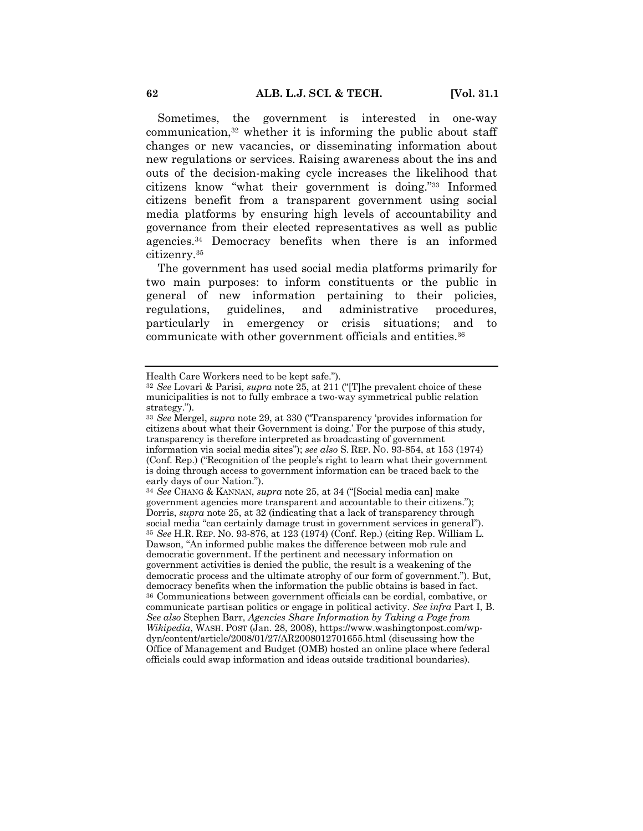Sometimes, the government is interested in one-way communication, $32$  whether it is informing the public about staff changes or new vacancies, or disseminating information about new regulations or services. Raising awareness about the ins and outs of the decision-making cycle increases the likelihood that citizens know "what their government is doing."33 Informed citizens benefit from a transparent government using social media platforms by ensuring high levels of accountability and governance from their elected representatives as well as public agencies.34 Democracy benefits when there is an informed citizenry.35

The government has used social media platforms primarily for two main purposes: to inform constituents or the public in general of new information pertaining to their policies, regulations, guidelines, and administrative procedures, particularly in emergency or crisis situations; and to communicate with other government officials and entities.36

Health Care Workers need to be kept safe.").

<sup>32</sup> *See* Lovari & Parisi, *supra* note 25, at 211 ("[T]he prevalent choice of these municipalities is not to fully embrace a two-way symmetrical public relation strategy.").

<sup>33</sup> *See* Mergel, *supra* note 29, at 330 ("Transparency 'provides information for citizens about what their Government is doing.' For the purpose of this study, transparency is therefore interpreted as broadcasting of government information via social media sites"); *see also* S. REP. NO. 93-854, at 153 (1974) (Conf. Rep.) ("Recognition of the people's right to learn what their government is doing through access to government information can be traced back to the early days of our Nation.").

<sup>34</sup> *See* CHANG & KANNAN, *supra* note 25, at 34 ("[Social media can] make government agencies more transparent and accountable to their citizens."); Dorris, *supra* note 25, at 32 (indicating that a lack of transparency through social media "can certainly damage trust in government services in general"). <sup>35</sup> *See* H.R. REP. NO. 93-876, at 123 (1974) (Conf. Rep.) (citing Rep. William L. Dawson, "An informed public makes the difference between mob rule and democratic government. If the pertinent and necessary information on government activities is denied the public, the result is a weakening of the democratic process and the ultimate atrophy of our form of government."). But, democracy benefits when the information the public obtains is based in fact. <sup>36</sup> Communications between government officials can be cordial, combative, or communicate partisan politics or engage in political activity. *See infra* Part I, B. *See also* Stephen Barr, *Agencies Share Information by Taking a Page from Wikipedia*, WASH. POST (Jan. 28, 2008), https://www.washingtonpost.com/wpdyn/content/article/2008/01/27/AR2008012701655.html (discussing how the Office of Management and Budget (OMB) hosted an online place where federal officials could swap information and ideas outside traditional boundaries).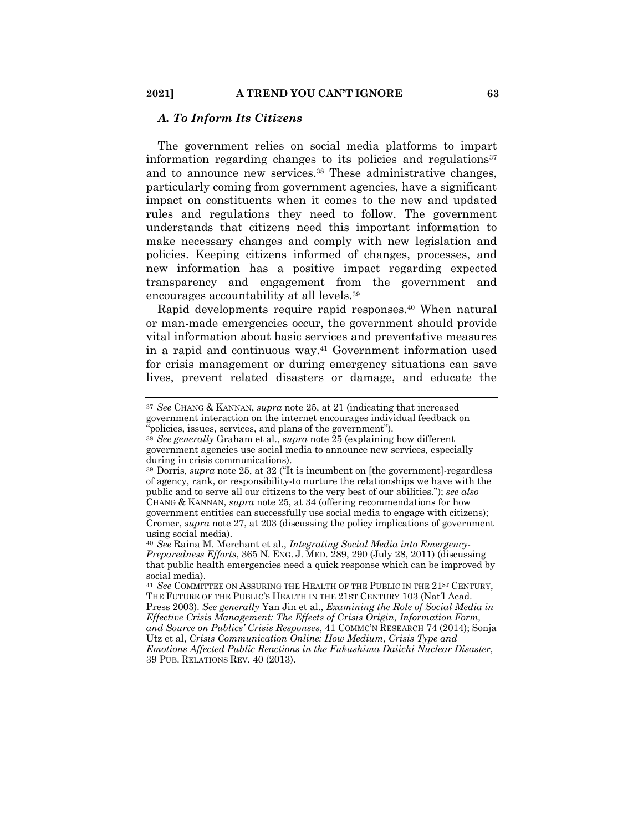#### *A. To Inform Its Citizens*

The government relies on social media platforms to impart information regarding changes to its policies and regulations<sup>37</sup> and to announce new services.<sup>38</sup> These administrative changes, particularly coming from government agencies, have a significant impact on constituents when it comes to the new and updated rules and regulations they need to follow. The government understands that citizens need this important information to make necessary changes and comply with new legislation and policies. Keeping citizens informed of changes, processes, and new information has a positive impact regarding expected transparency and engagement from the government and encourages accountability at all levels.39

Rapid developments require rapid responses.<sup>40</sup> When natural or man-made emergencies occur, the government should provide vital information about basic services and preventative measures in a rapid and continuous way.41 Government information used for crisis management or during emergency situations can save lives, prevent related disasters or damage, and educate the

<sup>37</sup> *See* CHANG & KANNAN, *supra* note 25, at 21 (indicating that increased government interaction on the internet encourages individual feedback on "policies, issues, services, and plans of the government").

<sup>38</sup> *See generally* Graham et al., *supra* note 25 (explaining how different government agencies use social media to announce new services, especially during in crisis communications).

<sup>39</sup> Dorris, *supra* note 25, at 32 ("It is incumbent on [the government]-regardless of agency, rank, or responsibility-to nurture the relationships we have with the public and to serve all our citizens to the very best of our abilities."); *see also*  CHANG & KANNAN, *supra* note 25, at 34 (offering recommendations for how government entities can successfully use social media to engage with citizens); Cromer, *supra* note 27, at 203 (discussing the policy implications of government using social media).

<sup>40</sup> *See* Raina M. Merchant et al., *Integrating Social Media into Emergency-Preparedness Efforts*, 365 N. ENG. J. MED. 289, 290 (July 28, 2011) (discussing that public health emergencies need a quick response which can be improved by social media).

<sup>&</sup>lt;sup>41</sup> See COMMITTEE ON ASSURING THE HEALTH OF THE PUBLIC IN THE 21<sup>st</sup> CENTURY, THE FUTURE OF THE PUBLIC'S HEALTH IN THE 21ST CENTURY 103 (Nat'l Acad. Press 2003). *See generally* Yan Jin et al., *Examining the Role of Social Media in Effective Crisis Management: The Effects of Crisis Origin, Information Form, and Source on Publics' Crisis Responses*, 41 COMMC'N RESEARCH 74 (2014); Sonja Utz et al, *Crisis Communication Online: How Medium, Crisis Type and Emotions Affected Public Reactions in the Fukushima Daiichi Nuclear Disaster*, 39 PUB. RELATIONS REV. 40 (2013).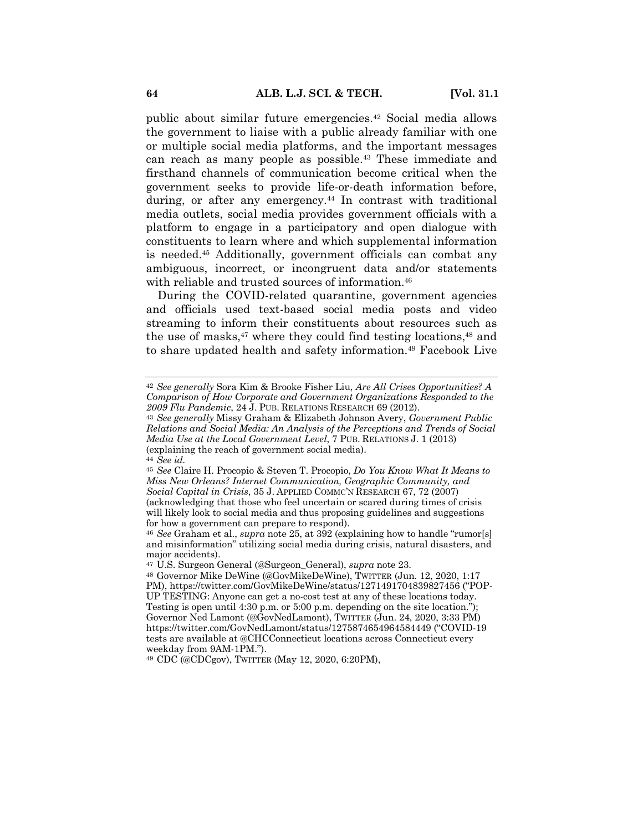public about similar future emergencies.42 Social media allows the government to liaise with a public already familiar with one or multiple social media platforms, and the important messages can reach as many people as possible.<sup>43</sup> These immediate and firsthand channels of communication become critical when the government seeks to provide life-or-death information before, during, or after any emergency.<sup>44</sup> In contrast with traditional media outlets, social media provides government officials with a platform to engage in a participatory and open dialogue with constituents to learn where and which supplemental information is needed.45 Additionally, government officials can combat any ambiguous, incorrect, or incongruent data and/or statements with reliable and trusted sources of information.46

During the COVID-related quarantine, government agencies and officials used text-based social media posts and video streaming to inform their constituents about resources such as the use of masks, $47$  where they could find testing locations, $48$  and to share updated health and safety information.<sup>49</sup> Facebook Live

<sup>49</sup> CDC (@CDCgov), TWITTER (May 12, 2020, 6:20PM),

<sup>42</sup> *See generally* Sora Kim & Brooke Fisher Liu, *Are All Crises Opportunities? A Comparison of How Corporate and Government Organizations Responded to the 2009 Flu Pandemic*, 24 J. PUB. RELATIONS RESEARCH 69 (2012).

<sup>43</sup> *See generally* Missy Graham & Elizabeth Johnson Avery, *Government Public Relations and Social Media: An Analysis of the Perceptions and Trends of Social Media Use at the Local Government Level*, 7 PUB. RELATIONS J. 1 (2013) (explaining the reach of government social media).

<sup>44</sup> *See id.*

<sup>45</sup> *See* Claire H. Procopio & Steven T. Procopio, *Do You Know What It Means to Miss New Orleans? Internet Communication, Geographic Community, and Social Capital in Crisis*, 35 J. APPLIED COMMC'N RESEARCH 67, 72 (2007) (acknowledging that those who feel uncertain or scared during times of crisis will likely look to social media and thus proposing guidelines and suggestions for how a government can prepare to respond).

<sup>46</sup> *See* Graham et al., *supra* note 25, at 392 (explaining how to handle "rumor[s] and misinformation" utilizing social media during crisis, natural disasters, and major accidents).

<sup>47</sup> U.S. Surgeon General (@Surgeon\_General), *supra* note 23.

<sup>48</sup> Governor Mike DeWine (@GovMikeDeWine), TWITTER (Jun. 12, 2020, 1:17 PM), https://twitter.com/GovMikeDeWine/status/1271491704839827456 ("POP-UP TESTING: Anyone can get a no-cost test at any of these locations today. Testing is open until 4:30 p.m. or 5:00 p.m. depending on the site location."); Governor Ned Lamont (@GovNedLamont), TWITTER (Jun. 24, 2020, 3:33 PM) https://twitter.com/GovNedLamont/status/1275874654964584449 ("COVID-19 tests are available at @CHCConnecticut locations across Connecticut every weekday from 9AM-1PM.").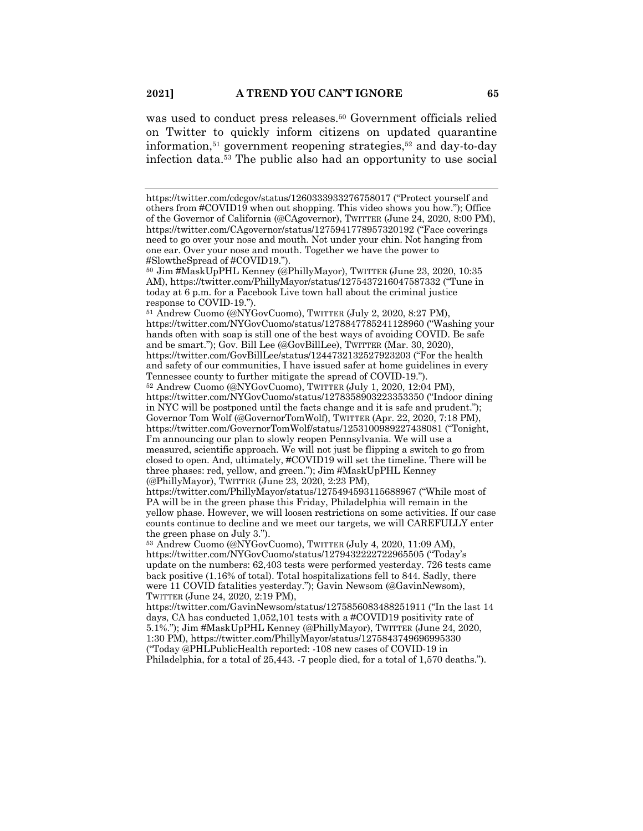was used to conduct press releases.<sup>50</sup> Government officials relied on Twitter to quickly inform citizens on updated quarantine information, $51$  government reopening strategies, $52$  and day-to-day infection data.53 The public also had an opportunity to use social

<sup>51</sup> Andrew Cuomo (@NYGovCuomo), TWITTER (July 2, 2020, 8:27 PM), https://twitter.com/NYGovCuomo/status/1278847785241128960 ("Washing your hands often with soap is still one of the best ways of avoiding COVID. Be safe and be smart."); Gov. Bill Lee (@GovBillLee), TWITTER (Mar. 30, 2020), https://twitter.com/GovBillLee/status/1244732132527923203 ("For the health and safety of our communities, I have issued safer at home guidelines in every Tennessee county to further mitigate the spread of COVID-19.").

<sup>52</sup> Andrew Cuomo (@NYGovCuomo), TWITTER (July 1, 2020, 12:04 PM), https://twitter.com/NYGovCuomo/status/1278358903223353350 ("Indoor dining in NYC will be postponed until the facts change and it is safe and prudent."); Governor Tom Wolf (@GovernorTomWolf), TWITTER (Apr. 22, 2020, 7:18 PM), https://twitter.com/GovernorTomWolf/status/1253100989227438081 ("Tonight, I'm announcing our plan to slowly reopen Pennsylvania. We will use a measured, scientific approach. We will not just be flipping a switch to go from closed to open. And, ultimately, #COVID19 will set the timeline. There will be three phases: red, yellow, and green."); Jim #MaskUpPHL Kenney (@PhillyMayor), TWITTER (June 23, 2020, 2:23 PM),

https://twitter.com/PhillyMayor/status/1275494593115688967 ("While most of PA will be in the green phase this Friday, Philadelphia will remain in the yellow phase. However, we will loosen restrictions on some activities. If our case counts continue to decline and we meet our targets, we will CAREFULLY enter the green phase on July 3.").

<sup>53</sup> Andrew Cuomo (@NYGovCuomo), TWITTER (July 4, 2020, 11:09 AM), https://twitter.com/NYGovCuomo/status/1279432222722965505 ("Today's update on the numbers: 62,403 tests were performed yesterday. 726 tests came back positive (1.16% of total). Total hospitalizations fell to 844. Sadly, there were 11 COVID fatalities yesterday."); Gavin Newsom (@GavinNewsom), TWITTER (June 24, 2020, 2:19 PM),

https://twitter.com/GavinNewsom/status/1275856083488251911 ("In the last 14 days, CA has conducted 1,052,101 tests with a #COVID19 positivity rate of 5.1%."); Jim #MaskUpPHL Kenney (@PhillyMayor), TWITTER (June 24, 2020, 1:30 PM), https://twitter.com/PhillyMayor/status/1275843749696995330 ("Today @PHLPublicHealth reported: -108 new cases of COVID-19 in Philadelphia, for a total of 25,443. -7 people died, for a total of 1,570 deaths.").

https://twitter.com/cdcgov/status/1260333933276758017 ("Protect yourself and others from #COVID19 when out shopping. This video shows you how."); Office of the Governor of California (@CAgovernor), TWITTER (June 24, 2020, 8:00 PM), https://twitter.com/CAgovernor/status/1275941778957320192 ("Face coverings need to go over your nose and mouth. Not under your chin. Not hanging from one ear. Over your nose and mouth. Together we have the power to #SlowtheSpread of #COVID19.").

<sup>50</sup> Jim #MaskUpPHL Kenney (@PhillyMayor), TWITTER (June 23, 2020, 10:35 AM), https://twitter.com/PhillyMayor/status/1275437216047587332 ("Tune in today at 6 p.m. for a Facebook Live town hall about the criminal justice response to COVID-19.").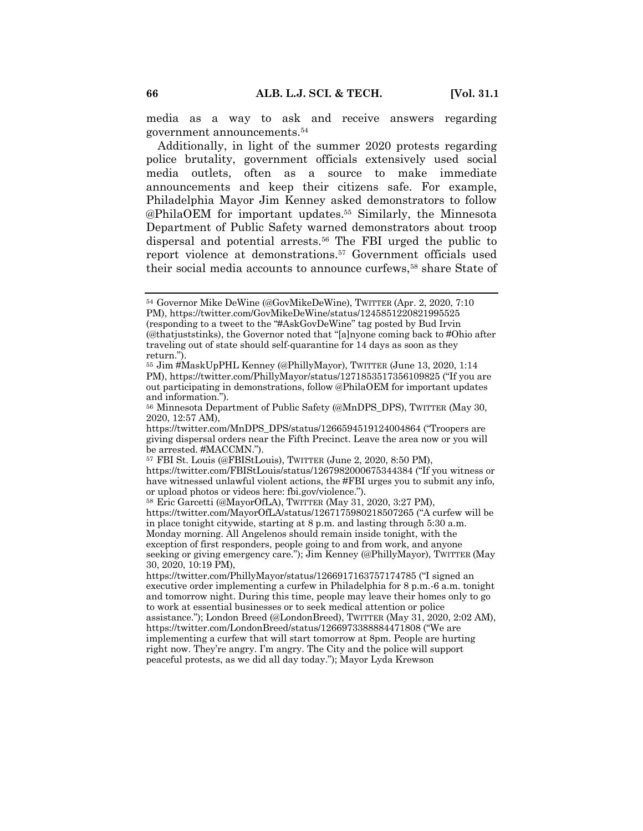media as a way to ask and receive answers regarding government announcements.54

Additionally, in light of the summer 2020 protests regarding police brutality, government officials extensively used social media outlets, often as a source to make immediate announcements and keep their citizens safe. For example, Philadelphia Mayor Jim Kenney asked demonstrators to follow @PhilaOEM for important updates.55 Similarly, the Minnesota Department of Public Safety warned demonstrators about troop dispersal and potential arrests.<sup>56</sup> The FBI urged the public to report violence at demonstrations.57 Government officials used their social media accounts to announce curfews.<sup>58</sup> share State of

<sup>54</sup> Governor Mike DeWine (@GovMikeDeWine), TWITTER (Apr. 2, 2020, 7:10 PM), https://twitter.com/GovMikeDeWine/status/1245851220821995525 (responding to a tweet to the "#AskGovDeWine" tag posted by Bud Irvin (@thatjuststinks), the Governor noted that "[a]nyone coming back to #Ohio after traveling out of state should self-quarantine for 14 days as soon as they return.").

<sup>55</sup> Jim #MaskUpPHL Kenney (@PhillyMayor), TWITTER (June 13, 2020, 1:14 PM), https://twitter.com/PhillyMayor/status/1271853517356109825 ("If you are out participating in demonstrations, follow @PhilaOEM for important updates and information.").

<sup>56</sup> Minnesota Department of Public Safety (@MnDPS\_DPS), TWITTER (May 30, 2020, 12:57 AM),

https://twitter.com/MnDPS\_DPS/status/1266594519124004864 ("Troopers are giving dispersal orders near the Fifth Precinct. Leave the area now or you will be arrested. #MACCMN.").

<sup>57</sup> FBI St. Louis (@FBIStLouis), TWITTER (June 2, 2020, 8:50 PM),

https://twitter.com/FBIStLouis/status/1267982000675344384 ("If you witness or have witnessed unlawful violent actions, the #FBI urges you to submit any info, or upload photos or videos here: fbi.gov/violence.").

<sup>58</sup> Eric Garcetti (@MayorOfLA), TWITTER (May 31, 2020, 3:27 PM),

https://twitter.com/MayorOfLA/status/1267175980218507265 ("A curfew will be in place tonight citywide, starting at 8 p.m. and lasting through 5:30 a.m. Monday morning. All Angelenos should remain inside tonight, with the

exception of first responders, people going to and from work, and anyone seeking or giving emergency care."); Jim Kenney (@PhillyMayor), TWITTER (May 30, 2020, 10:19 PM),

https://twitter.com/PhillyMayor/status/1266917163757174785 ("I signed an executive order implementing a curfew in Philadelphia for 8 p.m.-6 a.m. tonight and tomorrow night. During this time, people may leave their homes only to go to work at essential businesses or to seek medical attention or police assistance."); London Breed (@LondonBreed), TWITTER (May 31, 2020, 2:02 AM), https://twitter.com/LondonBreed/status/1266973388884471808 ("We are implementing a curfew that will start tomorrow at 8pm. People are hurting right now. They're angry. I'm angry. The City and the police will support

peaceful protests, as we did all day today."); Mayor Lyda Krewson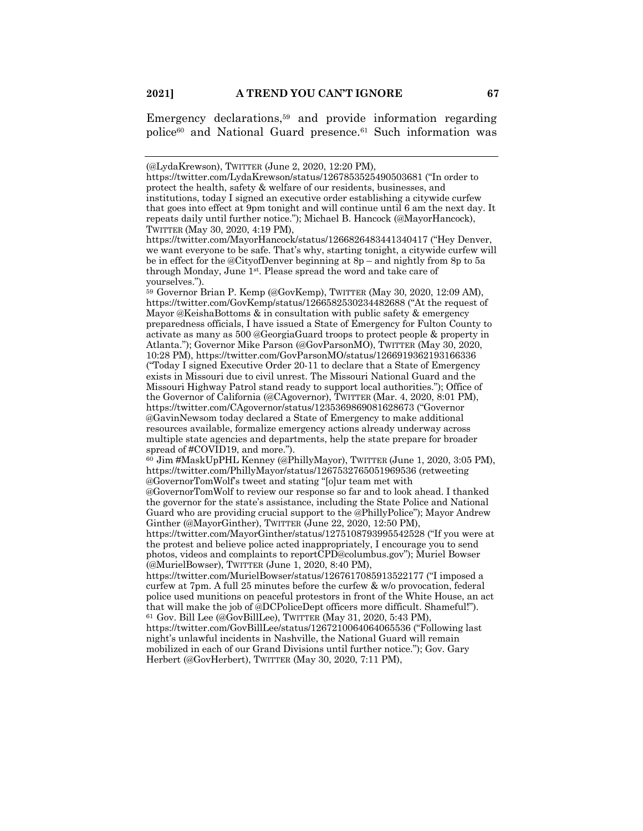Emergency declarations,59 and provide information regarding police<sup>60</sup> and National Guard presence.<sup>61</sup> Such information was

<sup>59</sup> Governor Brian P. Kemp (@GovKemp), TWITTER (May 30, 2020, 12:09 AM), https://twitter.com/GovKemp/status/1266582530234482688 ("At the request of Mayor @KeishaBottoms & in consultation with public safety & emergency preparedness officials, I have issued a State of Emergency for Fulton County to activate as many as 500 @GeorgiaGuard troops to protect people & property in Atlanta."); Governor Mike Parson (@GovParsonMO), TWITTER (May 30, 2020, 10:28 PM), https://twitter.com/GovParsonMO/status/1266919362193166336 ("Today I signed Executive Order 20-11 to declare that a State of Emergency exists in Missouri due to civil unrest. The Missouri National Guard and the Missouri Highway Patrol stand ready to support local authorities."); Office of the Governor of California (@CAgovernor), TWITTER (Mar. 4, 2020, 8:01 PM), https://twitter.com/CAgovernor/status/1235369869081628673 ("Governor @GavinNewsom today declared a State of Emergency to make additional resources available, formalize emergency actions already underway across multiple state agencies and departments, help the state prepare for broader spread of #COVID19, and more.").

<sup>60</sup> Jim #MaskUpPHL Kenney (@PhillyMayor), TWITTER (June 1, 2020, 3:05 PM), https://twitter.com/PhillyMayor/status/1267532765051969536 (retweeting @GovernorTomWolf's tweet and stating "[o]ur team met with

@GovernorTomWolf to review our response so far and to look ahead. I thanked the governor for the state's assistance, including the State Police and National Guard who are providing crucial support to the @PhillyPolice"); Mayor Andrew Ginther (@MayorGinther), TWITTER (June 22, 2020, 12:50 PM),

https://twitter.com/MayorGinther/status/1275108793995542528 ("If you were at the protest and believe police acted inappropriately, I encourage you to send photos, videos and complaints to reportCPD@columbus.gov"); Muriel Bowser (@MurielBowser), TWITTER (June 1, 2020, 8:40 PM),

https://twitter.com/MurielBowser/status/1267617085913522177 ("I imposed a curfew at 7pm. A full 25 minutes before the curfew & w/o provocation, federal police used munitions on peaceful protestors in front of the White House, an act that will make the job of @DCPoliceDept officers more difficult. Shameful!"). <sup>61</sup> Gov. Bill Lee (@GovBillLee), TWITTER (May 31, 2020, 5:43 PM),

https://twitter.com/GovBillLee/status/1267210064064065536 ("Following last night's unlawful incidents in Nashville, the National Guard will remain mobilized in each of our Grand Divisions until further notice."); Gov. Gary Herbert (@GovHerbert), TWITTER (May 30, 2020, 7:11 PM),

<sup>(@</sup>LydaKrewson), TWITTER (June 2, 2020, 12:20 PM),

https://twitter.com/LydaKrewson/status/1267853525490503681 ("In order to protect the health, safety & welfare of our residents, businesses, and institutions, today I signed an executive order establishing a citywide curfew that goes into effect at 9pm tonight and will continue until 6 am the next day. It repeats daily until further notice."); Michael B. Hancock (@MayorHancock), TWITTER (May 30, 2020, 4:19 PM),

https://twitter.com/MayorHancock/status/1266826483441340417 ("Hey Denver, we want everyone to be safe. That's why, starting tonight, a citywide curfew will be in effect for the @CityofDenver beginning at 8p – and nightly from 8p to 5a through Monday, June 1st. Please spread the word and take care of yourselves.").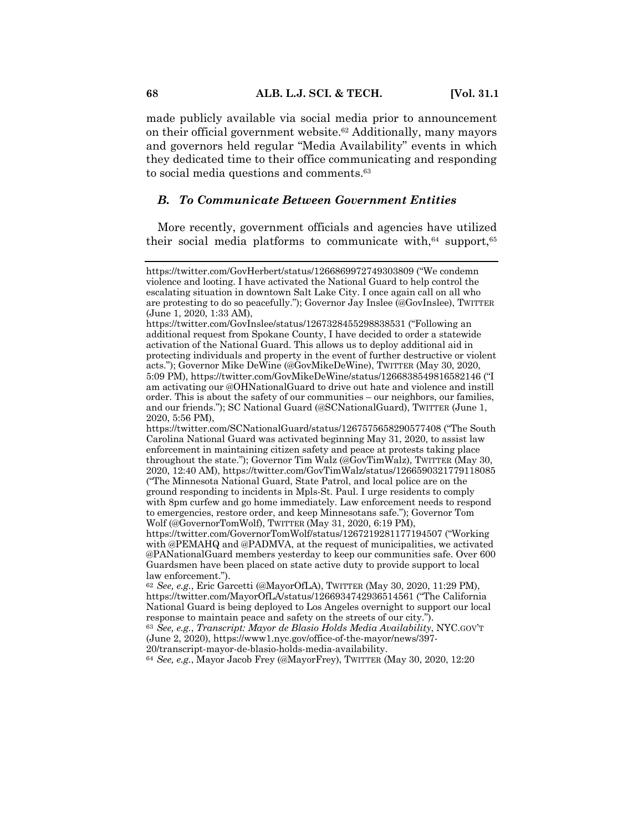made publicly available via social media prior to announcement on their official government website.<sup>62</sup> Additionally, many mayors and governors held regular "Media Availability" events in which they dedicated time to their office communicating and responding to social media questions and comments.<sup>63</sup>

#### *B. To Communicate Between Government Entities*

More recently, government officials and agencies have utilized their social media platforms to communicate with,  $64$  support,  $65$ 

<sup>64</sup> *See, e.g.*, Mayor Jacob Frey (@MayorFrey), TWITTER (May 30, 2020, 12:20

https://twitter.com/GovHerbert/status/1266869972749303809 ("We condemn violence and looting. I have activated the National Guard to help control the escalating situation in downtown Salt Lake City. I once again call on all who are protesting to do so peacefully."); Governor Jay Inslee (@GovInslee), TWITTER (June 1, 2020, 1:33 AM),

https://twitter.com/GovInslee/status/1267328455298838531 ("Following an additional request from Spokane County, I have decided to order a statewide activation of the National Guard. This allows us to deploy additional aid in protecting individuals and property in the event of further destructive or violent acts."); Governor Mike DeWine (@GovMikeDeWine), TWITTER (May 30, 2020, 5:09 PM), https://twitter.com/GovMikeDeWine/status/1266838549816582146 ("I am activating our @OHNationalGuard to drive out hate and violence and instill order. This is about the safety of our communities – our neighbors, our families, and our friends."); SC National Guard (@SCNationalGuard), TWITTER (June 1, 2020, 5:56 PM),

https://twitter.com/SCNationalGuard/status/1267575658290577408 ("The South Carolina National Guard was activated beginning May 31, 2020, to assist law enforcement in maintaining citizen safety and peace at protests taking place throughout the state."); Governor Tim Walz (@GovTimWalz), TWITTER (May 30, 2020, 12:40 AM), https://twitter.com/GovTimWalz/status/1266590321779118085 ("The Minnesota National Guard, State Patrol, and local police are on the ground responding to incidents in Mpls-St. Paul. I urge residents to comply with 8pm curfew and go home immediately. Law enforcement needs to respond to emergencies, restore order, and keep Minnesotans safe."); Governor Tom Wolf (@GovernorTomWolf), TWITTER (May 31, 2020, 6:19 PM),

https://twitter.com/GovernorTomWolf/status/1267219281177194507 ("Working with @PEMAHQ and @PADMVA, at the request of municipalities, we activated @PANationalGuard members yesterday to keep our communities safe. Over 600 Guardsmen have been placed on state active duty to provide support to local law enforcement.").

<sup>62</sup> *See, e.g.*, Eric Garcetti (@MayorOfLA), TWITTER (May 30, 2020, 11:29 PM), https://twitter.com/MayorOfLA/status/1266934742936514561 ("The California National Guard is being deployed to Los Angeles overnight to support our local response to maintain peace and safety on the streets of our city.").

<sup>63</sup> *See, e.g.*, *Transcript: Mayor de Blasio Holds Media Availability*, NYC.GOV'T (June 2, 2020), https://www1.nyc.gov/office-of-the-mayor/news/397- 20/transcript-mayor-de-blasio-holds-media-availability.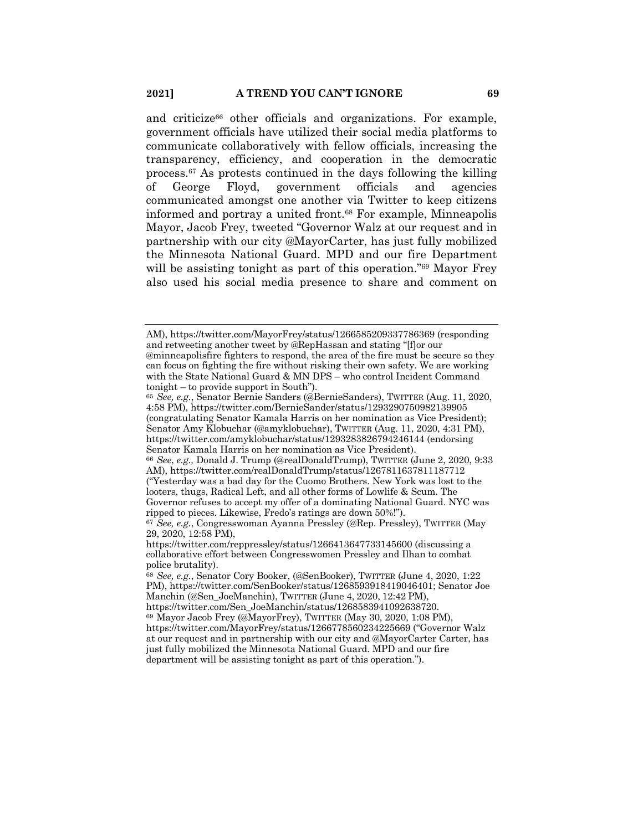and criticize<sup>66</sup> other officials and organizations. For example, government officials have utilized their social media platforms to communicate collaboratively with fellow officials, increasing the transparency, efficiency, and cooperation in the democratic process.67 As protests continued in the days following the killing of George Floyd, government officials and agencies communicated amongst one another via Twitter to keep citizens informed and portray a united front.68 For example, Minneapolis Mayor, Jacob Frey, tweeted "Governor Walz at our request and in partnership with our city @MayorCarter, has just fully mobilized the Minnesota National Guard. MPD and our fire Department will be assisting tonight as part of this operation."<sup>69</sup> Mayor Frey also used his social media presence to share and comment on

AM), https://twitter.com/MayorFrey/status/1266585209337786369 (responding and retweeting another tweet by @RepHassan and stating "[f]or our @minneapolisfire fighters to respond, the area of the fire must be secure so they can focus on fighting the fire without risking their own safety. We are working with the State National Guard & MN DPS – who control Incident Command tonight – to provide support in South").

<sup>65</sup> *See, e.g.*, Senator Bernie Sanders (@BernieSanders), TWITTER (Aug. 11, 2020, 4:58 PM), https://twitter.com/BernieSander/status/1293290750982139905 (congratulating Senator Kamala Harris on her nomination as Vice President); Senator Amy Klobuchar (@amyklobuchar), TWITTER (Aug. 11, 2020, 4:31 PM), https://twitter.com/amyklobuchar/status/1293283826794246144 (endorsing Senator Kamala Harris on her nomination as Vice President). <sup>66</sup> *See*, *e.g.,* Donald J. Trump (@realDonaldTrump), TWITTER (June 2, 2020, 9:33 AM), https://twitter.com/realDonaldTrump/status/1267811637811187712 ("Yesterday was a bad day for the Cuomo Brothers. New York was lost to the looters, thugs, Radical Left, and all other forms of Lowlife & Scum. The Governor refuses to accept my offer of a dominating National Guard. NYC was ripped to pieces. Likewise, Fredo's ratings are down 50%!").

<sup>67</sup> *See, e.g.*, Congresswoman Ayanna Pressley (@Rep. Pressley), TWITTER (May 29, 2020, 12:58 PM),

https://twitter.com/reppressley/status/1266413647733145600 (discussing a collaborative effort between Congresswomen Pressley and Ilhan to combat police brutality).

<sup>68</sup> *See, e.g.*, Senator Cory Booker, (@SenBooker), TWITTER (June 4, 2020, 1:22 PM), https://twitter.com/SenBooker/status/1268593918419046401; Senator Joe Manchin (@Sen\_JoeManchin), TWITTER (June 4, 2020, 12:42 PM), https://twitter.com/Sen\_JoeManchin/status/1268583941092638720.

<sup>69</sup> Mayor Jacob Frey (@MayorFrey), TWITTER (May 30, 2020, 1:08 PM), https://twitter.com/MayorFrey/status/1266778560234225669 ("Governor Walz at our request and in partnership with our city and @MayorCarter Carter, has just fully mobilized the Minnesota National Guard. MPD and our fire department will be assisting tonight as part of this operation.").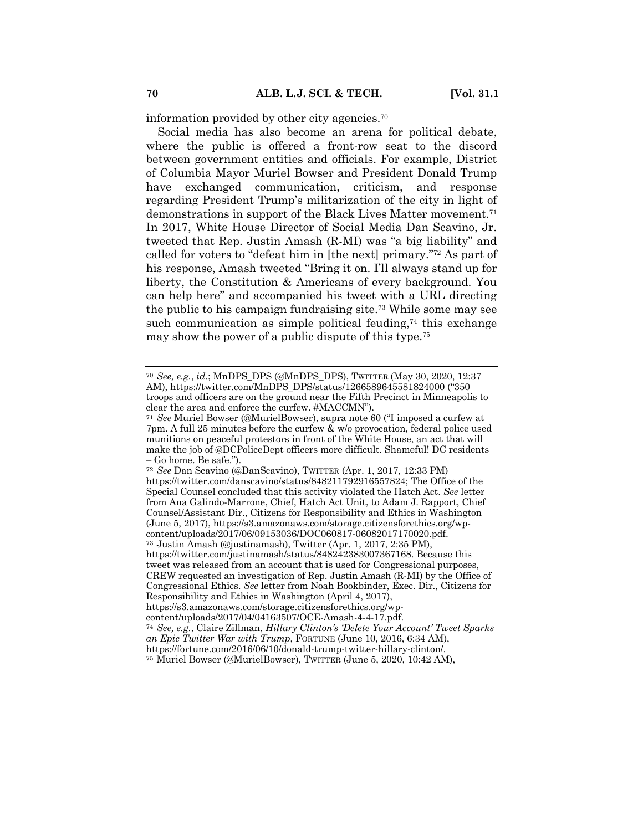information provided by other city agencies.70

Social media has also become an arena for political debate, where the public is offered a front-row seat to the discord between government entities and officials. For example, District of Columbia Mayor Muriel Bowser and President Donald Trump have exchanged communication, criticism, and response regarding President Trump's militarization of the city in light of demonstrations in support of the Black Lives Matter movement.<sup>71</sup> In 2017, White House Director of Social Media Dan Scavino, Jr. tweeted that Rep. Justin Amash (R-MI) was "a big liability" and called for voters to "defeat him in [the next] primary."72 As part of his response, Amash tweeted "Bring it on. I'll always stand up for liberty, the Constitution & Americans of every background. You can help here" and accompanied his tweet with a URL directing the public to his campaign fundraising site.73 While some may see such communication as simple political feuding, $74$  this exchange may show the power of a public dispute of this type.75

https://twitter.com/justinamash/status/848242383007367168. Because this tweet was released from an account that is used for Congressional purposes, CREW requested an investigation of Rep. Justin Amash (R-MI) by the Office of Congressional Ethics. *See* letter from Noah Bookbinder, Exec. Dir., Citizens for Responsibility and Ethics in Washington (April 4, 2017),

<sup>70</sup> *See, e.g.*, *id*.; MnDPS\_DPS (@MnDPS\_DPS), TWITTER (May 30, 2020, 12:37 AM), https://twitter.com/MnDPS\_DPS/status/1266589645581824000 ("350 troops and officers are on the ground near the Fifth Precinct in Minneapolis to clear the area and enforce the curfew. #MACCMN").

<sup>71</sup> *See* Muriel Bowser (@MurielBowser), supra note 60 ("I imposed a curfew at 7pm. A full 25 minutes before the curfew & w/o provocation, federal police used munitions on peaceful protestors in front of the White House, an act that will make the job of @DCPoliceDept officers more difficult. Shameful! DC residents – Go home. Be safe.").

<sup>72</sup> *See* Dan Scavino (@DanScavino), TWITTER (Apr. 1, 2017, 12:33 PM) https://twitter.com/danscavino/status/848211792916557824; The Office of the Special Counsel concluded that this activity violated the Hatch Act. *See* letter from Ana Galindo-Marrone, Chief, Hatch Act Unit, to Adam J. Rapport, Chief Counsel/Assistant Dir., Citizens for Responsibility and Ethics in Washington (June 5, 2017), https://s3.amazonaws.com/storage.citizensforethics.org/wpcontent/uploads/2017/06/09153036/DOC060817-06082017170020.pdf. <sup>73</sup> Justin Amash (@justinamash), Twitter (Apr. 1, 2017, 2:35 PM),

https://s3.amazonaws.com/storage.citizensforethics.org/wp-

content/uploads/2017/04/04163507/OCE-Amash-4-4-17.pdf.

<sup>74</sup> *See, e.g.*, Claire Zillman, *Hillary Clinton's 'Delete Your Account' Tweet Sparks an Epic Twitter War with Trump*, FORTUNE (June 10, 2016, 6:34 AM),

https://fortune.com/2016/06/10/donald-trump-twitter-hillary-clinton/.

<sup>75</sup> Muriel Bowser (@MurielBowser), TWITTER (June 5, 2020, 10:42 AM),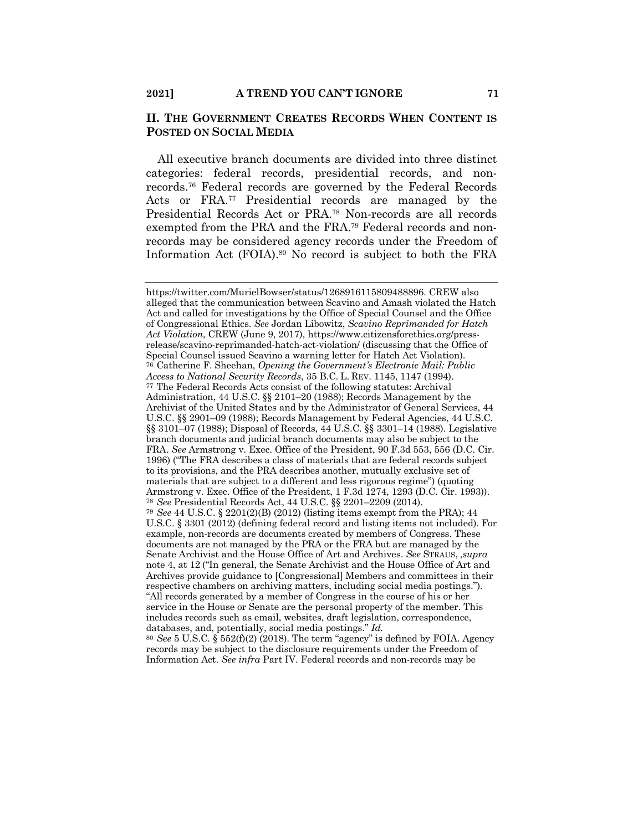## **II. THE GOVERNMENT CREATES RECORDS WHEN CONTENT IS POSTED ON SOCIAL MEDIA**

All executive branch documents are divided into three distinct categories: federal records, presidential records, and nonrecords.76 Federal records are governed by the Federal Records Acts or FRA.77 Presidential records are managed by the Presidential Records Act or PRA.78 Non-records are all records exempted from the PRA and the FRA.79 Federal records and nonrecords may be considered agency records under the Freedom of Information Act (FOIA).80 No record is subject to both the FRA

https://twitter.com/MurielBowser/status/1268916115809488896. CREW also alleged that the communication between Scavino and Amash violated the Hatch Act and called for investigations by the Office of Special Counsel and the Office of Congressional Ethics. *See* Jordan Libowitz, *Scavino Reprimanded for Hatch Act Violation*, CREW (June 9, 2017), https://www.citizensforethics.org/pressrelease/scavino-reprimanded-hatch-act-violation/ (discussing that the Office of Special Counsel issued Scavino a warning letter for Hatch Act Violation). <sup>76</sup> Catherine F. Sheehan, *Opening the Government's Electronic Mail: Public Access to National Security Records*, 35 B.C. L. REV. 1145, 1147 (1994). <sup>77</sup> The Federal Records Acts consist of the following statutes: Archival Administration, 44 U.S.C. §§ 2101–20 (1988); Records Management by the Archivist of the United States and by the Administrator of General Services, 44 U.S.C. §§ 2901–09 (1988); Records Management by Federal Agencies, 44 U.S.C. §§ 3101–07 (1988); Disposal of Records, 44 U.S.C. §§ 3301–14 (1988). Legislative branch documents and judicial branch documents may also be subject to the FRA. *See* Armstrong v. Exec. Office of the President, 90 F.3d 553, 556 (D.C. Cir. 1996) ("The FRA describes a class of materials that are federal records subject to its provisions, and the PRA describes another, mutually exclusive set of materials that are subject to a different and less rigorous regime") (quoting Armstrong v. Exec. Office of the President, 1 F.3d 1274, 1293 (D.C. Cir. 1993)). <sup>78</sup> *See* Presidential Records Act, 44 U.S.C. §§ 2201–2209 (2014). <sup>79</sup> *See* 44 U.S.C. § 2201(2)(B) (2012) (listing items exempt from the PRA); 44 U.S.C. § 3301 (2012) (defining federal record and listing items not included). For example, non-records are documents created by members of Congress. These documents are not managed by the PRA or the FRA but are managed by the Senate Archivist and the House Office of Art and Archives. *See* STRAUS, ,*supra* note 4, at 12 ("In general, the Senate Archivist and the House Office of Art and Archives provide guidance to [Congressional] Members and committees in their respective chambers on archiving matters, including social media postings."). "All records generated by a member of Congress in the course of his or her service in the House or Senate are the personal property of the member. This includes records such as email, websites, draft legislation, correspondence, databases, and, potentially, social media postings." *Id.*

<sup>80</sup> *See* 5 U.S.C. § 552(f)(2) (2018). The term "agency" is defined by FOIA. Agency records may be subject to the disclosure requirements under the Freedom of Information Act. *See infra* Part IV. Federal records and non-records may be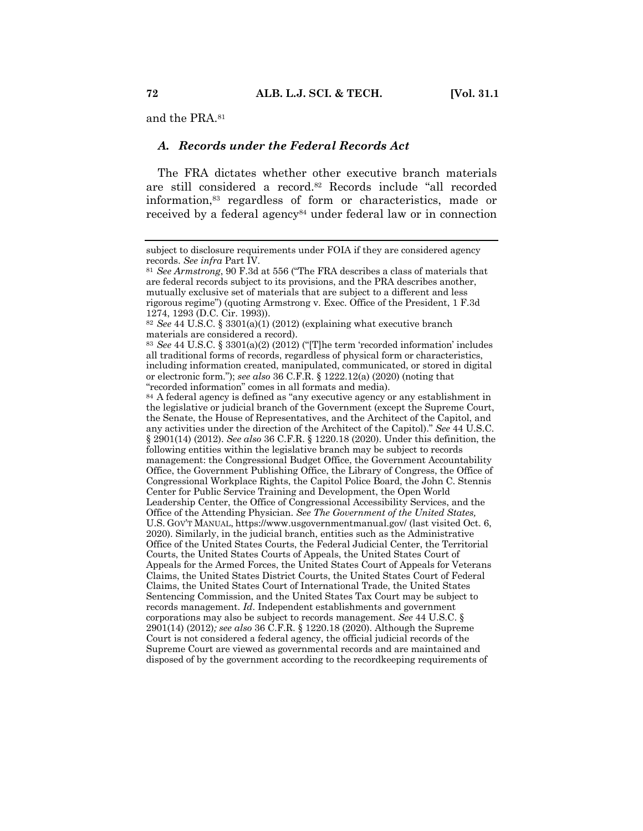and the PRA.81

#### *A. Records under the Federal Records Act*

The FRA dictates whether other executive branch materials are still considered a record.82 Records include "all recorded information,83 regardless of form or characteristics, made or received by a federal agency<sup>84</sup> under federal law or in connection

subject to disclosure requirements under FOIA if they are considered agency records. *See infra* Part IV.

<sup>81</sup> *See Armstrong*, 90 F.3d at 556 ("The FRA describes a class of materials that are federal records subject to its provisions, and the PRA describes another, mutually exclusive set of materials that are subject to a different and less rigorous regime") (quoting Armstrong v. Exec. Office of the President, 1 F.3d 1274, 1293 (D.C. Cir. 1993)).

<sup>82</sup> *See* 44 U.S.C. § 3301(a)(1) (2012) (explaining what executive branch materials are considered a record).

<sup>83</sup> *See* 44 U.S.C. § 3301(a)(2) (2012) ("[T]he term 'recorded information' includes all traditional forms of records, regardless of physical form or characteristics, including information created, manipulated, communicated, or stored in digital or electronic form."); *see also* 36 C.F.R. § 1222.12(a) (2020) (noting that "recorded information" comes in all formats and media).

<sup>84</sup> A federal agency is defined as "any executive agency or any establishment in the legislative or judicial branch of the Government (except the Supreme Court, the Senate, the House of Representatives, and the Architect of the Capitol, and any activities under the direction of the Architect of the Capitol)." *See* 44 U.S.C. § 2901(14) (2012). *See also* 36 C.F.R. § 1220.18 (2020). Under this definition, the following entities within the legislative branch may be subject to records management: the Congressional Budget Office, the Government Accountability Office, the Government Publishing Office, the Library of Congress, the Office of Congressional Workplace Rights, the Capitol Police Board, the John C. Stennis Center for Public Service Training and Development, the Open World Leadership Center, the Office of Congressional Accessibility Services, and the Office of the Attending Physician. *See The Government of the United States,* U.S. GOV'T MANUAL, https://www.usgovernmentmanual.gov/ (last visited Oct. 6, 2020). Similarly, in the judicial branch, entities such as the Administrative Office of the United States Courts, the Federal Judicial Center, the Territorial Courts, the United States Courts of Appeals, the United States Court of Appeals for the Armed Forces, the United States Court of Appeals for Veterans Claims, the United States District Courts, the United States Court of Federal Claims, the United States Court of International Trade, the United States Sentencing Commission, and the United States Tax Court may be subject to records management. *Id*. Independent establishments and government corporations may also be subject to records management. *See* 44 U.S.C. § 2901(14) (2012)*; see also* 36 C.F.R. § 1220.18 (2020). Although the Supreme Court is not considered a federal agency, the official judicial records of the Supreme Court are viewed as governmental records and are maintained and disposed of by the government according to the recordkeeping requirements of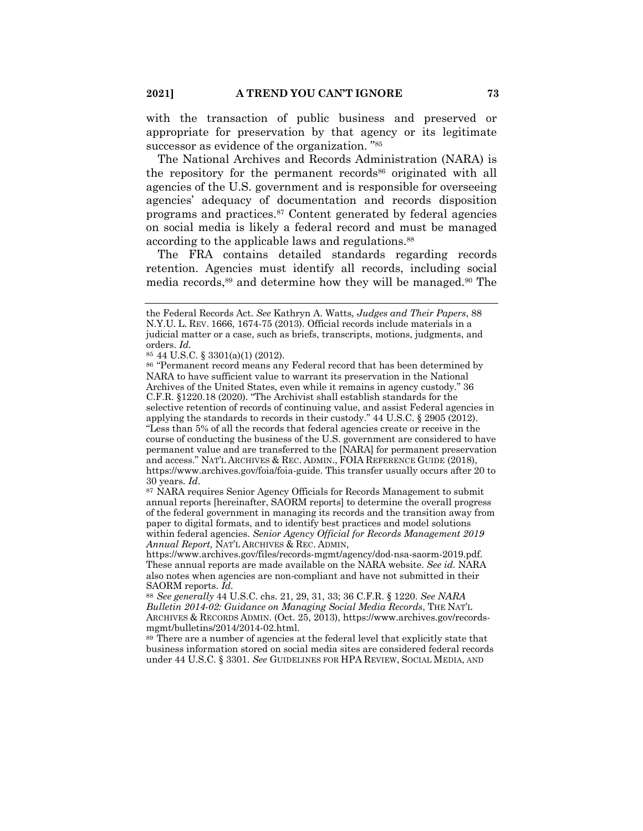with the transaction of public business and preserved or appropriate for preservation by that agency or its legitimate successor as evidence of the organization. "85

The National Archives and Records Administration (NARA) is the repository for the permanent records<sup>86</sup> originated with all agencies of the U.S. government and is responsible for overseeing agencies' adequacy of documentation and records disposition programs and practices.87 Content generated by federal agencies on social media is likely a federal record and must be managed according to the applicable laws and regulations.<sup>88</sup>

The FRA contains detailed standards regarding records retention. Agencies must identify all records, including social media records,89 and determine how they will be managed.90 The

the Federal Records Act. *See* Kathryn A. Watts, *Judges and Their Papers*, 88 N.Y.U. L. REV. 1666, 1674-75 (2013). Official records include materials in a judicial matter or a case, such as briefs, transcripts, motions, judgments, and orders. *Id.*

<sup>85</sup> 44 U.S.C. § 3301(a)(1) (2012).

<sup>86</sup> "Permanent record means any Federal record that has been determined by NARA to have sufficient value to warrant its preservation in the National Archives of the United States, even while it remains in agency custody." 36 C.F.R. §1220.18 (2020). "The Archivist shall establish standards for the selective retention of records of continuing value, and assist Federal agencies in applying the standards to records in their custody." 44 U.S.C. § 2905 (2012). "Less than 5% of all the records that federal agencies create or receive in the course of conducting the business of the U.S. government are considered to have permanent value and are transferred to the [NARA] for permanent preservation and access." NAT'L ARCHIVES & REC. ADMIN., FOIA REFERENCE GUIDE (2018), https://www.archives.gov/foia/foia-guide. This transfer usually occurs after 20 to 30 years. *Id*.

<sup>87</sup> NARA requires Senior Agency Officials for Records Management to submit annual reports [hereinafter, SAORM reports] to determine the overall progress of the federal government in managing its records and the transition away from paper to digital formats, and to identify best practices and model solutions within federal agencies. *Senior Agency Official for Records Management 2019 Annual Report,* NAT'L ARCHIVES & REC. ADMIN,

https://www.archives.gov/files/records-mgmt/agency/dod-nsa-saorm-2019.pdf. These annual reports are made available on the NARA website. *See id.* NARA also notes when agencies are non-compliant and have not submitted in their SAORM reports. *Id.*

<sup>88</sup> *See generally* 44 U.S.C. chs. 21, 29, 31, 33; 36 C.F.R. § 1220. *See NARA Bulletin 2014-02: Guidance on Managing Social Media Records*, THE NAT'L ARCHIVES & RECORDS ADMIN. (Oct. 25, 2013), https://www.archives.gov/recordsmgmt/bulletins/2014/2014-02.html.

<sup>89</sup> There are a number of agencies at the federal level that explicitly state that business information stored on social media sites are considered federal records under 44 U.S.C. § 3301. *See* GUIDELINES FOR HPA REVIEW, SOCIAL MEDIA, AND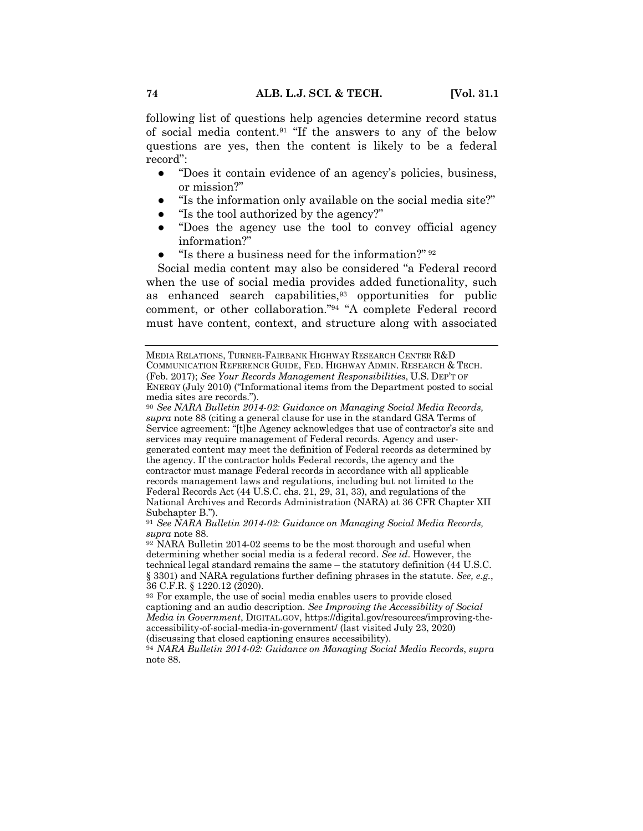following list of questions help agencies determine record status of social media content.91 "If the answers to any of the below questions are yes, then the content is likely to be a federal record":

- "Does it contain evidence of an agency's policies, business, or mission?"
- "Is the information only available on the social media site?"
- "Is the tool authorized by the agency?"
- "Does the agency use the tool to convey official agency information?"
- "Is there a business need for the information?"  $92$

Social media content may also be considered "a Federal record when the use of social media provides added functionality, such as enhanced search capabilities, $93$  opportunities for public comment, or other collaboration."94 "A complete Federal record must have content, context, and structure along with associated

MEDIA RELATIONS, TURNER-FAIRBANK HIGHWAY RESEARCH CENTER R&D COMMUNICATION REFERENCE GUIDE, FED. HIGHWAY ADMIN. RESEARCH & TECH. (Feb. 2017); *See Your Records Management Responsibilities*, U.S. DEP'T OF ENERGY (July 2010) ("Informational items from the Department posted to social media sites are records.").

<sup>91</sup> *See NARA Bulletin 2014-02: Guidance on Managing Social Media Records, supra* note 88.

<sup>92</sup> NARA Bulletin 2014-02 seems to be the most thorough and useful when determining whether social media is a federal record. *See id*. However, the technical legal standard remains the same – the statutory definition (44 U.S.C. § 3301) and NARA regulations further defining phrases in the statute. *See, e.g.*, 36 C.F.R. § 1220.12 (2020).

<sup>93</sup> For example, the use of social media enables users to provide closed captioning and an audio description. *See Improving the Accessibility of Social Media in Government*, DIGITAL.GOV, https://digital.gov/resources/improving-theaccessibility-of-social-media-in-government/ (last visited July 23, 2020) (discussing that closed captioning ensures accessibility).

<sup>94</sup> *NARA Bulletin 2014-02: Guidance on Managing Social Media Records*, *supra*  note 88.

<sup>90</sup> *See NARA Bulletin 2014-02: Guidance on Managing Social Media Records, supra* note 88 (citing a general clause for use in the standard GSA Terms of Service agreement: "[t]he Agency acknowledges that use of contractor's site and services may require management of Federal records. Agency and usergenerated content may meet the definition of Federal records as determined by the agency. If the contractor holds Federal records, the agency and the contractor must manage Federal records in accordance with all applicable records management laws and regulations, including but not limited to the Federal Records Act (44 U.S.C. chs. 21, 29, 31, 33), and regulations of the National Archives and Records Administration (NARA) at 36 CFR Chapter XII Subchapter B.").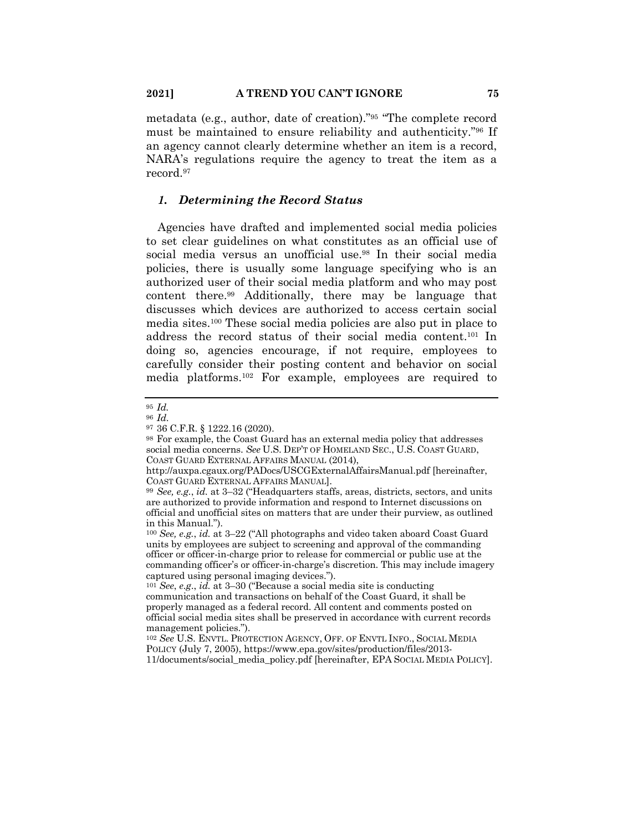metadata (e.g., author, date of creation)."95 "The complete record must be maintained to ensure reliability and authenticity."96 If an agency cannot clearly determine whether an item is a record, NARA's regulations require the agency to treat the item as a record.97

### *1. Determining the Record Status*

Agencies have drafted and implemented social media policies to set clear guidelines on what constitutes as an official use of social media versus an unofficial use.98 In their social media policies, there is usually some language specifying who is an authorized user of their social media platform and who may post content there.99 Additionally, there may be language that discusses which devices are authorized to access certain social media sites.100 These social media policies are also put in place to address the record status of their social media content.101 In doing so, agencies encourage, if not require, employees to carefully consider their posting content and behavior on social media platforms.102 For example, employees are required to

<sup>98</sup> For example, the Coast Guard has an external media policy that addresses social media concerns. *See* U.S. DEP'T OF HOMELAND SEC., U.S. COAST GUARD, COAST GUARD EXTERNAL AFFAIRS MANUAL (2014),

<sup>95</sup> *Id.*

<sup>96</sup> *Id*.

<sup>97</sup> 36 C.F.R. § 1222.16 (2020).

http://auxpa.cgaux.org/PADocs/USCGExternalAffairsManual.pdf [hereinafter, COAST GUARD EXTERNAL AFFAIRS MANUAL].

<sup>99</sup> *See, e.g.*, *id.* at 3–32 ("Headquarters staffs, areas, districts, sectors, and units are authorized to provide information and respond to Internet discussions on official and unofficial sites on matters that are under their purview, as outlined in this Manual.").

<sup>100</sup> *See, e.g.*, *id.* at 3–22 ("All photographs and video taken aboard Coast Guard units by employees are subject to screening and approval of the commanding officer or officer-in-charge prior to release for commercial or public use at the commanding officer's or officer-in-charge's discretion. This may include imagery captured using personal imaging devices.").

<sup>101</sup> *See*, *e.g*., *id.* at 3–30 ("Because a social media site is conducting communication and transactions on behalf of the Coast Guard, it shall be properly managed as a federal record. All content and comments posted on official social media sites shall be preserved in accordance with current records management policies.").

<sup>102</sup> *See* U.S. ENVTL. PROTECTION AGENCY, OFF. OF ENVTL INFO., SOCIAL MEDIA POLICY (July 7, 2005), https://www.epa.gov/sites/production/files/2013- 11/documents/social\_media\_policy.pdf [hereinafter, EPA SOCIAL MEDIA POLICY].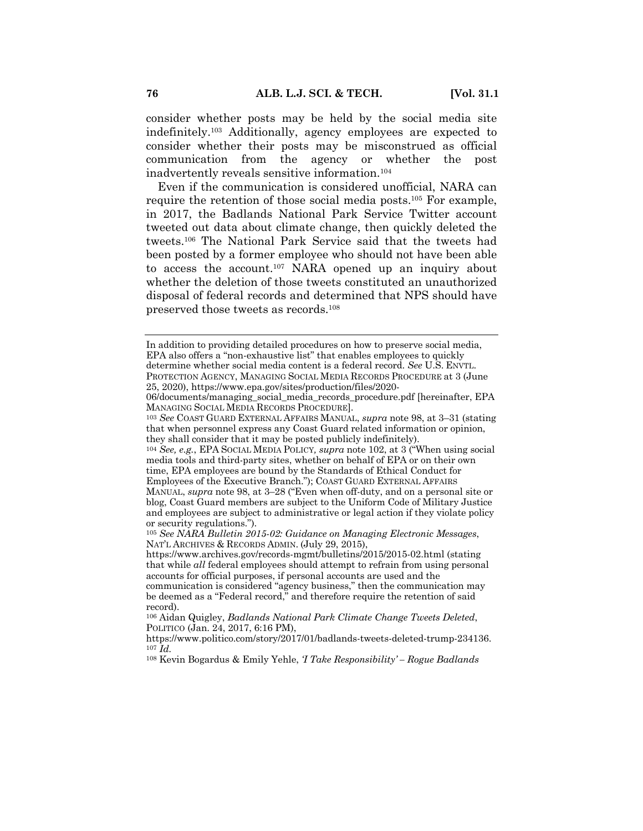consider whether posts may be held by the social media site indefinitely.103 Additionally, agency employees are expected to consider whether their posts may be misconstrued as official communication from the agency or whether the post inadvertently reveals sensitive information.104

Even if the communication is considered unofficial, NARA can require the retention of those social media posts. <sup>105</sup> For example, in 2017, the Badlands National Park Service Twitter account tweeted out data about climate change, then quickly deleted the tweets.106 The National Park Service said that the tweets had been posted by a former employee who should not have been able to access the account.107 NARA opened up an inquiry about whether the deletion of those tweets constituted an unauthorized disposal of federal records and determined that NPS should have preserved those tweets as records.108

<sup>104</sup> *See, e.g.*, EPA SOCIAL MEDIA POLICY*, supra* note 102, at 3 ("When using social media tools and third-party sites, whether on behalf of EPA or on their own time, EPA employees are bound by the Standards of Ethical Conduct for Employees of the Executive Branch."); COAST GUARD EXTERNAL AFFAIRS MANUAL, *supra* note 98, at 3–28 ("Even when off-duty, and on a personal site or

In addition to providing detailed procedures on how to preserve social media, EPA also offers a "non-exhaustive list" that enables employees to quickly determine whether social media content is a federal record. *See* U.S. ENVTL. PROTECTION AGENCY, MANAGING SOCIAL MEDIA RECORDS PROCEDURE at 3 (June 25, 2020), https://www.epa.gov/sites/production/files/2020-

<sup>06/</sup>documents/managing\_social\_media\_records\_procedure.pdf [hereinafter, EPA MANAGING SOCIAL MEDIA RECORDS PROCEDURE].

<sup>103</sup> *See* COAST GUARD EXTERNAL AFFAIRS MANUAL, *supra* note 98, at 3–31 (stating that when personnel express any Coast Guard related information or opinion, they shall consider that it may be posted publicly indefinitely).

blog, Coast Guard members are subject to the Uniform Code of Military Justice and employees are subject to administrative or legal action if they violate policy or security regulations.").

<sup>105</sup> *See NARA Bulletin 2015-02: Guidance on Managing Electronic Messages*, NAT'L ARCHIVES & RECORDS ADMIN. (July 29, 2015),

https://www.archives.gov/records-mgmt/bulletins/2015/2015-02.html (stating that while *all* federal employees should attempt to refrain from using personal accounts for official purposes, if personal accounts are used and the communication is considered "agency business," then the communication may be deemed as a "Federal record," and therefore require the retention of said record).

<sup>106</sup> Aidan Quigley, *Badlands National Park Climate Change Tweets Deleted*, POLITICO (Jan. 24, 2017, 6:16 PM),

https://www.politico.com/story/2017/01/badlands-tweets-deleted-trump-234136. <sup>107</sup> *Id.*

<sup>108</sup> Kevin Bogardus & Emily Yehle, *'I Take Responsibility' – Rogue Badlands*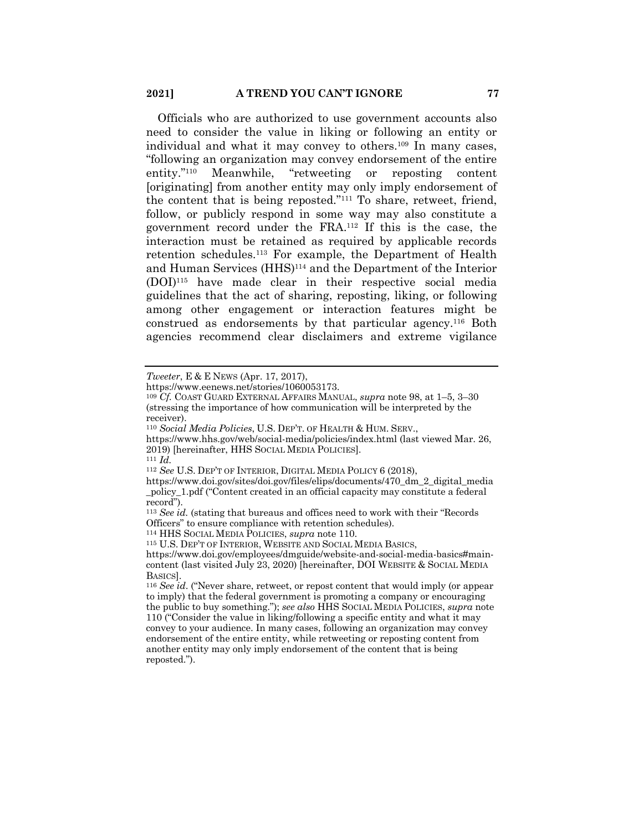Officials who are authorized to use government accounts also need to consider the value in liking or following an entity or individual and what it may convey to others.109 In many cases, "following an organization may convey endorsement of the entire entity."110 Meanwhile, "retweeting or reposting content [originating] from another entity may only imply endorsement of the content that is being reposted."111 To share, retweet, friend, follow, or publicly respond in some way may also constitute a government record under the FRA.112 If this is the case, the interaction must be retained as required by applicable records retention schedules.113 For example, the Department of Health and Human Services (HHS)114 and the Department of the Interior (DOI)115 have made clear in their respective social media guidelines that the act of sharing, reposting, liking, or following among other engagement or interaction features might be construed as endorsements by that particular agency.116 Both agencies recommend clear disclaimers and extreme vigilance

<sup>111</sup> *Id.*

*Tweeter*, E & E NEWS (Apr. 17, 2017),

https://www.eenews.net/stories/1060053173.

<sup>109</sup> *Cf.* COAST GUARD EXTERNAL AFFAIRS MANUAL, *supra* note 98, at 1–5, 3–30 (stressing the importance of how communication will be interpreted by the receiver).

<sup>110</sup> *Social Media Policies*, U.S. DEP'T. OF HEALTH & HUM. SERV.,

https://www.hhs.gov/web/social-media/policies/index.html (last viewed Mar. 26, 2019) [hereinafter, HHS SOCIAL MEDIA POLICIES].

<sup>112</sup> *See* U.S. DEP'T OF INTERIOR, DIGITAL MEDIA POLICY 6 (2018),

https://www.doi.gov/sites/doi.gov/files/elips/documents/470\_dm\_2\_digital\_media \_policy\_1.pdf ("Content created in an official capacity may constitute a federal record").

<sup>113</sup> *See id.* (stating that bureaus and offices need to work with their "Records Officers" to ensure compliance with retention schedules).

<sup>114</sup> HHS SOCIAL MEDIA POLICIES, *supra* note 110.

<sup>115</sup> U.S. DEP'T OF INTERIOR, WEBSITE AND SOCIAL MEDIA BASICS,

https://www.doi.gov/employees/dmguide/website-and-social-media-basics#maincontent (last visited July 23, 2020) [hereinafter, DOI WEBSITE & SOCIAL MEDIA BASICS].

<sup>116</sup> *See id*. ("Never share, retweet, or repost content that would imply (or appear to imply) that the federal government is promoting a company or encouraging the public to buy something."); *see also* HHS SOCIAL MEDIA POLICIES, *supra* note 110 ("Consider the value in liking/following a specific entity and what it may convey to your audience. In many cases, following an organization may convey endorsement of the entire entity, while retweeting or reposting content from another entity may only imply endorsement of the content that is being reposted.").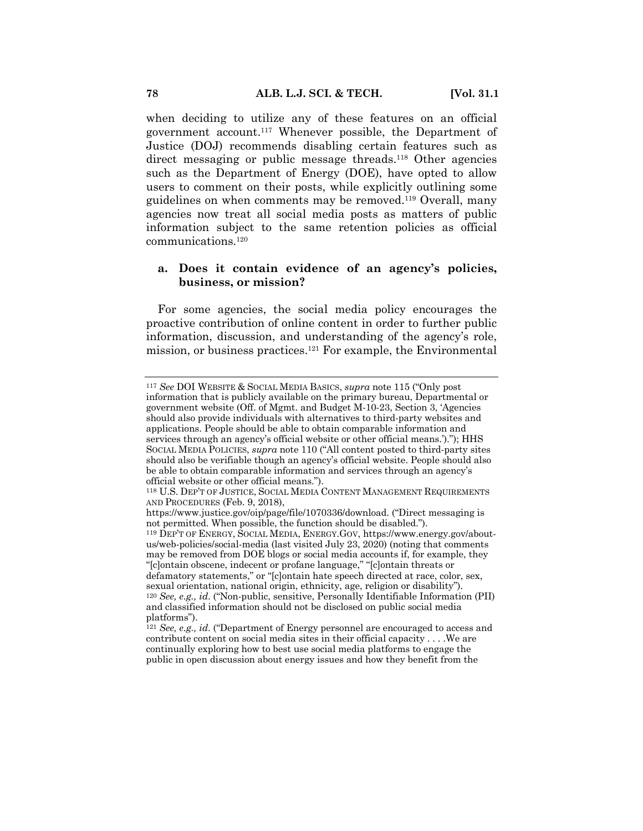when deciding to utilize any of these features on an official government account.117 Whenever possible, the Department of Justice (DOJ) recommends disabling certain features such as direct messaging or public message threads.<sup>118</sup> Other agencies such as the Department of Energy (DOE), have opted to allow users to comment on their posts, while explicitly outlining some guidelines on when comments may be removed.119 Overall, many agencies now treat all social media posts as matters of public information subject to the same retention policies as official communications.120

# **a. Does it contain evidence of an agency's policies, business, or mission?**

For some agencies, the social media policy encourages the proactive contribution of online content in order to further public information, discussion, and understanding of the agency's role, mission, or business practices.121 For example, the Environmental

<sup>117</sup> *See* DOI WEBSITE & SOCIAL MEDIA BASICS, *supra* note 115 ("Only post information that is publicly available on the primary bureau, Departmental or government website (Off. of Mgmt. and Budget M-10-23, Section 3, 'Agencies should also provide individuals with alternatives to third-party websites and applications. People should be able to obtain comparable information and services through an agency's official website or other official means.')."); HHS SOCIAL MEDIA POLICIES, *supra* note 110 ("All content posted to third-party sites should also be verifiable though an agency's official website. People should also be able to obtain comparable information and services through an agency's official website or other official means.").

<sup>118</sup> U.S. DEP'T OF JUSTICE, SOCIAL MEDIA CONTENT MANAGEMENT REQUIREMENTS AND PROCEDURES (Feb. 9, 2018),

https://www.justice.gov/oip/page/file/1070336/download. ("Direct messaging is not permitted. When possible, the function should be disabled.").

<sup>119</sup> DEP'T OF ENERGY, SOCIAL MEDIA, ENERGY.GOV, https://www.energy.gov/aboutus/web-policies/social-media (last visited July 23, 2020) (noting that comments may be removed from DOE blogs or social media accounts if, for example, they "[c]ontain obscene, indecent or profane language," "[c]ontain threats or defamatory statements," or "[c]ontain hate speech directed at race, color, sex, sexual orientation, national origin, ethnicity, age, religion or disability"). <sup>120</sup> *See, e.g., id*. ("Non-public, sensitive, Personally Identifiable Information (PII) and classified information should not be disclosed on public social media platforms").

<sup>121</sup> *See, e.g., id*. ("Department of Energy personnel are encouraged to access and contribute content on social media sites in their official capacity . . . .We are continually exploring how to best use social media platforms to engage the public in open discussion about energy issues and how they benefit from the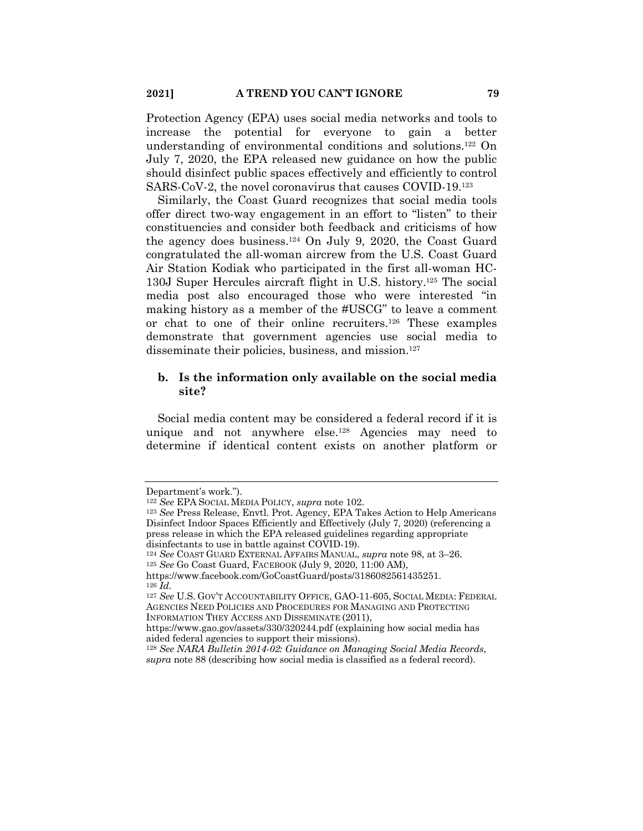Protection Agency (EPA) uses social media networks and tools to increase the potential for everyone to gain a better understanding of environmental conditions and solutions.122 On July 7, 2020, the EPA released new guidance on how the public should disinfect public spaces effectively and efficiently to control SARS-CoV-2, the novel coronavirus that causes COVID-19.123

Similarly, the Coast Guard recognizes that social media tools offer direct two-way engagement in an effort to "listen" to their constituencies and consider both feedback and criticisms of how the agency does business.124 On July 9, 2020, the Coast Guard congratulated the all-woman aircrew from the U.S. Coast Guard Air Station Kodiak who participated in the first all-woman HC-130J Super Hercules aircraft flight in U.S. history.125 The social media post also encouraged those who were interested "in making history as a member of the #USCG" to leave a comment or chat to one of their online recruiters.126 These examples demonstrate that government agencies use social media to disseminate their policies, business, and mission.<sup>127</sup>

## **b. Is the information only available on the social media site?**

Social media content may be considered a federal record if it is unique and not anywhere else.128 Agencies may need to determine if identical content exists on another platform or

Department's work.").

<sup>122</sup> *See* EPA SOCIAL MEDIA POLICY, *supra* note 102.

<sup>123</sup> *See* Press Release, Envtl. Prot. Agency, EPA Takes Action to Help Americans Disinfect Indoor Spaces Efficiently and Effectively (July 7, 2020) (referencing a press release in which the EPA released guidelines regarding appropriate disinfectants to use in battle against COVID-19).

<sup>124</sup> *See* COAST GUARD EXTERNAL AFFAIRS MANUAL, *supra* note 98, at 3–26.

<sup>125</sup> *See* Go Coast Guard, FACEBOOK (July 9, 2020, 11:00 AM),

https://www.facebook.com/GoCoastGuard/posts/3186082561435251. <sup>126</sup> *Id.*

<sup>127</sup> *See* U.S. GOV'T ACCOUNTABILITY OFFICE, GAO-11-605, SOCIAL MEDIA: FEDERAL AGENCIES NEED POLICIES AND PROCEDURES FOR MANAGING AND PROTECTING INFORMATION THEY ACCESS AND DISSEMINATE (2011),

https://www.gao.gov/assets/330/320244.pdf (explaining how social media has aided federal agencies to support their missions).

<sup>128</sup> *See NARA Bulletin 2014-02: Guidance on Managing Social Media Records*, *supra* note 88 (describing how social media is classified as a federal record).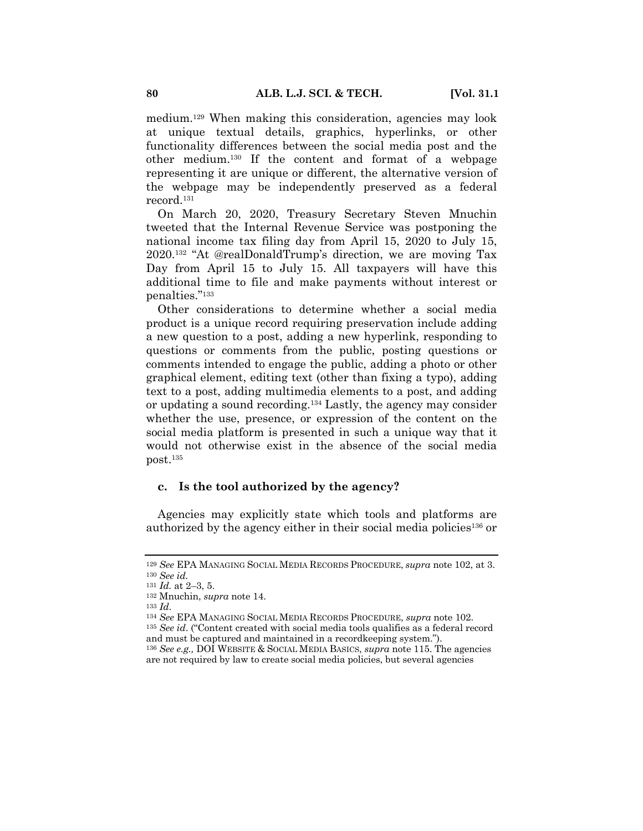medium.129 When making this consideration, agencies may look at unique textual details, graphics, hyperlinks, or other functionality differences between the social media post and the other medium.130 If the content and format of a webpage representing it are unique or different, the alternative version of the webpage may be independently preserved as a federal record.131

On March 20, 2020, Treasury Secretary Steven Mnuchin tweeted that the Internal Revenue Service was postponing the national income tax filing day from April 15, 2020 to July 15, 2020.132 "At @realDonaldTrump's direction, we are moving Tax Day from April 15 to July 15. All taxpayers will have this additional time to file and make payments without interest or penalties."133

Other considerations to determine whether a social media product is a unique record requiring preservation include adding a new question to a post, adding a new hyperlink, responding to questions or comments from the public, posting questions or comments intended to engage the public, adding a photo or other graphical element, editing text (other than fixing a typo), adding text to a post, adding multimedia elements to a post, and adding or updating a sound recording.134 Lastly, the agency may consider whether the use, presence, or expression of the content on the social media platform is presented in such a unique way that it would not otherwise exist in the absence of the social media post.135

#### **c. Is the tool authorized by the agency?**

Agencies may explicitly state which tools and platforms are authorized by the agency either in their social media policies<sup>136</sup> or

<sup>129</sup> *See* EPA MANAGING SOCIAL MEDIA RECORDS PROCEDURE, *supra* note 102, at 3. <sup>130</sup> *See id.*

<sup>131</sup> *Id.* at 2–3, 5.

<sup>132</sup> Mnuchin, *supra* note 14.

<sup>133</sup> *Id*.

<sup>134</sup> *See* EPA MANAGING SOCIAL MEDIA RECORDS PROCEDURE, *supra* note 102.

<sup>135</sup> *See id*. ("Content created with social media tools qualifies as a federal record and must be captured and maintained in a recordkeeping system.").

<sup>136</sup> *See e.g.,* DOI WEBSITE & SOCIAL MEDIA BASICS, *supra* note 115. The agencies are not required by law to create social media policies, but several agencies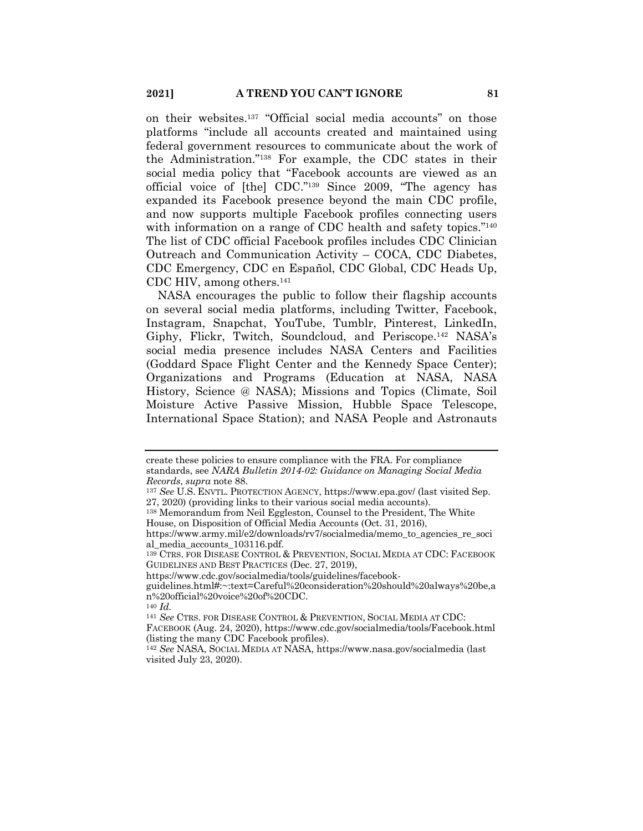on their websites.137 "Official social media accounts" on those platforms "include all accounts created and maintained using federal government resources to communicate about the work of the Administration."138 For example, the CDC states in their social media policy that "Facebook accounts are viewed as an official voice of [the] CDC."139 Since 2009, "The agency has expanded its Facebook presence beyond the main CDC profile, and now supports multiple Facebook profiles connecting users with information on a range of CDC health and safety topics."<sup>140</sup> The list of CDC official Facebook profiles includes CDC Clinician Outreach and Communication Activity – COCA, CDC Diabetes, CDC Emergency, CDC en Español, CDC Global, CDC Heads Up, CDC HIV, among others.141

NASA encourages the public to follow their flagship accounts on several social media platforms, including Twitter, Facebook, Instagram, Snapchat, YouTube, Tumblr, Pinterest, LinkedIn, Giphy, Flickr, Twitch, Soundcloud, and Periscope.142 NASA's social media presence includes NASA Centers and Facilities (Goddard Space Flight Center and the Kennedy Space Center); Organizations and Programs (Education at NASA, NASA History, Science @ NASA); Missions and Topics (Climate, Soil Moisture Active Passive Mission, Hubble Space Telescope, International Space Station); and NASA People and Astronauts

create these policies to ensure compliance with the FRA. For compliance standards, see *NARA Bulletin 2014-02: Guidance on Managing Social Media Records*, *supra* note 88.

<sup>137</sup> *See* U.S. ENVTL. PROTECTION AGENCY, https://www.epa.gov/ (last visited Sep. 27, 2020) (providing links to their various social media accounts).

<sup>138</sup> Memorandum from Neil Eggleston, Counsel to the President, The White House, on Disposition of Official Media Accounts (Oct. 31, 2016),

https://www.army.mil/e2/downloads/rv7/socialmedia/memo\_to\_agencies\_re\_soci al\_media\_accounts\_103116.pdf.

<sup>139</sup> CTRS. FOR DISEASE CONTROL & PREVENTION, SOCIAL MEDIA AT CDC: FACEBOOK GUIDELINES AND BEST PRACTICES (Dec. 27, 2019),

https://www.cdc.gov/socialmedia/tools/guidelines/facebook-

guidelines.html#:~:text=Careful%20consideration%20should%20always%20be,a n%20official%20voice%20of%20CDC.

<sup>140</sup> *Id.*

<sup>141</sup> *See* CTRS. FOR DISEASE CONTROL & PREVENTION, SOCIAL MEDIA AT CDC:

FACEBOOK (Aug. 24, 2020), https://www.cdc.gov/socialmedia/tools/Facebook.html (listing the many CDC Facebook profiles).

<sup>142</sup> *See* NASA, SOCIAL MEDIA AT NASA, https://www.nasa.gov/socialmedia (last visited July 23, 2020).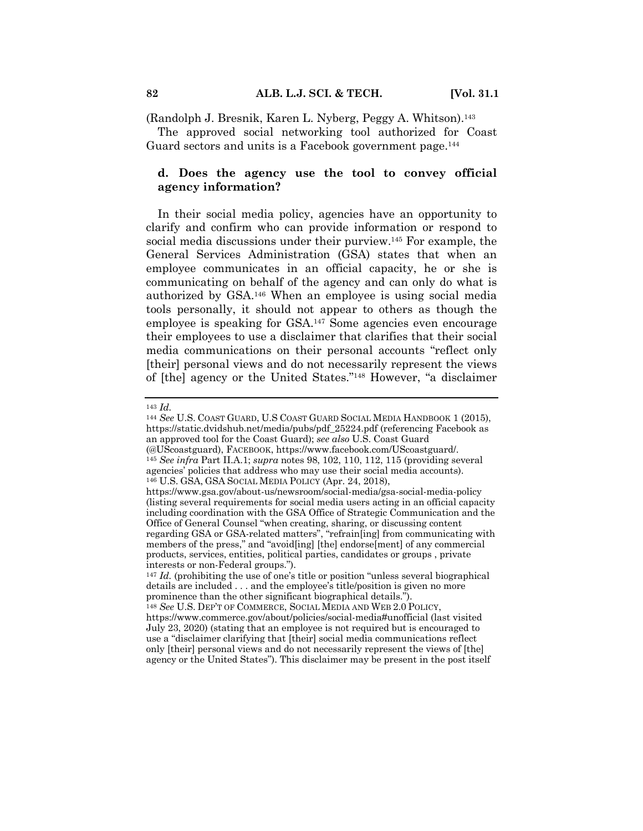(Randolph J. Bresnik, Karen L. Nyberg, Peggy A. Whitson).143

The approved social networking tool authorized for Coast Guard sectors and units is a Facebook government page.<sup>144</sup>

## **d. Does the agency use the tool to convey official agency information?**

In their social media policy, agencies have an opportunity to clarify and confirm who can provide information or respond to social media discussions under their purview.<sup>145</sup> For example, the General Services Administration (GSA) states that when an employee communicates in an official capacity, he or she is communicating on behalf of the agency and can only do what is authorized by GSA.146 When an employee is using social media tools personally, it should not appear to others as though the employee is speaking for GSA.147 Some agencies even encourage their employees to use a disclaimer that clarifies that their social media communications on their personal accounts "reflect only [their] personal views and do not necessarily represent the views of [the] agency or the United States."148 However, "a disclaimer

<sup>143</sup> *Id.*

<sup>144</sup> *See* U.S. COAST GUARD, U.S COAST GUARD SOCIAL MEDIA HANDBOOK 1 (2015), https://static.dvidshub.net/media/pubs/pdf\_25224.pdf (referencing Facebook as an approved tool for the Coast Guard); *see also* U.S. Coast Guard (@UScoastguard), FACEBOOK, https://www.facebook.com/UScoastguard/. <sup>145</sup> *See infra* Part II.A.1; *supra* notes 98, 102, 110, 112, 115 (providing several agencies' policies that address who may use their social media accounts). <sup>146</sup> U.S. GSA, GSA SOCIAL MEDIA POLICY (Apr. 24, 2018), https://www.gsa.gov/about-us/newsroom/social-media/gsa-social-media-policy (listing several requirements for social media users acting in an official capacity including coordination with the GSA Office of Strategic Communication and the Office of General Counsel "when creating, sharing, or discussing content regarding GSA or GSA-related matters", "refrain[ing] from communicating with members of the press," and "avoid[ing] [the] endorse[ment] of any commercial products, services, entities, political parties, candidates or groups , private interests or non-Federal groups.").

<sup>147</sup> *Id.* (prohibiting the use of one's title or position "unless several biographical details are included . . . and the employee's title/position is given no more prominence than the other significant biographical details.").

<sup>148</sup> *See* U.S. DEP'T OF COMMERCE, SOCIAL MEDIA AND WEB 2.0 POLICY, https://www.commerce.gov/about/policies/social-media#unofficial (last visited July 23, 2020) (stating that an employee is not required but is encouraged to use a "disclaimer clarifying that [their] social media communications reflect only [their] personal views and do not necessarily represent the views of [the] agency or the United States"). This disclaimer may be present in the post itself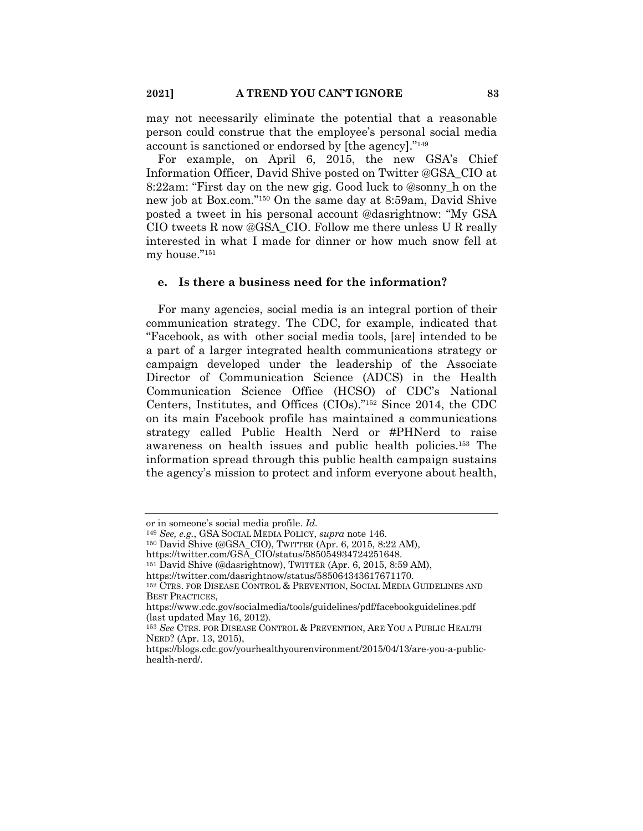may not necessarily eliminate the potential that a reasonable person could construe that the employee's personal social media account is sanctioned or endorsed by [the agency]."149

For example, on April 6, 2015, the new GSA's Chief Information Officer, David Shive posted on Twitter @GSA\_CIO at 8:22am: "First day on the new gig. Good luck to @sonny\_h on the new job at Box.com."150 On the same day at 8:59am, David Shive posted a tweet in his personal account @dasrightnow: "My GSA CIO tweets R now @GSA\_CIO. Follow me there unless U R really interested in what I made for dinner or how much snow fell at my house."151

#### **e. Is there a business need for the information?**

For many agencies, social media is an integral portion of their communication strategy. The CDC, for example, indicated that "Facebook, as with other social media tools, [are] intended to be a part of a larger integrated health communications strategy or campaign developed under the leadership of the Associate Director of Communication Science (ADCS) in the Health Communication Science Office (HCSO) of CDC's National Centers, Institutes, and Offices (CIOs)."152 Since 2014, the CDC on its main Facebook profile has maintained a communications strategy called Public Health Nerd or #PHNerd to raise awareness on health issues and public health policies.153 The information spread through this public health campaign sustains the agency's mission to protect and inform everyone about health,

or in someone's social media profile. *Id.*

<sup>149</sup> *See, e.g.*, GSA SOCIAL MEDIA POLICY, *supra* note 146.

<sup>150</sup> David Shive (@GSA\_CIO), TWITTER (Apr. 6, 2015, 8:22 AM),

https://twitter.com/GSA\_CIO/status/585054934724251648.

<sup>151</sup> David Shive (@dasrightnow), TWITTER (Apr. 6, 2015, 8:59 AM),

https://twitter.com/dasrightnow/status/585064343617671170.

<sup>152</sup> CTRS. FOR DISEASE CONTROL & PREVENTION, SOCIAL MEDIA GUIDELINES AND BEST PRACTICES,

https://www.cdc.gov/socialmedia/tools/guidelines/pdf/facebookguidelines.pdf (last updated May 16, 2012).

<sup>153</sup> *See* CTRS. FOR DISEASE CONTROL & PREVENTION, ARE YOU A PUBLIC HEALTH NERD? (Apr. 13, 2015),

https://blogs.cdc.gov/yourhealthyourenvironment/2015/04/13/are-you-a-publichealth-nerd/.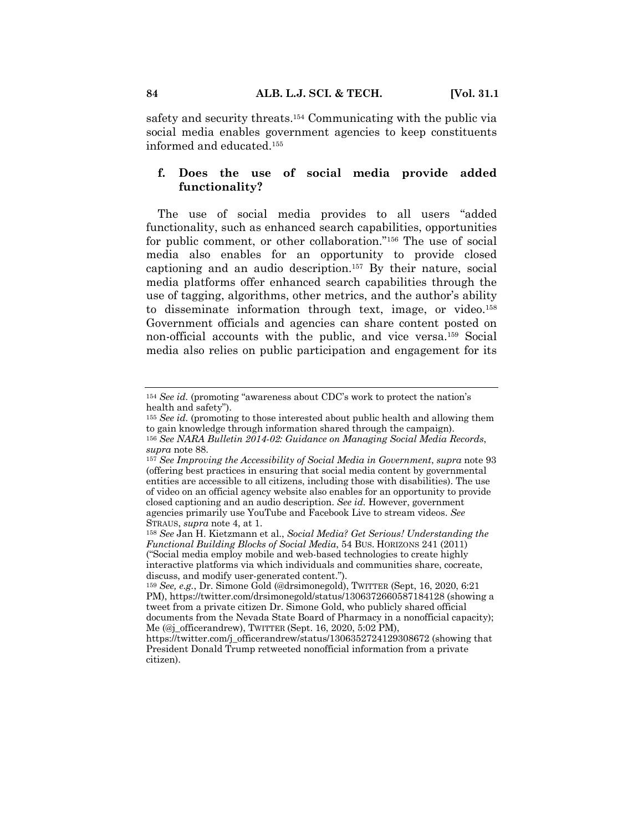safety and security threats.154 Communicating with the public via social media enables government agencies to keep constituents informed and educated.155

# **f. Does the use of social media provide added functionality?**

The use of social media provides to all users "added functionality, such as enhanced search capabilities, opportunities for public comment, or other collaboration."156 The use of social media also enables for an opportunity to provide closed captioning and an audio description.157 By their nature, social media platforms offer enhanced search capabilities through the use of tagging, algorithms, other metrics, and the author's ability to disseminate information through text, image, or video.158 Government officials and agencies can share content posted on non-official accounts with the public, and vice versa.159 Social media also relies on public participation and engagement for its

<sup>154</sup> *See id.* (promoting "awareness about CDC's work to protect the nation's health and safety").

<sup>155</sup> *See id.* (promoting to those interested about public health and allowing them to gain knowledge through information shared through the campaign). <sup>156</sup> *See NARA Bulletin 2014-02: Guidance on Managing Social Media Records*, *supra* note 88.

<sup>157</sup> *See Improving the Accessibility of Social Media in Government*, *supra* note 93 (offering best practices in ensuring that social media content by governmental entities are accessible to all citizens, including those with disabilities). The use of video on an official agency website also enables for an opportunity to provide closed captioning and an audio description. *See id.* However, government agencies primarily use YouTube and Facebook Live to stream videos. *See* STRAUS, *supra* note 4, at 1.

<sup>158</sup> *See* Jan H. Kietzmann et al., *Social Media? Get Serious! Understanding the Functional Building Blocks of Social Media*, 54 BUS. HORIZONS 241 (2011) ("Social media employ mobile and web-based technologies to create highly interactive platforms via which individuals and communities share, cocreate, discuss, and modify user-generated content.").

<sup>159</sup> *See, e.g.*, Dr. Simone Gold (@drsimonegold), TWITTER (Sept, 16, 2020, 6:21 PM), https://twitter.com/drsimonegold/status/1306372660587184128 (showing a tweet from a private citizen Dr. Simone Gold, who publicly shared official documents from the Nevada State Board of Pharmacy in a nonofficial capacity); Me (@j\_officerandrew), TWITTER (Sept. 16, 2020, 5:02 PM),

https://twitter.com/j\_officerandrew/status/1306352724129308672 (showing that President Donald Trump retweeted nonofficial information from a private citizen).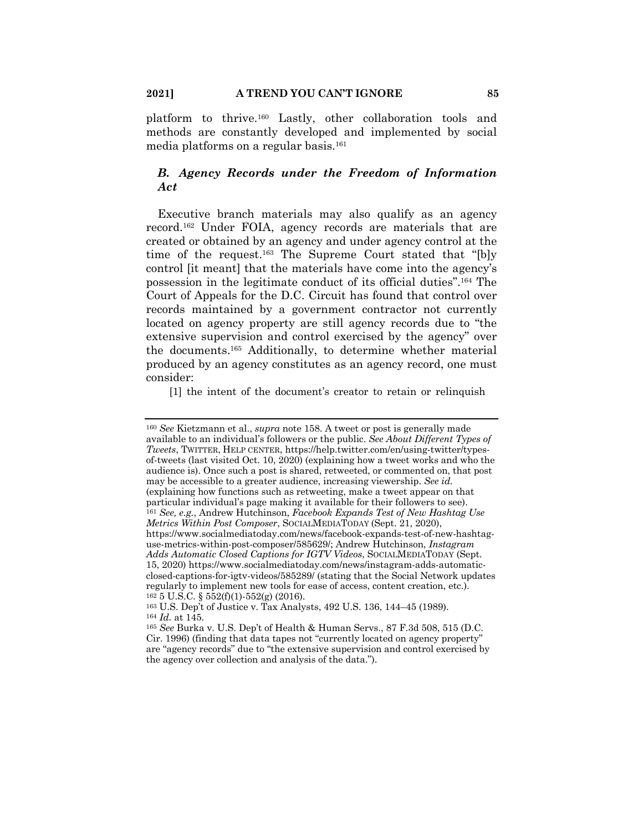platform to thrive.160 Lastly, other collaboration tools and methods are constantly developed and implemented by social media platforms on a regular basis.161

# *B. Agency Records under the Freedom of Information Act*

Executive branch materials may also qualify as an agency record.162 Under FOIA, agency records are materials that are created or obtained by an agency and under agency control at the time of the request.163 The Supreme Court stated that "[b]y control [it meant] that the materials have come into the agency's possession in the legitimate conduct of its official duties".164 The Court of Appeals for the D.C. Circuit has found that control over records maintained by a government contractor not currently located on agency property are still agency records due to "the extensive supervision and control exercised by the agency" over the documents.165 Additionally, to determine whether material produced by an agency constitutes as an agency record, one must consider:

[1] the intent of the document's creator to retain or relinquish

<sup>160</sup> *See* Kietzmann et al., *supra* note 158. A tweet or post is generally made available to an individual's followers or the public. *See About Different Types of Tweets*, TWITTER, HELP CENTER, https://help.twitter.com/en/using-twitter/typesof-tweets (last visited Oct. 10, 2020) (explaining how a tweet works and who the audience is). Once such a post is shared, retweeted, or commented on, that post may be accessible to a greater audience, increasing viewership. *See id.* (explaining how functions such as retweeting, make a tweet appear on that particular individual's page making it available for their followers to see). <sup>161</sup> *See, e.g.*, Andrew Hutchinson, *Facebook Expands Test of New Hashtag Use Metrics Within Post Composer*, SOCIALMEDIATODAY (Sept. 21, 2020), https://www.socialmediatoday.com/news/facebook-expands-test-of-new-hashtaguse-metrics-within-post-composer/585629/; Andrew Hutchinson, *Instagram Adds Automatic Closed Captions for IGTV Videos*, SOCIALMEDIATODAY (Sept. 15, 2020) https://www.socialmediatoday.com/news/instagram-adds-automaticclosed-captions-for-igtv-videos/585289/ (stating that the Social Network updates regularly to implement new tools for ease of access, content creation, etc.). <sup>162</sup> 5 U.S.C. § 552(f)(1)-552(g) (2016).

<sup>163</sup> U.S. Dep't of Justice v. Tax Analysts, 492 U.S. 136, 144–45 (1989). <sup>164</sup> *Id.* at 145.

<sup>165</sup> *See* Burka v. U.S. Dep't of Health & Human Servs., 87 F.3d 508, 515 (D.C. Cir. 1996) (finding that data tapes not "currently located on agency property" are "agency records" due to "the extensive supervision and control exercised by the agency over collection and analysis of the data.").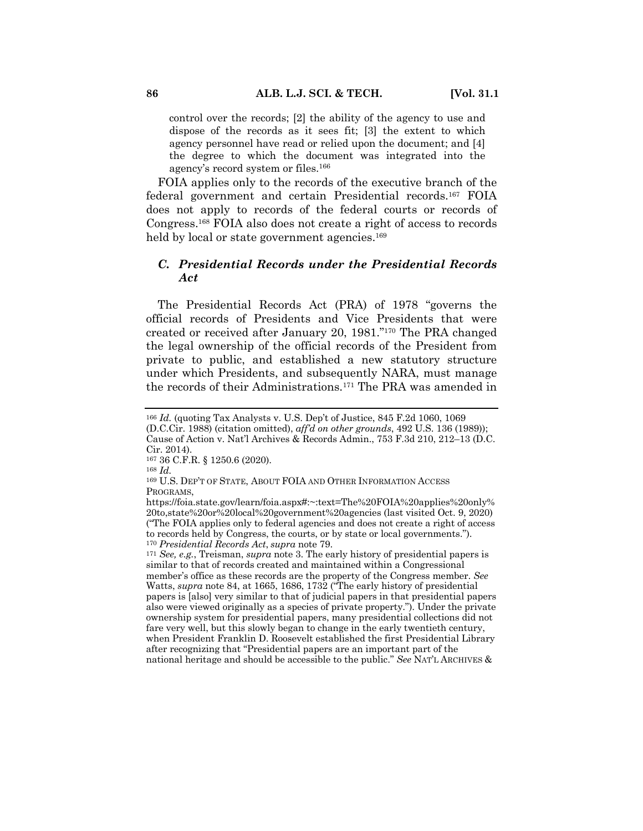control over the records; [2] the ability of the agency to use and dispose of the records as it sees fit; [3] the extent to which agency personnel have read or relied upon the document; and [4] the degree to which the document was integrated into the agency's record system or files.166

FOIA applies only to the records of the executive branch of the federal government and certain Presidential records.167 FOIA does not apply to records of the federal courts or records of Congress.168 FOIA also does not create a right of access to records held by local or state government agencies.<sup>169</sup>

# *C. Presidential Records under the Presidential Records Act*

The Presidential Records Act (PRA) of 1978 "governs the official records of Presidents and Vice Presidents that were created or received after January 20, 1981."170 The PRA changed the legal ownership of the official records of the President from private to public, and established a new statutory structure under which Presidents, and subsequently NARA, must manage the records of their Administrations.171 The PRA was amended in

<sup>168</sup> *Id.*

<sup>166</sup> *Id.* (quoting Tax Analysts v. U.S. Dep't of Justice, 845 F.2d 1060, 1069 (D.C.Cir. 1988) (citation omitted), *aff'd on other grounds*, 492 U.S. 136 (1989)); Cause of Action v. Nat'l Archives & Records Admin., 753 F.3d 210, 212–13 (D.C. Cir. 2014).

<sup>167</sup> 36 C.F.R. § 1250.6 (2020).

<sup>169</sup> U.S. DEP'T OF STATE, ABOUT FOIA AND OTHER INFORMATION ACCESS PROGRAMS,

https://foia.state.gov/learn/foia.aspx#:~:text=The%20FOIA%20applies%20only% 20to,state%20or%20local%20government%20agencies (last visited Oct. 9, 2020) ("The FOIA applies only to federal agencies and does not create a right of access to records held by Congress, the courts, or by state or local governments."). <sup>170</sup> *Presidential Records Act*, *supra* note 79.

<sup>171</sup> *See, e.g.*, Treisman, *supra* note 3. The early history of presidential papers is similar to that of records created and maintained within a Congressional member's office as these records are the property of the Congress member. *See*  Watts, *supra* note 84, at 1665, 1686, 1732 ("The early history of presidential papers is [also] very similar to that of judicial papers in that presidential papers also were viewed originally as a species of private property."). Under the private ownership system for presidential papers, many presidential collections did not fare very well, but this slowly began to change in the early twentieth century, when President Franklin D. Roosevelt established the first Presidential Library after recognizing that "Presidential papers are an important part of the national heritage and should be accessible to the public." *See* NAT'L ARCHIVES &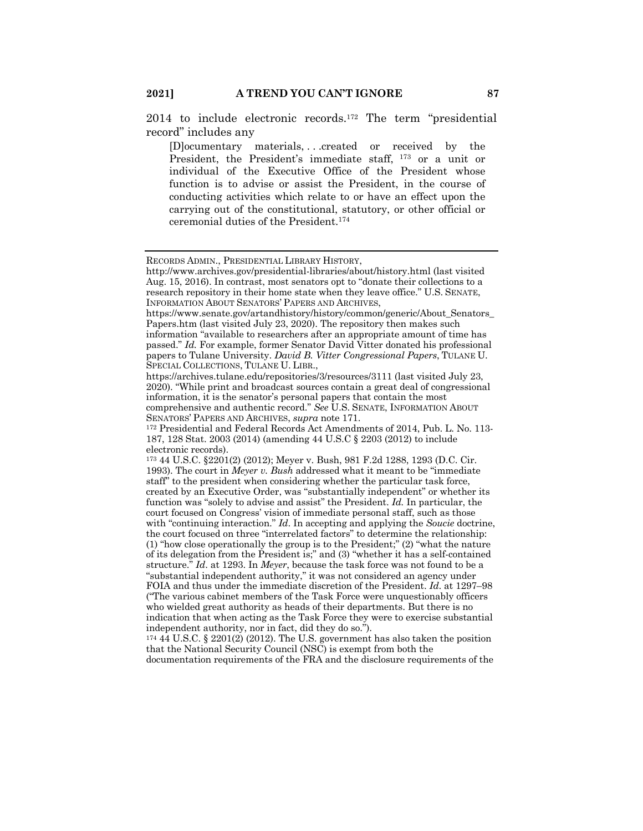2014 to include electronic records.172 The term "presidential record" includes any

[D]ocumentary materials, . . .created or received by the President, the President's immediate staff, <sup>173</sup> or a unit or individual of the Executive Office of the President whose function is to advise or assist the President, in the course of conducting activities which relate to or have an effect upon the carrying out of the constitutional, statutory, or other official or ceremonial duties of the President.174

documentation requirements of the FRA and the disclosure requirements of the

RECORDS ADMIN., PRESIDENTIAL LIBRARY HISTORY,

http://www.archives.gov/presidential-libraries/about/history.html (last visited Aug. 15, 2016). In contrast, most senators opt to "donate their collections to a research repository in their home state when they leave office." U.S. SENATE, INFORMATION ABOUT SENATORS' PAPERS AND ARCHIVES,

https://www.senate.gov/artandhistory/history/common/generic/About\_Senators\_ Papers.htm (last visited July 23, 2020). The repository then makes such

information "available to researchers after an appropriate amount of time has passed." *Id.* For example, former Senator David Vitter donated his professional papers to Tulane University. *David B. Vitter Congressional Papers*, TULANE U. SPECIAL COLLECTIONS, TULANE U. LIBR.,

https://archives.tulane.edu/repositories/3/resources/3111 (last visited July 23, 2020). "While print and broadcast sources contain a great deal of congressional information, it is the senator's personal papers that contain the most comprehensive and authentic record." *See* U.S. SENATE, INFORMATION ABOUT SENATORS' PAPERS AND ARCHIVES, *supra* note 171.

<sup>172</sup> Presidential and Federal Records Act Amendments of 2014, Pub. L. No. 113- 187, 128 Stat. 2003 (2014) (amending 44 U.S.C § 2203 (2012) to include electronic records).

<sup>173</sup> 44 U.S.C. §2201(2) (2012); Meyer v. Bush, 981 F.2d 1288, 1293 (D.C. Cir. 1993). The court in *Meyer v. Bush* addressed what it meant to be "immediate staff" to the president when considering whether the particular task force, created by an Executive Order, was "substantially independent" or whether its function was "solely to advise and assist" the President. *Id.* In particular, the court focused on Congress' vision of immediate personal staff, such as those with "continuing interaction." *Id*. In accepting and applying the *Soucie* doctrine, the court focused on three "interrelated factors" to determine the relationship: (1) "how close operationally the group is to the President;" (2) "what the nature of its delegation from the President is;" and (3) "whether it has a self-contained structure." *Id*. at 1293. In *Meyer*, because the task force was not found to be a "substantial independent authority," it was not considered an agency under FOIA and thus under the immediate discretion of the President. *Id*. at 1297–98 ("The various cabinet members of the Task Force were unquestionably officers who wielded great authority as heads of their departments. But there is no indication that when acting as the Task Force they were to exercise substantial independent authority, nor in fact, did they do so.").

<sup>174</sup> 44 U.S.C. § 2201(2) (2012). The U.S. government has also taken the position that the National Security Council (NSC) is exempt from both the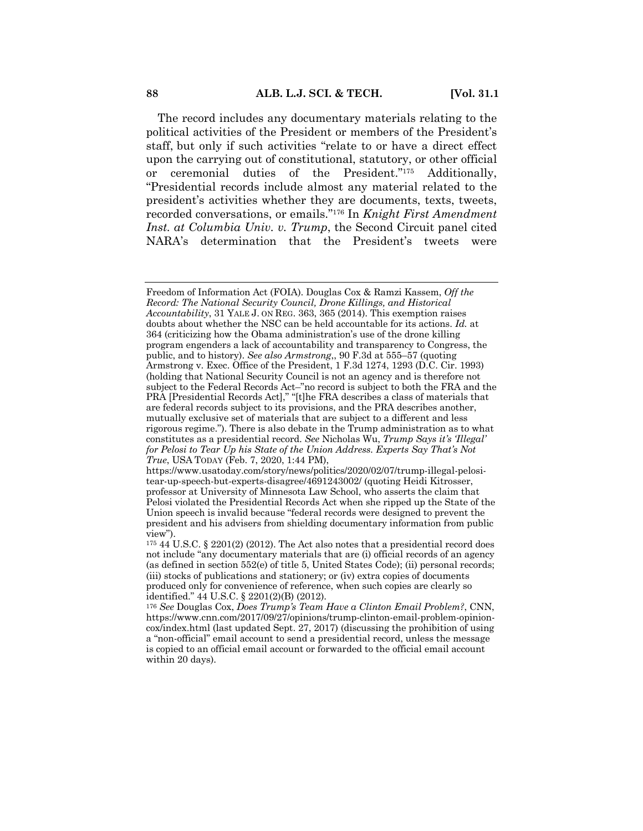The record includes any documentary materials relating to the political activities of the President or members of the President's staff, but only if such activities "relate to or have a direct effect upon the carrying out of constitutional, statutory, or other official or ceremonial duties of the President."175 Additionally, "Presidential records include almost any material related to the president's activities whether they are documents, texts, tweets, recorded conversations, or emails."176 In *Knight First Amendment Inst. at Columbia Univ. v. Trump*, the Second Circuit panel cited NARA's determination that the President's tweets were

Freedom of Information Act (FOIA). Douglas Cox & Ramzi Kassem, *Off the Record: The National Security Council, Drone Killings, and Historical Accountability*, 31 YALE J. ON REG. 363, 365 (2014). This exemption raises doubts about whether the NSC can be held accountable for its actions. *Id.* at 364 (criticizing how the Obama administration's use of the drone killing program engenders a lack of accountability and transparency to Congress, the public, and to history). *See also Armstrong*,, 90 F.3d at 555–57 (quoting Armstrong v. Exec. Office of the President, 1 F.3d 1274, 1293 (D.C. Cir. 1993) (holding that National Security Council is not an agency and is therefore not subject to the Federal Records Act–"no record is subject to both the FRA and the PRA [Presidential Records Act]," "[t]he FRA describes a class of materials that are federal records subject to its provisions, and the PRA describes another, mutually exclusive set of materials that are subject to a different and less rigorous regime."). There is also debate in the Trump administration as to what constitutes as a presidential record. *See* Nicholas Wu, *Trump Says it's 'Illegal' for Pelosi to Tear Up his State of the Union Address. Experts Say That's Not True*, USA TODAY (Feb. 7, 2020, 1:44 PM),

https://www.usatoday.com/story/news/politics/2020/02/07/trump-illegal-pelositear-up-speech-but-experts-disagree/4691243002/ (quoting Heidi Kitrosser, professor at University of Minnesota Law School, who asserts the claim that Pelosi violated the Presidential Records Act when she ripped up the State of the Union speech is invalid because "federal records were designed to prevent the president and his advisers from shielding documentary information from public view").

<sup>175</sup> 44 U.S.C. § 2201(2) (2012). The Act also notes that a presidential record does not include "any documentary materials that are (i) official records of an agency (as defined in section 552(e) of title 5, United States Code); (ii) personal records; (iii) stocks of publications and stationery; or (iv) extra copies of documents produced only for convenience of reference, when such copies are clearly so identified." 44 U.S.C. § 2201(2)(B) (2012).

<sup>176</sup> *See* Douglas Cox, *Does Trump's Team Have a Clinton Email Problem?*, CNN, https://www.cnn.com/2017/09/27/opinions/trump-clinton-email-problem-opinioncox/index.html (last updated Sept. 27, 2017) (discussing the prohibition of using a "non-official" email account to send a presidential record, unless the message is copied to an official email account or forwarded to the official email account within 20 days).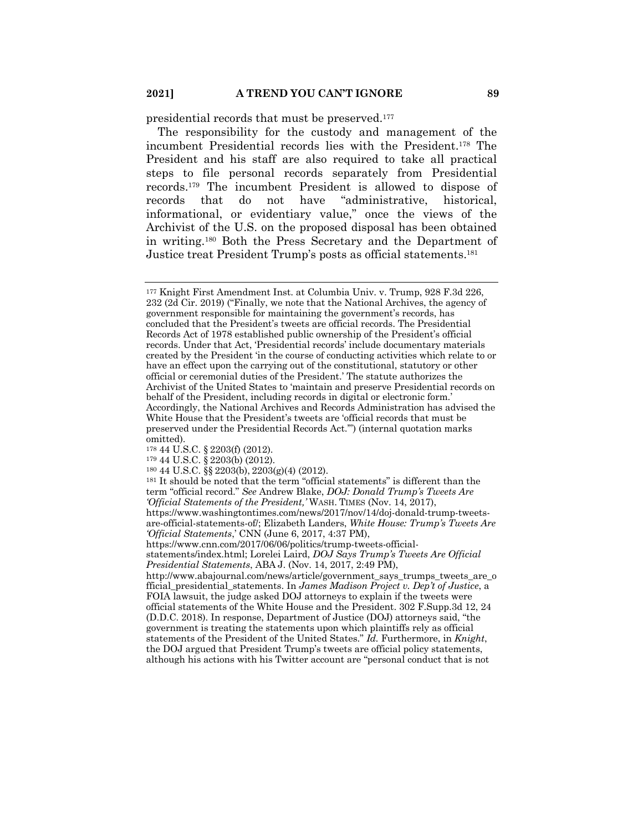presidential records that must be preserved.177

The responsibility for the custody and management of the incumbent Presidential records lies with the President.178 The President and his staff are also required to take all practical steps to file personal records separately from Presidential records.179 The incumbent President is allowed to dispose of records that do not have "administrative, historical, informational, or evidentiary value," once the views of the Archivist of the U.S. on the proposed disposal has been obtained in writing.180 Both the Press Secretary and the Department of Justice treat President Trump's posts as official statements.181

<sup>177</sup> Knight First Amendment Inst. at Columbia Univ. v. Trump, 928 F.3d 226, 232 (2d Cir. 2019) ("Finally, we note that the National Archives, the agency of government responsible for maintaining the government's records, has concluded that the President's tweets are official records. The Presidential Records Act of 1978 established public ownership of the President's official records. Under that Act, 'Presidential records' include documentary materials created by the President 'in the course of conducting activities which relate to or have an effect upon the carrying out of the constitutional, statutory or other official or ceremonial duties of the President.' The statute authorizes the Archivist of the United States to 'maintain and preserve Presidential records on behalf of the President, including records in digital or electronic form.' Accordingly, the National Archives and Records Administration has advised the White House that the President's tweets are 'official records that must be preserved under the Presidential Records Act.'") (internal quotation marks omitted).

<sup>178</sup> 44 U.S.C. § 2203(f) (2012).

<sup>179</sup> 44 U.S.C. § 2203(b) (2012).

<sup>180</sup> 44 U.S.C. §§ 2203(b), 2203(g)(4) (2012).

<sup>181</sup> It should be noted that the term "official statements" is different than the term "official record." *See* Andrew Blake, *DOJ: Donald Trump's Tweets Are 'Official Statements of the President,'* WASH. TIMES (Nov. 14, 2017), https://www.washingtontimes.com/news/2017/nov/14/doj-donald-trump-tweetsare-official-statements-of/; Elizabeth Landers, *White House: Trump's Tweets Are* 

*<sup>&#</sup>x27;Official Statements*,' CNN (June 6, 2017, 4:37 PM), https://www.cnn.com/2017/06/06/politics/trump-tweets-official-

statements/index.html; Lorelei Laird, *DOJ Says Trump's Tweets Are Official Presidential Statements*, ABA J. (Nov. 14, 2017, 2:49 PM),

http://www.abajournal.com/news/article/government\_says\_trumps\_tweets\_are\_o fficial\_presidential\_statements. In *James Madison Project v. Dep't of Justice*, a FOIA lawsuit, the judge asked DOJ attorneys to explain if the tweets were official statements of the White House and the President. 302 F.Supp.3d 12, 24 (D.D.C. 2018). In response, Department of Justice (DOJ) attorneys said, "the government is treating the statements upon which plaintiffs rely as official statements of the President of the United States." *Id.* Furthermore, in *Knight*, the DOJ argued that President Trump's tweets are official policy statements, although his actions with his Twitter account are "personal conduct that is not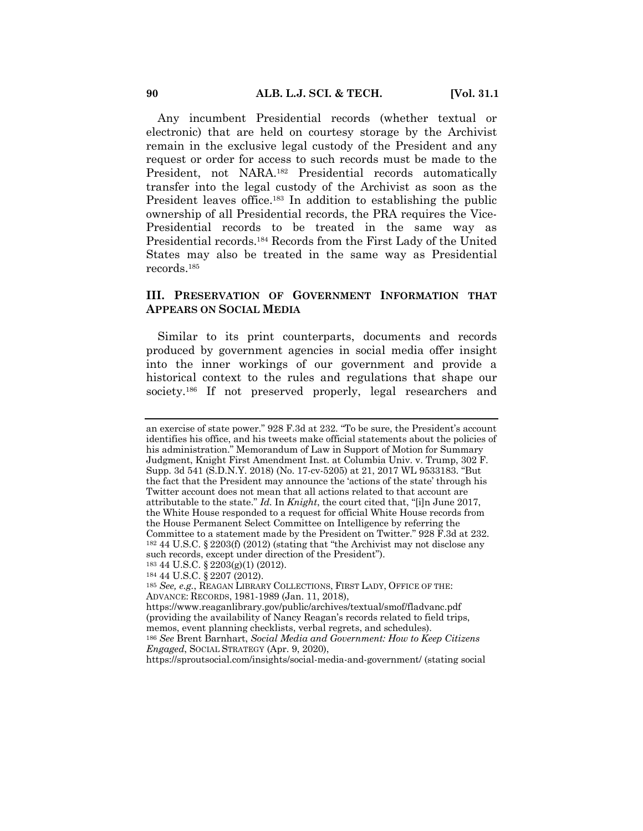Any incumbent Presidential records (whether textual or electronic) that are held on courtesy storage by the Archivist remain in the exclusive legal custody of the President and any request or order for access to such records must be made to the President, not NARA.182 Presidential records automatically transfer into the legal custody of the Archivist as soon as the President leaves office.<sup>183</sup> In addition to establishing the public ownership of all Presidential records, the PRA requires the Vice-Presidential records to be treated in the same way as Presidential records.184 Records from the First Lady of the United States may also be treated in the same way as Presidential records.185

## **III. PRESERVATION OF GOVERNMENT INFORMATION THAT APPEARS ON SOCIAL MEDIA**

Similar to its print counterparts, documents and records produced by government agencies in social media offer insight into the inner workings of our government and provide a historical context to the rules and regulations that shape our society.<sup>186</sup> If not preserved properly, legal researchers and

https://sproutsocial.com/insights/social-media-and-government/ (stating social

an exercise of state power." 928 F.3d at 232. "To be sure, the President's account identifies his office, and his tweets make official statements about the policies of his administration." Memorandum of Law in Support of Motion for Summary Judgment, Knight First Amendment Inst. at Columbia Univ. v. Trump, 302 F. Supp. 3d 541 (S.D.N.Y. 2018) (No. 17-cv-5205) at 21, 2017 WL 9533183. "But the fact that the President may announce the 'actions of the state' through his Twitter account does not mean that all actions related to that account are attributable to the state." *Id.* In *Knight*, the court cited that, "[i]n June 2017, the White House responded to a request for official White House records from the House Permanent Select Committee on Intelligence by referring the Committee to a statement made by the President on Twitter." 928 F.3d at 232. <sup>182</sup> 44 U.S.C. § 2203(f) (2012) (stating that "the Archivist may not disclose any such records, except under direction of the President"). <sup>183</sup> 44 U.S.C. § 2203(g)(1) (2012).

<sup>184</sup> 44 U.S.C. § 2207 (2012).

<sup>185</sup> *See, e.g.*, REAGAN LIBRARY COLLECTIONS, FIRST LADY, OFFICE OF THE: ADVANCE: RECORDS, 1981-1989 (Jan. 11, 2018),

https://www.reaganlibrary.gov/public/archives/textual/smof/fladvanc.pdf (providing the availability of Nancy Reagan's records related to field trips, memos, event planning checklists, verbal regrets, and schedules). <sup>186</sup> *See* Brent Barnhart, *Social Media and Government: How to Keep Citizens* 

*Engaged*, SOCIAL STRATEGY (Apr. 9, 2020),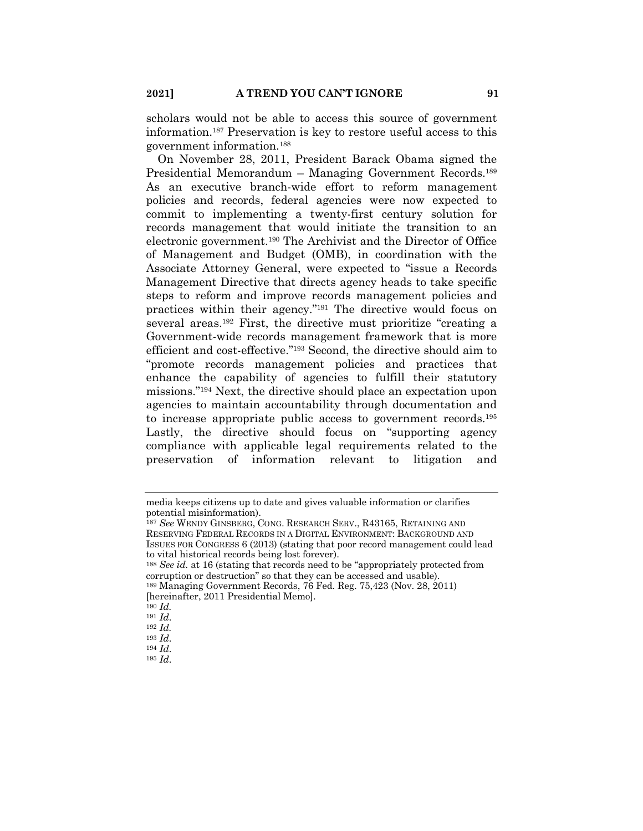scholars would not be able to access this source of government information.187 Preservation is key to restore useful access to this government information.188

On November 28, 2011, President Barack Obama signed the Presidential Memorandum – Managing Government Records.189 As an executive branch-wide effort to reform management policies and records, federal agencies were now expected to commit to implementing a twenty-first century solution for records management that would initiate the transition to an electronic government.190 The Archivist and the Director of Office of Management and Budget (OMB), in coordination with the Associate Attorney General, were expected to "issue a Records Management Directive that directs agency heads to take specific steps to reform and improve records management policies and practices within their agency."191 The directive would focus on several areas.192 First, the directive must prioritize "creating a Government-wide records management framework that is more efficient and cost-effective."193 Second, the directive should aim to "promote records management policies and practices that enhance the capability of agencies to fulfill their statutory missions."194 Next, the directive should place an expectation upon agencies to maintain accountability through documentation and to increase appropriate public access to government records.195 Lastly, the directive should focus on "supporting agency compliance with applicable legal requirements related to the preservation of information relevant to litigation and

<sup>190</sup> *Id.*

<sup>193</sup> *Id*. <sup>194</sup> *Id*.

<sup>195</sup> *Id*.

media keeps citizens up to date and gives valuable information or clarifies potential misinformation).

<sup>187</sup> *See* WENDY GINSBERG, CONG. RESEARCH SERV., R43165, RETAINING AND RESERVING FEDERAL RECORDS IN A DIGITAL ENVIRONMENT: BACKGROUND AND ISSUES FOR CONGRESS 6 (2013) (stating that poor record management could lead to vital historical records being lost forever).

<sup>188</sup> *See id.* at 16 (stating that records need to be "appropriately protected from corruption or destruction" so that they can be accessed and usable).

<sup>189</sup> Managing Government Records, 76 Fed. Reg. 75,423 (Nov. 28, 2011) [hereinafter, 2011 Presidential Memo].

<sup>191</sup> *Id*.

<sup>192</sup> *Id.*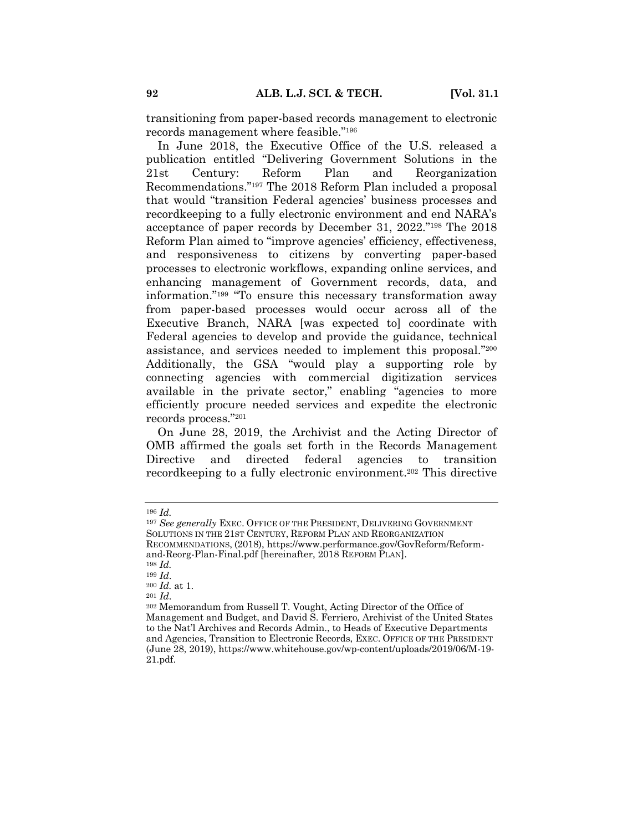transitioning from paper-based records management to electronic records management where feasible."196

In June 2018, the Executive Office of the U.S. released a publication entitled "Delivering Government Solutions in the 21st Century: Reform Plan and Reorganization Recommendations."197 The 2018 Reform Plan included a proposal that would "transition Federal agencies' business processes and recordkeeping to a fully electronic environment and end NARA's acceptance of paper records by December 31, 2022."198 The 2018 Reform Plan aimed to "improve agencies' efficiency, effectiveness, and responsiveness to citizens by converting paper-based processes to electronic workflows, expanding online services, and enhancing management of Government records, data, and information."199 "To ensure this necessary transformation away from paper-based processes would occur across all of the Executive Branch, NARA [was expected to] coordinate with Federal agencies to develop and provide the guidance, technical assistance, and services needed to implement this proposal."200 Additionally, the GSA "would play a supporting role by connecting agencies with commercial digitization services available in the private sector," enabling "agencies to more efficiently procure needed services and expedite the electronic records process."201

On June 28, 2019, the Archivist and the Acting Director of OMB affirmed the goals set forth in the Records Management Directive and directed federal agencies to transition recordkeeping to a fully electronic environment.202 This directive

<sup>196</sup> *Id.*

<sup>197</sup> *See generally* EXEC. OFFICE OF THE PRESIDENT, DELIVERING GOVERNMENT SOLUTIONS IN THE 21ST CENTURY, REFORM PLAN AND REORGANIZATION RECOMMENDATIONS, (2018), https://www.performance.gov/GovReform/Reformand-Reorg-Plan-Final.pdf [hereinafter, 2018 REFORM PLAN]. <sup>198</sup> *Id.*

<sup>199</sup> *Id*.

<sup>200</sup> *Id.* at 1.

<sup>201</sup> *Id*.

<sup>202</sup> Memorandum from Russell T. Vought, Acting Director of the Office of Management and Budget, and David S. Ferriero, Archivist of the United States to the Nat'l Archives and Records Admin., to Heads of Executive Departments and Agencies, Transition to Electronic Records, EXEC. OFFICE OF THE PRESIDENT (June 28, 2019), https://www.whitehouse.gov/wp-content/uploads/2019/06/M-19- 21.pdf.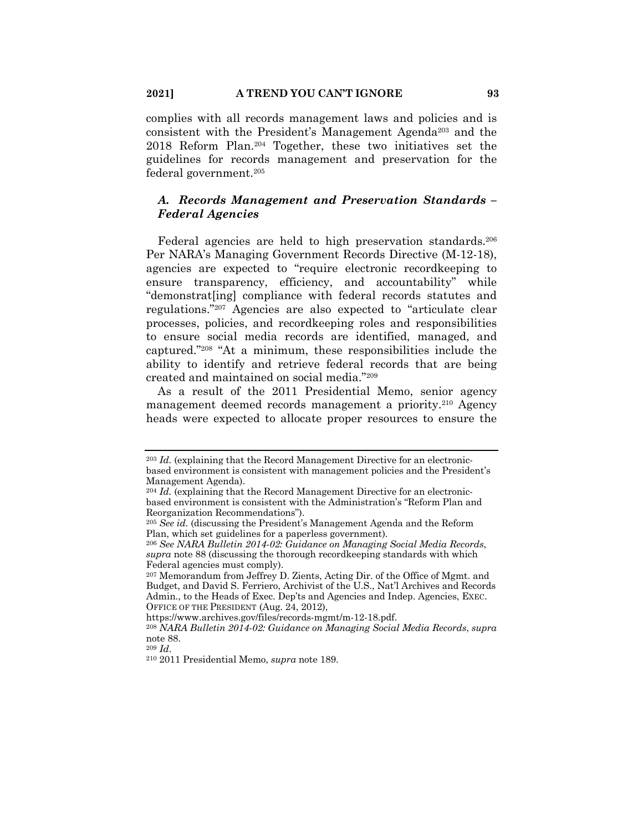complies with all records management laws and policies and is consistent with the President's Management Agenda<sup>203</sup> and the 2018 Reform Plan.204 Together, these two initiatives set the guidelines for records management and preservation for the federal government.205

## *A. Records Management and Preservation Standards – Federal Agencies*

Federal agencies are held to high preservation standards.<sup>206</sup> Per NARA's Managing Government Records Directive (M-12-18), agencies are expected to "require electronic recordkeeping to ensure transparency, efficiency, and accountability" while "demonstrat[ing] compliance with federal records statutes and regulations."207 Agencies are also expected to "articulate clear processes, policies, and recordkeeping roles and responsibilities to ensure social media records are identified, managed, and captured."208 "At a minimum, these responsibilities include the ability to identify and retrieve federal records that are being created and maintained on social media."209

As a result of the 2011 Presidential Memo, senior agency management deemed records management a priority.210 Agency heads were expected to allocate proper resources to ensure the

<sup>203</sup> *Id.* (explaining that the Record Management Directive for an electronicbased environment is consistent with management policies and the President's Management Agenda).

<sup>204</sup> *Id.* (explaining that the Record Management Directive for an electronicbased environment is consistent with the Administration's "Reform Plan and Reorganization Recommendations").

<sup>205</sup> *See id.* (discussing the President's Management Agenda and the Reform Plan, which set guidelines for a paperless government).

<sup>206</sup> *See NARA Bulletin 2014-02: Guidance on Managing Social Media Records*, *supra* note 88 (discussing the thorough recordkeeping standards with which Federal agencies must comply).

<sup>207</sup> Memorandum from Jeffrey D. Zients, Acting Dir. of the Office of Mgmt. and Budget, and David S. Ferriero, Archivist of the U.S., Nat'l Archives and Records Admin., to the Heads of Exec. Dep'ts and Agencies and Indep. Agencies, EXEC. OFFICE OF THE PRESIDENT (Aug. 24, 2012),

https://www.archives.gov/files/records-mgmt/m-12-18.pdf.

<sup>208</sup> *NARA Bulletin 2014-02: Guidance on Managing Social Media Records*, *supra* note 88.

<sup>209</sup> *Id*.

<sup>210</sup> 2011 Presidential Memo, *supra* note 189.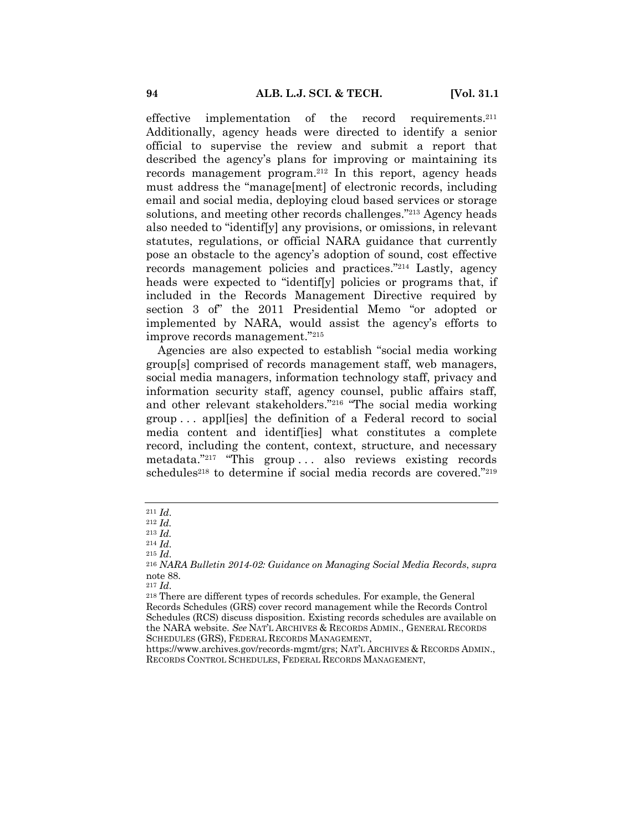effective implementation of the record requirements.211 Additionally, agency heads were directed to identify a senior official to supervise the review and submit a report that described the agency's plans for improving or maintaining its records management program.212 In this report, agency heads must address the "manage[ment] of electronic records, including email and social media, deploying cloud based services or storage solutions, and meeting other records challenges."213 Agency heads also needed to "identif[y] any provisions, or omissions, in relevant statutes, regulations, or official NARA guidance that currently pose an obstacle to the agency's adoption of sound, cost effective records management policies and practices."214 Lastly, agency heads were expected to "identif[y] policies or programs that, if included in the Records Management Directive required by section 3 of" the 2011 Presidential Memo "or adopted or implemented by NARA, would assist the agency's efforts to improve records management."215

Agencies are also expected to establish "social media working group[s] comprised of records management staff, web managers, social media managers, information technology staff, privacy and information security staff, agency counsel, public affairs staff, and other relevant stakeholders."216 "The social media working group . . . appl[ies] the definition of a Federal record to social media content and identif[ies] what constitutes a complete record, including the content, context, structure, and necessary metadata."217 "This group . . . also reviews existing records schedules<sup>218</sup> to determine if social media records are covered."<sup>219</sup>

<sup>211</sup> *Id*.

<sup>212</sup> *Id.*

<sup>213</sup> *Id.*

<sup>214</sup> *Id*.

<sup>215</sup> *Id*.

<sup>216</sup> *NARA Bulletin 2014-02: Guidance on Managing Social Media Records*, *supra* note 88.

<sup>217</sup> *Id*.

<sup>218</sup> There are different types of records schedules. For example, the General Records Schedules (GRS) cover record management while the Records Control Schedules (RCS) discuss disposition. Existing records schedules are available on the NARA website. *See* NAT'L ARCHIVES & RECORDS ADMIN., GENERAL RECORDS SCHEDULES (GRS), FEDERAL RECORDS MANAGEMENT,

https://www.archives.gov/records-mgmt/grs; NAT'L ARCHIVES & RECORDS ADMIN., RECORDS CONTROL SCHEDULES, FEDERAL RECORDS MANAGEMENT,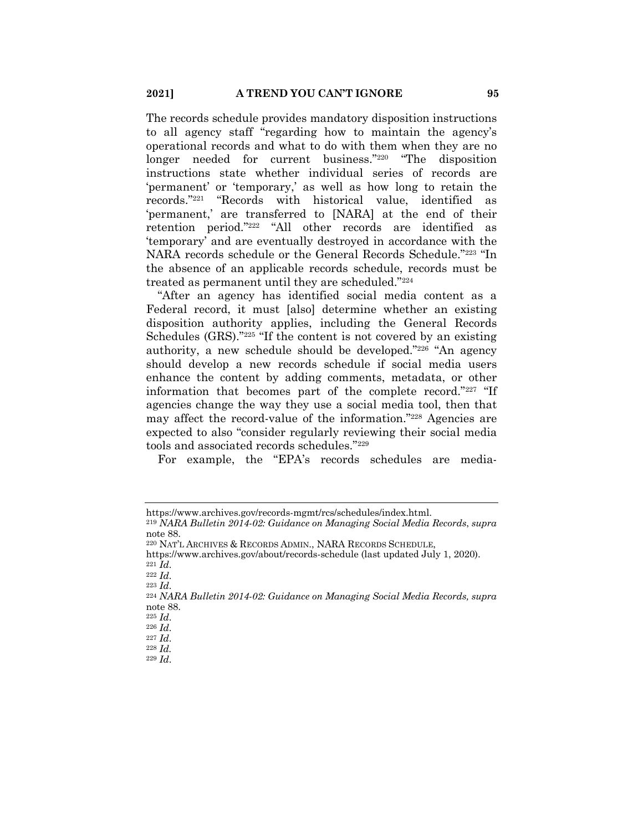The records schedule provides mandatory disposition instructions to all agency staff "regarding how to maintain the agency's operational records and what to do with them when they are no longer needed for current business."220 "The disposition instructions state whether individual series of records are 'permanent' or 'temporary,' as well as how long to retain the records."221 "Records with historical value, identified as 'permanent,' are transferred to [NARA] at the end of their retention period."222 "All other records are identified as 'temporary' and are eventually destroyed in accordance with the NARA records schedule or the General Records Schedule."223 "In the absence of an applicable records schedule, records must be treated as permanent until they are scheduled."224

"After an agency has identified social media content as a Federal record, it must [also] determine whether an existing disposition authority applies, including the General Records Schedules (GRS)."225 "If the content is not covered by an existing authority, a new schedule should be developed."226 "An agency should develop a new records schedule if social media users enhance the content by adding comments, metadata, or other information that becomes part of the complete record."227 "If agencies change the way they use a social media tool, then that may affect the record-value of the information."228 Agencies are expected to also "consider regularly reviewing their social media tools and associated records schedules."229

For example, the "EPA's records schedules are media-

<sup>223</sup> *Id*.

<sup>227</sup> *Id*. <sup>228</sup> *Id.*

https://www.archives.gov/records-mgmt/rcs/schedules/index.html.

<sup>219</sup> *NARA Bulletin 2014-02: Guidance on Managing Social Media Records*, *supra* note 88.

<sup>220</sup> NAT'L ARCHIVES & RECORDS ADMIN., NARA RECORDS SCHEDULE,

https://www.archives.gov/about/records-schedule (last updated July 1, 2020).  $^{221}$ *Id*.

<sup>222</sup> *Id*.

<sup>224</sup> *NARA Bulletin 2014-02: Guidance on Managing Social Media Records, supra* note 88.

<sup>225</sup> *Id*.

<sup>226</sup> *Id*.

<sup>229</sup> *Id*.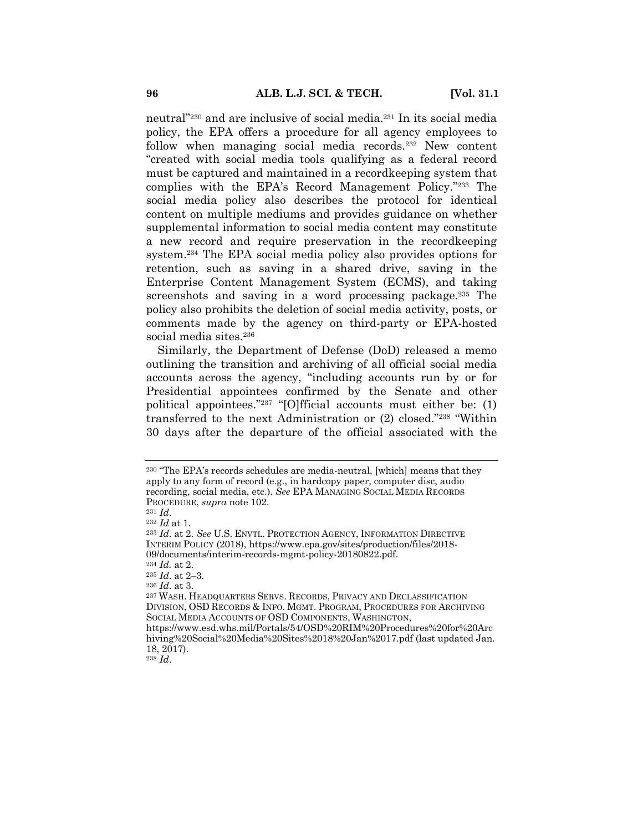neutral"230 and are inclusive of social media.231 In its social media policy, the EPA offers a procedure for all agency employees to follow when managing social media records.232 New content "created with social media tools qualifying as a federal record must be captured and maintained in a recordkeeping system that complies with the EPA's Record Management Policy."233 The social media policy also describes the protocol for identical content on multiple mediums and provides guidance on whether supplemental information to social media content may constitute a new record and require preservation in the recordkeeping system.234 The EPA social media policy also provides options for retention, such as saving in a shared drive, saving in the Enterprise Content Management System (ECMS), and taking screenshots and saving in a word processing package.<sup>235</sup> The policy also prohibits the deletion of social media activity, posts, or comments made by the agency on third-party or EPA-hosted social media sites.<sup>236</sup>

Similarly, the Department of Defense (DoD) released a memo outlining the transition and archiving of all official social media accounts across the agency, "including accounts run by or for Presidential appointees confirmed by the Senate and other political appointees."237 "[O]fficial accounts must either be: (1) transferred to the next Administration or (2) closed."238 "Within 30 days after the departure of the official associated with the

<sup>237</sup> WASH. HEADQUARTERS SERVS. RECORDS, PRIVACY AND DECLASSIFICATION DIVISION, OSD RECORDS & INFO. MGMT. PROGRAM, PROCEDURES FOR ARCHIVING SOCIAL MEDIA ACCOUNTS OF OSD COMPONENTS, WASHINGTON, https://www.esd.whs.mil/Portals/54/OSD%20RIM%20Procedures%20for%20Arc hiving%20Social%20Media%20Sites%2018%20Jan%2017.pdf (last updated Jan.

<sup>238</sup> *Id*.

<sup>230</sup> "The EPA's records schedules are media-neutral, [which] means that they apply to any form of record (e.g., in hardcopy paper, computer disc, audio recording, social media, etc.). *See* EPA MANAGING SOCIAL MEDIA RECORDS PROCEDURE, *supra* note 102.

<sup>231</sup> *Id*.

<sup>232</sup> *Id* at 1*.*

<sup>233</sup> *Id*. at 2. *See* U.S. ENVTL. PROTECTION AGENCY, INFORMATION DIRECTIVE INTERIM POLICY (2018), https://www.epa.gov/sites/production/files/2018- 09/documents/interim-records-mgmt-policy-20180822.pdf.

<sup>234</sup> *Id.* at 2.

<sup>235</sup> *Id*. at 2–3.

<sup>236</sup> *Id*. at 3.

<sup>18, 2017).</sup>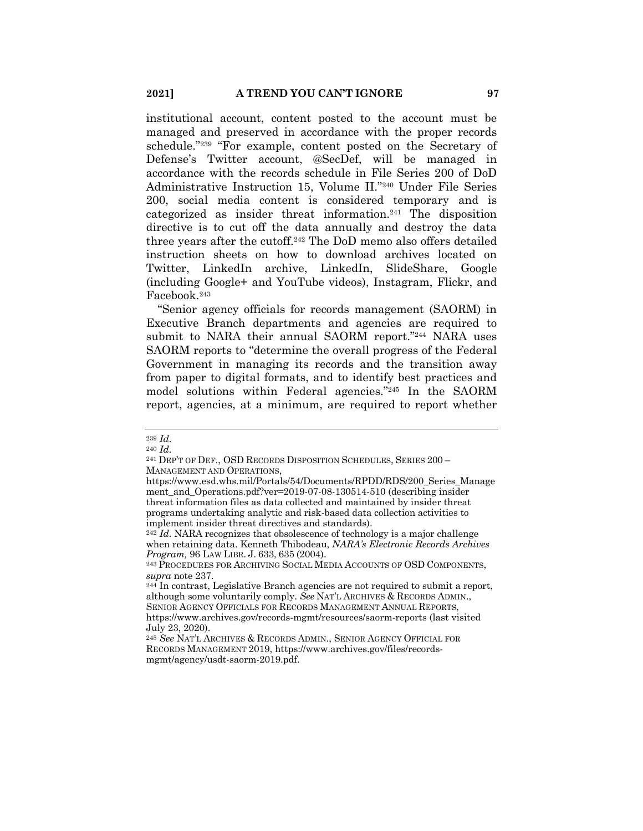institutional account, content posted to the account must be managed and preserved in accordance with the proper records schedule."239 "For example, content posted on the Secretary of Defense's Twitter account, @SecDef, will be managed in accordance with the records schedule in File Series 200 of DoD Administrative Instruction 15, Volume II."240 Under File Series 200, social media content is considered temporary and is categorized as insider threat information.241 The disposition directive is to cut off the data annually and destroy the data three years after the cutoff.242 The DoD memo also offers detailed instruction sheets on how to download archives located on Twitter, LinkedIn archive, LinkedIn, SlideShare, Google (including Google+ and YouTube videos), Instagram, Flickr, and Facebook.243

"Senior agency officials for records management (SAORM) in Executive Branch departments and agencies are required to submit to NARA their annual SAORM report."244 NARA uses SAORM reports to "determine the overall progress of the Federal Government in managing its records and the transition away from paper to digital formats, and to identify best practices and model solutions within Federal agencies."245 In the SAORM report, agencies, at a minimum, are required to report whether

<sup>239</sup> *Id*.

<sup>240</sup> *Id*.

<sup>241</sup> DEP'T OF DEF., OSD RECORDS DISPOSITION SCHEDULES, SERIES 200 – MANAGEMENT AND OPERATIONS,

https://www.esd.whs.mil/Portals/54/Documents/RPDD/RDS/200\_Series\_Manage ment\_and\_Operations.pdf?ver=2019-07-08-130514-510 (describing insider threat information files as data collected and maintained by insider threat programs undertaking analytic and risk-based data collection activities to implement insider threat directives and standards).

<sup>242</sup> *Id*. NARA recognizes that obsolescence of technology is a major challenge when retaining data. Kenneth Thibodeau, *NARA's Electronic Records Archives Program,* 96 LAW LIBR. J. 633, 635 (2004).

<sup>243</sup> PROCEDURES FOR ARCHIVING SOCIAL MEDIA ACCOUNTS OF OSD COMPONENTS, *supra* note 237.

<sup>244</sup> In contrast, Legislative Branch agencies are not required to submit a report, although some voluntarily comply. *See* NAT'L ARCHIVES & RECORDS ADMIN., SENIOR AGENCY OFFICIALS FOR RECORDS MANAGEMENT ANNUAL REPORTS, https://www.archives.gov/records-mgmt/resources/saorm-reports (last visited July 23, 2020).

<sup>245</sup> *See* NAT'L ARCHIVES & RECORDS ADMIN., SENIOR AGENCY OFFICIAL FOR RECORDS MANAGEMENT 2019, https://www.archives.gov/files/recordsmgmt/agency/usdt-saorm-2019.pdf.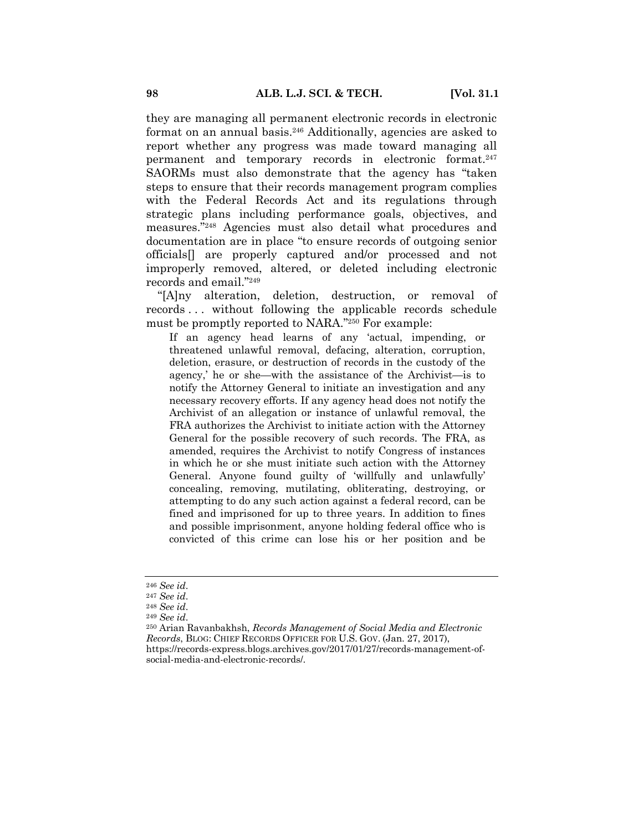they are managing all permanent electronic records in electronic format on an annual basis.<sup>246</sup> Additionally, agencies are asked to report whether any progress was made toward managing all permanent and temporary records in electronic format.247 SAORMs must also demonstrate that the agency has "taken steps to ensure that their records management program complies with the Federal Records Act and its regulations through strategic plans including performance goals, objectives, and measures."248 Agencies must also detail what procedures and documentation are in place "to ensure records of outgoing senior officials[] are properly captured and/or processed and not improperly removed, altered, or deleted including electronic records and email."249

"[A]ny alteration, deletion, destruction, or removal of records . . . without following the applicable records schedule must be promptly reported to NARA."250 For example:

If an agency head learns of any 'actual, impending, or threatened unlawful removal, defacing, alteration, corruption, deletion, erasure, or destruction of records in the custody of the agency,' he or she—with the assistance of the Archivist—is to notify the Attorney General to initiate an investigation and any necessary recovery efforts. If any agency head does not notify the Archivist of an allegation or instance of unlawful removal, the FRA authorizes the Archivist to initiate action with the Attorney General for the possible recovery of such records. The FRA, as amended, requires the Archivist to notify Congress of instances in which he or she must initiate such action with the Attorney General. Anyone found guilty of 'willfully and unlawfully' concealing, removing, mutilating, obliterating, destroying, or attempting to do any such action against a federal record, can be fined and imprisoned for up to three years. In addition to fines and possible imprisonment, anyone holding federal office who is convicted of this crime can lose his or her position and be

<sup>250</sup> Arian Ravanbakhsh, *Records Management of Social Media and Electronic Records*, BLOG: CHIEF RECORDS OFFICER FOR U.S. GOV. (Jan. 27, 2017), https://records-express.blogs.archives.gov/2017/01/27/records-management-ofsocial-media-and-electronic-records/.

<sup>246</sup> *See id*.

<sup>247</sup> *See id*.

<sup>248</sup> *See id*.

<sup>249</sup> *See id*.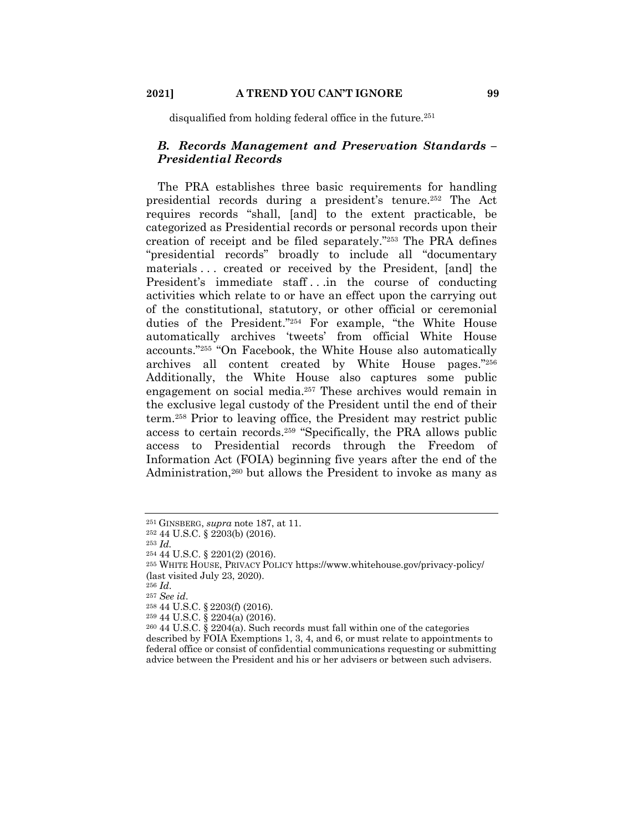disqualified from holding federal office in the future.<sup>251</sup>

## *B. Records Management and Preservation Standards – Presidential Records*

The PRA establishes three basic requirements for handling presidential records during a president's tenure.252 The Act requires records "shall, [and] to the extent practicable, be categorized as Presidential records or personal records upon their creation of receipt and be filed separately."253 The PRA defines "presidential records" broadly to include all "documentary materials ... created or received by the President, [and] the President's immediate staff...in the course of conducting activities which relate to or have an effect upon the carrying out of the constitutional, statutory, or other official or ceremonial duties of the President."254 For example, "the White House automatically archives 'tweets' from official White House accounts."255 "On Facebook, the White House also automatically archives all content created by White House pages."256 Additionally, the White House also captures some public engagement on social media.<sup>257</sup> These archives would remain in the exclusive legal custody of the President until the end of their term.258 Prior to leaving office, the President may restrict public access to certain records.259 "Specifically, the PRA allows public access to Presidential records through the Freedom of Information Act (FOIA) beginning five years after the end of the Administration,260 but allows the President to invoke as many as

<sup>251</sup> GINSBERG, *supra* note 187, at 11.

<sup>252</sup> 44 U.S.C. § 2203(b) (2016).

<sup>253</sup> *Id.*

<sup>254</sup> 44 U.S.C. § 2201(2) (2016).

<sup>255</sup> WHITE HOUSE, PRIVACY POLICY https://www.whitehouse.gov/privacy-policy/ (last visited July 23, 2020).

<sup>256</sup> *Id*.

<sup>257</sup> *See id*.

<sup>258</sup> 44 U.S.C. § 2203(f) (2016).

<sup>259</sup> 44 U.S.C. § 2204(a) (2016).

<sup>260</sup> 44 U.S.C. § 2204(a). Such records must fall within one of the categories described by FOIA Exemptions 1, 3, 4, and 6, or must relate to appointments to federal office or consist of confidential communications requesting or submitting advice between the President and his or her advisers or between such advisers.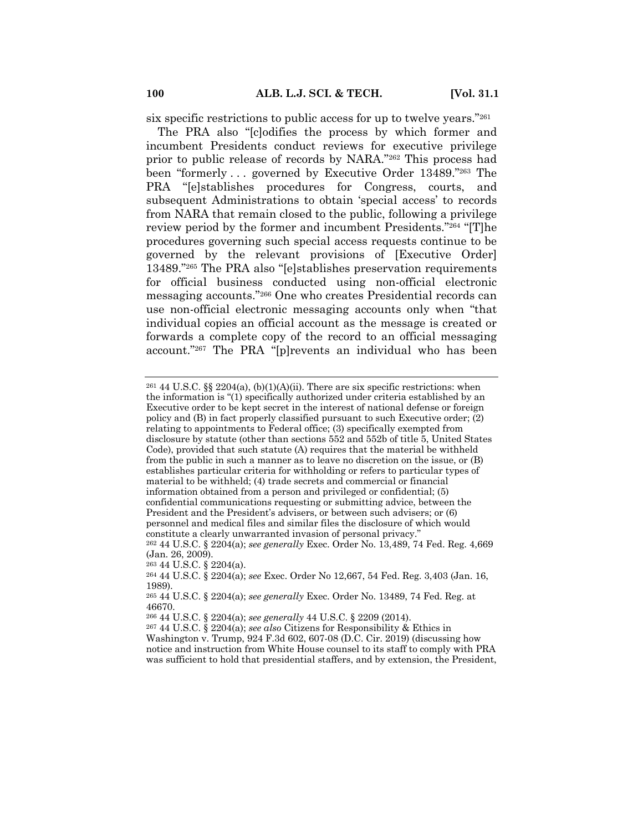six specific restrictions to public access for up to twelve years."261

The PRA also "[c]odifies the process by which former and incumbent Presidents conduct reviews for executive privilege prior to public release of records by NARA."262 This process had been "formerly . . . governed by Executive Order 13489."263 The PRA "[e]stablishes procedures for Congress, courts, and subsequent Administrations to obtain 'special access' to records from NARA that remain closed to the public, following a privilege review period by the former and incumbent Presidents."264 "[T]he procedures governing such special access requests continue to be governed by the relevant provisions of [Executive Order] 13489."265 The PRA also "[e]stablishes preservation requirements for official business conducted using non-official electronic messaging accounts."266 One who creates Presidential records can use non-official electronic messaging accounts only when "that individual copies an official account as the message is created or forwards a complete copy of the record to an official messaging account."267 The PRA "[p]revents an individual who has been

<sup>263</sup> 44 U.S.C. § 2204(a).

<sup>&</sup>lt;sup>261</sup> 44 U.S.C. §§ 2204(a), (b)(1)(A)(ii). There are six specific restrictions: when the information is "(1) specifically authorized under criteria established by an Executive order to be kept secret in the interest of national defense or foreign policy and (B) in fact properly classified pursuant to such Executive order; (2) relating to appointments to Federal office; (3) specifically exempted from disclosure by statute (other than sections 552 and 552b of title 5, United States Code), provided that such statute (A) requires that the material be withheld from the public in such a manner as to leave no discretion on the issue, or (B) establishes particular criteria for withholding or refers to particular types of material to be withheld; (4) trade secrets and commercial or financial information obtained from a person and privileged or confidential; (5) confidential communications requesting or submitting advice, between the President and the President's advisers, or between such advisers; or (6) personnel and medical files and similar files the disclosure of which would constitute a clearly unwarranted invasion of personal privacy."

<sup>262</sup> 44 U.S.C. § 2204(a); *see generally* Exec. Order No. 13,489, 74 Fed. Reg. 4,669 (Jan. 26, 2009).

<sup>264</sup> 44 U.S.C. § 2204(a); *see* Exec. Order No 12,667, 54 Fed. Reg. 3,403 (Jan. 16, 1989).

<sup>265</sup> 44 U.S.C. § 2204(a); *see generally* Exec. Order No. 13489, 74 Fed. Reg. at 46670.

<sup>266</sup> 44 U.S.C. § 2204(a); *see generally* 44 U.S.C. § 2209 (2014).

<sup>267</sup> 44 U.S.C. § 2204(a); *see also* Citizens for Responsibility & Ethics in Washington v. Trump, 924 F.3d 602, 607-08 (D.C. Cir. 2019) (discussing how notice and instruction from White House counsel to its staff to comply with PRA was sufficient to hold that presidential staffers, and by extension, the President,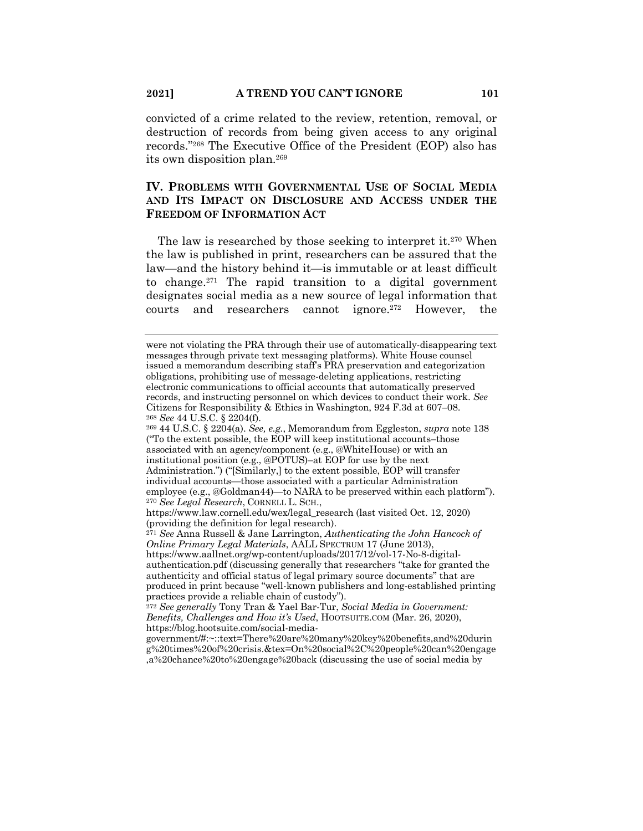convicted of a crime related to the review, retention, removal, or destruction of records from being given access to any original records."268 The Executive Office of the President (EOP) also has its own disposition plan.269

# **IV. PROBLEMS WITH GOVERNMENTAL USE OF SOCIAL MEDIA AND ITS IMPACT ON DISCLOSURE AND ACCESS UNDER THE FREEDOM OF INFORMATION ACT**

The law is researched by those seeking to interpret it.<sup>270</sup> When the law is published in print, researchers can be assured that the law—and the history behind it—is immutable or at least difficult to change.<sup>271</sup> The rapid transition to a digital government designates social media as a new source of legal information that courts and researchers cannot ignore.<sup>272</sup> However, the

<sup>271</sup> *See* Anna Russell & Jane Larrington, *Authenticating the John Hancock of Online Primary Legal Materials*, AALL SPECTRUM 17 (June 2013), https://www.aallnet.org/wp-content/uploads/2017/12/vol-17-No-8-digitalauthentication.pdf (discussing generally that researchers "take for granted the authenticity and official status of legal primary source documents" that are produced in print because "well-known publishers and long-established printing practices provide a reliable chain of custody").

were not violating the PRA through their use of automatically-disappearing text messages through private text messaging platforms). White House counsel issued a memorandum describing staff's PRA preservation and categorization obligations, prohibiting use of message-deleting applications, restricting electronic communications to official accounts that automatically preserved records, and instructing personnel on which devices to conduct their work. *See*  Citizens for Responsibility & Ethics in Washington, 924 F.3d at 607–08. <sup>268</sup> *See* 44 U.S.C. § 2204(f).

<sup>269</sup> 44 U.S.C. § 2204(a). *See, e.g.*, Memorandum from Eggleston, *supra* note 138 ("To the extent possible, the EOP will keep institutional accounts–those associated with an agency/component (e.g., @WhiteHouse) or with an institutional position (e.g., @POTUS)–at EOP for use by the next Administration.") ("[Similarly,] to the extent possible, EOP will transfer individual accounts—those associated with a particular Administration employee (e.g., @Goldman44)—to NARA to be preserved within each platform"). <sup>270</sup> *See Legal Research*, CORNELL L. SCH.,

https://www.law.cornell.edu/wex/legal\_research (last visited Oct. 12, 2020) (providing the definition for legal research).

<sup>272</sup> *See generally* Tony Tran & Yael Bar-Tur, *Social Media in Government: Benefits, Challenges and How it's Used*, HOOTSUITE.COM (Mar. 26, 2020), https://blog.hootsuite.com/social-media-

government/#:~::text=There%20are%20many%20key%20benefits,and%20durin g%20times%20of%20crisis.&tex=On%20social%2C%20people%20can%20engage ,a%20chance%20to%20engage%20back (discussing the use of social media by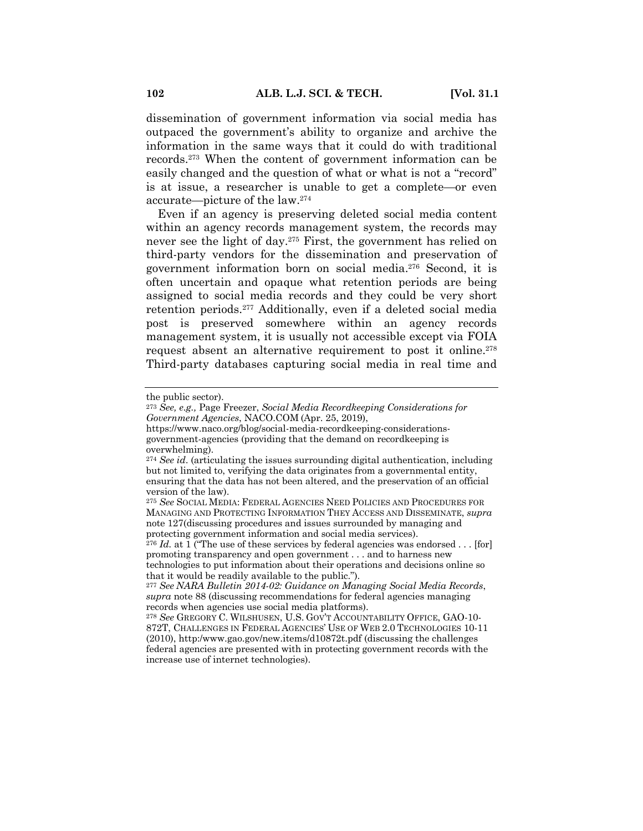dissemination of government information via social media has outpaced the government's ability to organize and archive the information in the same ways that it could do with traditional records.273 When the content of government information can be easily changed and the question of what or what is not a "record" is at issue, a researcher is unable to get a complete—or even accurate—picture of the law.274

Even if an agency is preserving deleted social media content within an agency records management system, the records may never see the light of day.275 First, the government has relied on third-party vendors for the dissemination and preservation of government information born on social media.276 Second, it is often uncertain and opaque what retention periods are being assigned to social media records and they could be very short retention periods.277 Additionally, even if a deleted social media post is preserved somewhere within an agency records management system, it is usually not accessible except via FOIA request absent an alternative requirement to post it online.<sup>278</sup> Third-party databases capturing social media in real time and

the public sector).

<sup>273</sup> *See, e.g.,* Page Freezer, *Social Media Recordkeeping Considerations for Government Agencies*, NACO.COM (Apr. 25, 2019),

https://www.naco.org/blog/social-media-recordkeeping-considerationsgovernment-agencies (providing that the demand on recordkeeping is overwhelming).

<sup>274</sup> *See id*. (articulating the issues surrounding digital authentication, including but not limited to, verifying the data originates from a governmental entity, ensuring that the data has not been altered, and the preservation of an official version of the law).

<sup>275</sup> *See* SOCIAL MEDIA: FEDERAL AGENCIES NEED POLICIES AND PROCEDURES FOR MANAGING AND PROTECTING INFORMATION THEY ACCESS AND DISSEMINATE, *supra* note 127(discussing procedures and issues surrounded by managing and protecting government information and social media services).

<sup>&</sup>lt;sup>276</sup> *Id.* at 1 ("The use of these services by federal agencies was endorsed . . . [for] promoting transparency and open government . . . and to harness new technologies to put information about their operations and decisions online so that it would be readily available to the public.").

<sup>277</sup> *See NARA Bulletin 2014-02: Guidance on Managing Social Media Records*, *supra* note 88 (discussing recommendations for federal agencies managing records when agencies use social media platforms).

<sup>278</sup> *See* GREGORY C. WILSHUSEN, U.S. GOV'T ACCOUNTABILITY OFFICE, GAO-10- 872T, CHALLENGES IN FEDERAL AGENCIES' USE OF WEB 2.0 TECHNOLOGIES 10-11 (2010), http:/www.gao.gov/new.items/d10872t.pdf (discussing the challenges federal agencies are presented with in protecting government records with the increase use of internet technologies).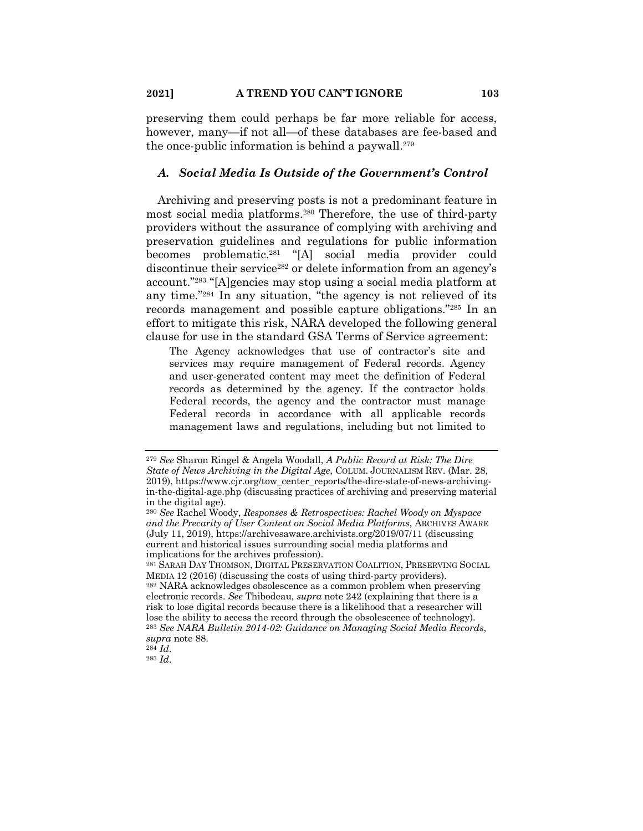preserving them could perhaps be far more reliable for access, however, many—if not all—of these databases are fee-based and the once-public information is behind a paywall.279

## *A. Social Media Is Outside of the Government's Control*

Archiving and preserving posts is not a predominant feature in most social media platforms.280 Therefore, the use of third-party providers without the assurance of complying with archiving and preservation guidelines and regulations for public information becomes problematic.281 "[A] social media provider could discontinue their service<sup>282</sup> or delete information from an agency's account."283 "[A]gencies may stop using a social media platform at any time."284 In any situation, "the agency is not relieved of its records management and possible capture obligations."285 In an effort to mitigate this risk, NARA developed the following general clause for use in the standard GSA Terms of Service agreement:

The Agency acknowledges that use of contractor's site and services may require management of Federal records. Agency and user-generated content may meet the definition of Federal records as determined by the agency. If the contractor holds Federal records, the agency and the contractor must manage Federal records in accordance with all applicable records management laws and regulations, including but not limited to

<sup>279</sup> *See* Sharon Ringel & Angela Woodall, *A Public Record at Risk: The Dire State of News Archiving in the Digital Age*, COLUM. JOURNALISM REV. (Mar. 28, 2019), https://www.cjr.org/tow\_center\_reports/the-dire-state-of-news-archivingin-the-digital-age.php (discussing practices of archiving and preserving material in the digital age).

<sup>280</sup> *See* Rachel Woody, *Responses & Retrospectives: Rachel Woody on Myspace and the Precarity of User Content on Social Media Platforms*, ARCHIVES AWARE (July 11, 2019), https://archivesaware.archivists.org/2019/07/11 (discussing current and historical issues surrounding social media platforms and implications for the archives profession).

<sup>281</sup> SARAH DAY THOMSON, DIGITAL PRESERVATION COALITION, PRESERVING SOCIAL MEDIA 12 (2016) (discussing the costs of using third-party providers). <sup>282</sup> NARA acknowledges obsolescence as a common problem when preserving electronic records. *See* Thibodeau, *supra* note 242 (explaining that there is a

risk to lose digital records because there is a likelihood that a researcher will lose the ability to access the record through the obsolescence of technology). <sup>283</sup> *See NARA Bulletin 2014-02: Guidance on Managing Social Media Records*, *supra* note 88.

<sup>284</sup> *Id*.

<sup>285</sup> *Id*.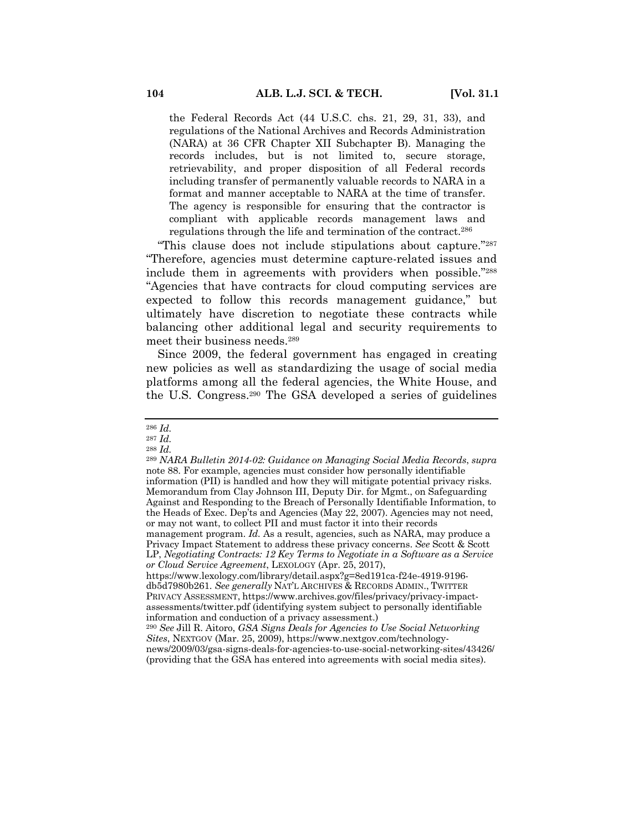the Federal Records Act (44 U.S.C. chs. 21, 29, 31, 33), and regulations of the National Archives and Records Administration (NARA) at 36 CFR Chapter XII Subchapter B). Managing the records includes, but is not limited to, secure storage, retrievability, and proper disposition of all Federal records including transfer of permanently valuable records to NARA in a format and manner acceptable to NARA at the time of transfer. The agency is responsible for ensuring that the contractor is compliant with applicable records management laws and regulations through the life and termination of the contract.286

"This clause does not include stipulations about capture."287 "Therefore, agencies must determine capture-related issues and include them in agreements with providers when possible."288 "Agencies that have contracts for cloud computing services are expected to follow this records management guidance," but ultimately have discretion to negotiate these contracts while balancing other additional legal and security requirements to meet their business needs.289

Since 2009, the federal government has engaged in creating new policies as well as standardizing the usage of social media platforms among all the federal agencies, the White House, and the U.S. Congress.290 The GSA developed a series of guidelines

<sup>286</sup> *Id.*

<sup>287</sup> *Id.*

<sup>288</sup> *Id.*

<sup>289</sup> *NARA Bulletin 2014-02: Guidance on Managing Social Media Records*, *supra*  note 88. For example, agencies must consider how personally identifiable information (PII) is handled and how they will mitigate potential privacy risks. Memorandum from Clay Johnson III, Deputy Dir. for Mgmt., on Safeguarding Against and Responding to the Breach of Personally Identifiable Information, to the Heads of Exec. Dep'ts and Agencies (May 22, 2007). Agencies may not need, or may not want, to collect PII and must factor it into their records management program. *Id.* As a result, agencies, such as NARA, may produce a Privacy Impact Statement to address these privacy concerns. *See* Scott & Scott LP, *Negotiating Contracts: 12 Key Terms to Negotiate in a Software as a Service or Cloud Service Agreement*, LEXOLOGY (Apr. 25, 2017), https://www.lexology.com/library/detail.aspx?g=8ed191ca-f24e-4919-9196 db5d7980b261. *See generally* NAT'L ARCHIVES & RECORDS ADMIN., TWITTER PRIVACY ASSESSMENT, https://www.archives.gov/files/privacy/privacy-impactassessments/twitter.pdf (identifying system subject to personally identifiable information and conduction of a privacy assessment.)

<sup>290</sup> *See* Jill R. Aitoro, *GSA Signs Deals for Agencies to Use Social Networking Sites*, NEXTGOV (Mar. 25, 2009), https://www.nextgov.com/technologynews/2009/03/gsa-signs-deals-for-agencies-to-use-social-networking-sites/43426/

<sup>(</sup>providing that the GSA has entered into agreements with social media sites).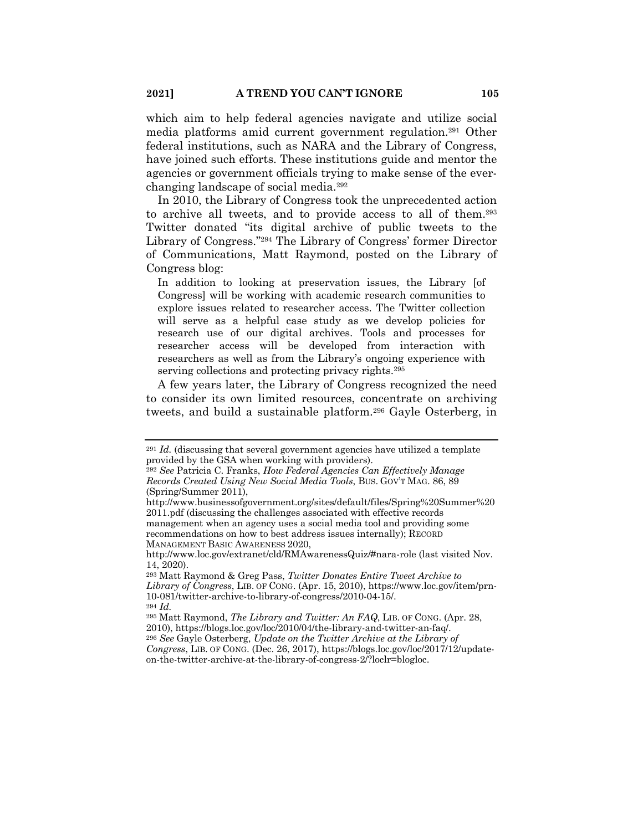which aim to help federal agencies navigate and utilize social media platforms amid current government regulation.291 Other federal institutions, such as NARA and the Library of Congress, have joined such efforts. These institutions guide and mentor the agencies or government officials trying to make sense of the everchanging landscape of social media.292

In 2010, the Library of Congress took the unprecedented action to archive all tweets, and to provide access to all of them.293 Twitter donated "its digital archive of public tweets to the Library of Congress."294 The Library of Congress' former Director of Communications, Matt Raymond, posted on the Library of Congress blog:

In addition to looking at preservation issues, the Library [of Congress] will be working with academic research communities to explore issues related to researcher access. The Twitter collection will serve as a helpful case study as we develop policies for research use of our digital archives. Tools and processes for researcher access will be developed from interaction with researchers as well as from the Library's ongoing experience with serving collections and protecting privacy rights.<sup>295</sup>

A few years later, the Library of Congress recognized the need to consider its own limited resources, concentrate on archiving tweets, and build a sustainable platform.296 Gayle Osterberg, in

<sup>291</sup> *Id.* (discussing that several government agencies have utilized a template provided by the GSA when working with providers).

<sup>292</sup> *See* Patricia C. Franks, *How Federal Agencies Can Effectively Manage Records Created Using New Social Media Tools*, BUS. GOV'T MAG. 86, 89 (Spring/Summer 2011),

http://www.businessofgovernment.org/sites/default/files/Spring%20Summer%20 2011.pdf (discussing the challenges associated with effective records management when an agency uses a social media tool and providing some recommendations on how to best address issues internally); RECORD MANAGEMENT BASIC AWARENESS 2020,

http://www.loc.gov/extranet/cld/RMAwarenessQuiz/#nara-role (last visited Nov. 14, 2020).

<sup>293</sup> Matt Raymond & Greg Pass, *Twitter Donates Entire Tweet Archive to Library of Congress*, LIB. OF CONG. (Apr. 15, 2010), https://www.loc.gov/item/prn-10-081/twitter-archive-to-library-of-congress/2010-04-15/. <sup>294</sup> *Id.*

<sup>295</sup> Matt Raymond, *The Library and Twitter: An FAQ*, LIB. OF CONG. (Apr. 28, 2010), https://blogs.loc.gov/loc/2010/04/the-library-and-twitter-an-faq/. <sup>296</sup> *See* Gayle Osterberg, *Update on the Twitter Archive at the Library of Congress*, LIB. OF CONG. (Dec. 26, 2017), https://blogs.loc.gov/loc/2017/12/update-

on-the-twitter-archive-at-the-library-of-congress-2/?loclr=blogloc.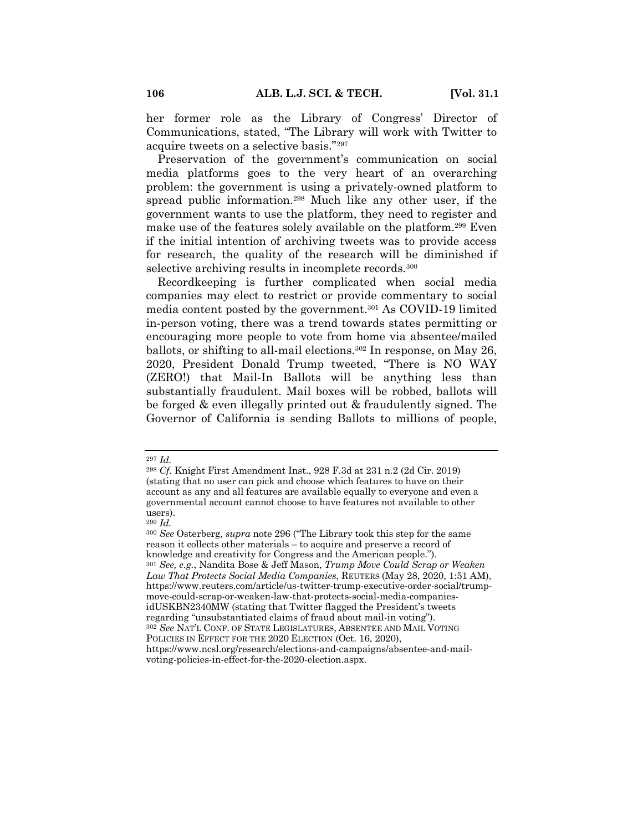her former role as the Library of Congress' Director of Communications, stated, "The Library will work with Twitter to acquire tweets on a selective basis."297

Preservation of the government's communication on social media platforms goes to the very heart of an overarching problem: the government is using a privately-owned platform to spread public information.298 Much like any other user, if the government wants to use the platform, they need to register and make use of the features solely available on the platform.299 Even if the initial intention of archiving tweets was to provide access for research, the quality of the research will be diminished if selective archiving results in incomplete records.300

Recordkeeping is further complicated when social media companies may elect to restrict or provide commentary to social media content posted by the government.301 As COVID-19 limited in-person voting, there was a trend towards states permitting or encouraging more people to vote from home via absentee/mailed ballots, or shifting to all-mail elections.302 In response, on May 26, 2020, President Donald Trump tweeted, "There is NO WAY (ZERO!) that Mail-In Ballots will be anything less than substantially fraudulent. Mail boxes will be robbed, ballots will be forged & even illegally printed out & fraudulently signed. The Governor of California is sending Ballots to millions of people,

<sup>297</sup> *Id.*

<sup>298</sup> *Cf.* Knight First Amendment Inst., 928 F.3d at 231 n.2 (2d Cir. 2019) (stating that no user can pick and choose which features to have on their account as any and all features are available equally to everyone and even a governmental account cannot choose to have features not available to other users).

<sup>299</sup> *Id.*

<sup>300</sup> *See* Osterberg, *supra* note 296 ("The Library took this step for the same reason it collects other materials – to acquire and preserve a record of knowledge and creativity for Congress and the American people."). <sup>301</sup> *See, e.g.*, Nandita Bose & Jeff Mason, *Trump Move Could Scrap or Weaken Law That Protects Social Media Companies*, REUTERS (May 28, 2020, 1:51 AM), https://www.reuters.com/article/us-twitter-trump-executive-order-social/trumpmove-could-scrap-or-weaken-law-that-protects-social-media-companiesidUSKBN2340MW (stating that Twitter flagged the President's tweets regarding "unsubstantiated claims of fraud about mail-in voting"). <sup>302</sup> *See* NAT'L CONF. OF STATE LEGISLATURES, ABSENTEE AND MAIL VOTING POLICIES IN EFFECT FOR THE 2020 ELECTION (Oct. 16, 2020), https://www.ncsl.org/research/elections-and-campaigns/absentee-and-mailvoting-policies-in-effect-for-the-2020-election.aspx.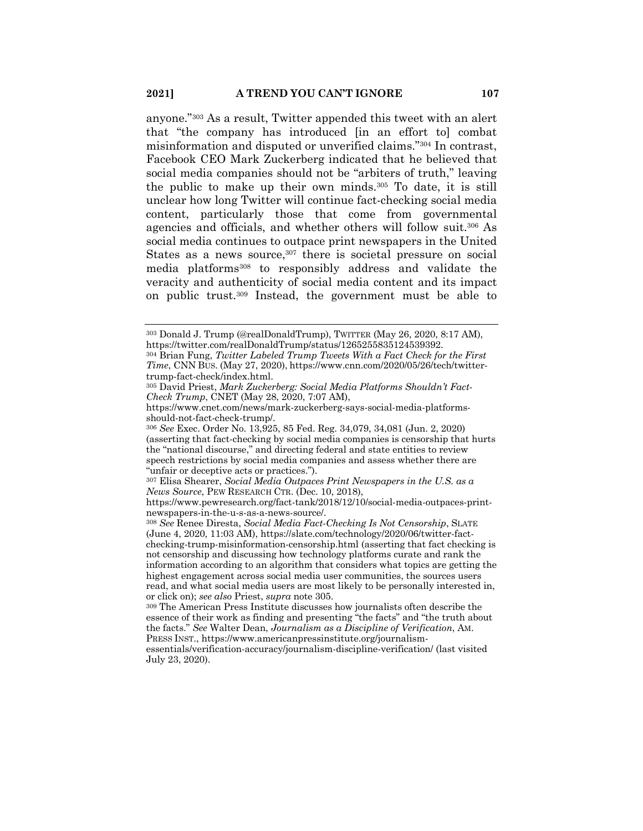anyone."303 As a result, Twitter appended this tweet with an alert that "the company has introduced [in an effort to] combat misinformation and disputed or unverified claims."304 In contrast, Facebook CEO Mark Zuckerberg indicated that he believed that social media companies should not be "arbiters of truth," leaving the public to make up their own minds.305 To date, it is still unclear how long Twitter will continue fact-checking social media content, particularly those that come from governmental agencies and officials, and whether others will follow suit.306 As social media continues to outpace print newspapers in the United States as a news source,<sup>307</sup> there is societal pressure on social media platforms308 to responsibly address and validate the veracity and authenticity of social media content and its impact on public trust.309 Instead, the government must be able to

<sup>308</sup> *See* Renee Diresta, *Social Media Fact-Checking Is Not Censorship*, SLATE (June 4, 2020, 11:03 AM), https://slate.com/technology/2020/06/twitter-factchecking-trump-misinformation-censorship.html (asserting that fact checking is not censorship and discussing how technology platforms curate and rank the information according to an algorithm that considers what topics are getting the highest engagement across social media user communities, the sources users read, and what social media users are most likely to be personally interested in, or click on); *see also* Priest, *supra* note 305.

<sup>309</sup> The American Press Institute discusses how journalists often describe the essence of their work as finding and presenting "the facts" and "the truth about the facts." *See* Walter Dean, *Journalism as a Discipline of Verification*, AM. PRESS INST., https://www.americanpressinstitute.org/journalism-

<sup>303</sup> Donald J. Trump (@realDonaldTrump), TWITTER (May 26, 2020, 8:17 AM), https://twitter.com/realDonaldTrump/status/1265255835124539392.

<sup>304</sup> Brian Fung, *Twitter Labeled Trump Tweets With a Fact Check for the First Time*, CNN BUS. (May 27, 2020), https://www.cnn.com/2020/05/26/tech/twittertrump-fact-check/index.html.

<sup>305</sup> David Priest, *Mark Zuckerberg: Social Media Platforms Shouldn't Fact-Check Trump*, CNET (May 28, 2020, 7:07 AM),

https://www.cnet.com/news/mark-zuckerberg-says-social-media-platformsshould-not-fact-check-trump/.

<sup>306</sup> *See* Exec. Order No. 13,925, 85 Fed. Reg. 34,079, 34,081 (Jun. 2, 2020) (asserting that fact-checking by social media companies is censorship that hurts the "national discourse," and directing federal and state entities to review speech restrictions by social media companies and assess whether there are "unfair or deceptive acts or practices.").

<sup>307</sup> Elisa Shearer, *Social Media Outpaces Print Newspapers in the U.S. as a News Source*, PEW RESEARCH CTR. (Dec. 10, 2018),

https://www.pewresearch.org/fact-tank/2018/12/10/social-media-outpaces-printnewspapers-in-the-u-s-as-a-news-source/.

essentials/verification-accuracy/journalism-discipline-verification/ (last visited July 23, 2020).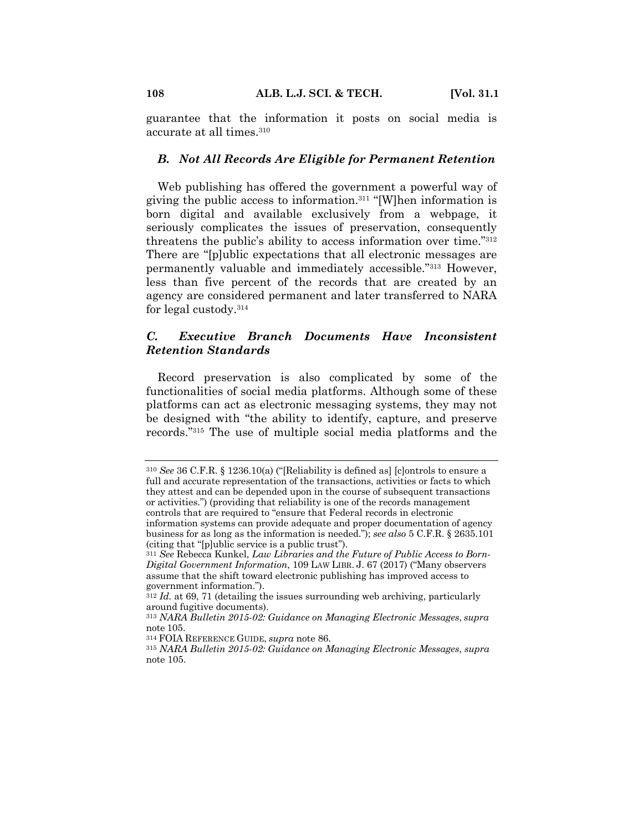guarantee that the information it posts on social media is accurate at all times.310

#### *B. Not All Records Are Eligible for Permanent Retention*

Web publishing has offered the government a powerful way of giving the public access to information.311 "[W]hen information is born digital and available exclusively from a webpage, it seriously complicates the issues of preservation, consequently threatens the public's ability to access information over time."312 There are "[p]ublic expectations that all electronic messages are permanently valuable and immediately accessible."313 However, less than five percent of the records that are created by an agency are considered permanent and later transferred to NARA for legal custody.314

# *C. Executive Branch Documents Have Inconsistent Retention Standards*

Record preservation is also complicated by some of the functionalities of social media platforms. Although some of these platforms can act as electronic messaging systems, they may not be designed with "the ability to identify, capture, and preserve records."315 The use of multiple social media platforms and the

<sup>310</sup> *See* 36 C.F.R. § 1236.10(a) ("[Reliability is defined as] [c]ontrols to ensure a full and accurate representation of the transactions, activities or facts to which they attest and can be depended upon in the course of subsequent transactions or activities.") (providing that reliability is one of the records management controls that are required to "ensure that Federal records in electronic information systems can provide adequate and proper documentation of agency business for as long as the information is needed."); *see also* 5 C.F.R. § 2635.101

<sup>(</sup>citing that "[p]ublic service is a public trust").

<sup>311</sup> *See* Rebecca Kunkel, *Law Libraries and the Future of Public Access to Born-Digital Government Information*, 109 LAW LIBR. J. 67 (2017) ("Many observers assume that the shift toward electronic publishing has improved access to government information.").

<sup>312</sup> *Id.* at 69, 71 (detailing the issues surrounding web archiving, particularly around fugitive documents).

<sup>313</sup> *NARA Bulletin 2015-02: Guidance on Managing Electronic Messages*, *supra*  note 105.

<sup>314</sup> FOIA REFERENCE GUIDE, *supra* note 86.

<sup>315</sup> *NARA Bulletin 2015-02: Guidance on Managing Electronic Messages*, *supra* note 105.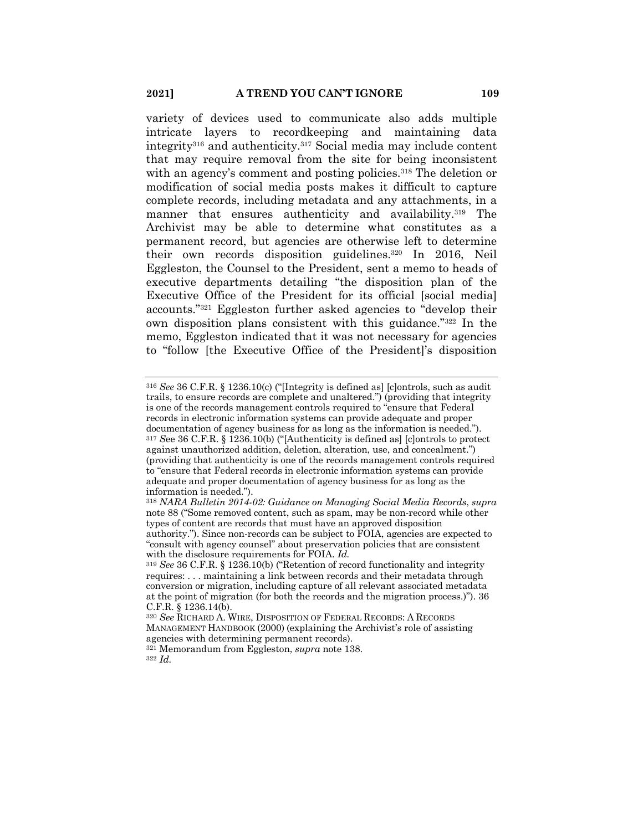variety of devices used to communicate also adds multiple intricate layers to recordkeeping and maintaining data integrity316 and authenticity.317 Social media may include content that may require removal from the site for being inconsistent with an agency's comment and posting policies.<sup>318</sup> The deletion or modification of social media posts makes it difficult to capture complete records, including metadata and any attachments, in a manner that ensures authenticity and availability.<sup>319</sup> The Archivist may be able to determine what constitutes as a permanent record, but agencies are otherwise left to determine their own records disposition guidelines.320 In 2016, Neil Eggleston, the Counsel to the President, sent a memo to heads of executive departments detailing "the disposition plan of the Executive Office of the President for its official [social medial] accounts."321 Eggleston further asked agencies to "develop their own disposition plans consistent with this guidance."322 In the memo, Eggleston indicated that it was not necessary for agencies to "follow [the Executive Office of the President]'s disposition

<sup>321</sup> Memorandum from Eggleston, *supra* note 138.

<sup>322</sup> *Id.*

<sup>316</sup> *See* 36 C.F.R. § 1236.10(c) ("[Integrity is defined as] [c]ontrols, such as audit trails, to ensure records are complete and unaltered.") (providing that integrity is one of the records management controls required to "ensure that Federal records in electronic information systems can provide adequate and proper documentation of agency business for as long as the information is needed."). <sup>317</sup> *S*ee 36 C.F.R. § 1236.10(b) ("[Authenticity is defined as] [c]ontrols to protect against unauthorized addition, deletion, alteration, use, and concealment.") (providing that authenticity is one of the records management controls required to "ensure that Federal records in electronic information systems can provide adequate and proper documentation of agency business for as long as the information is needed.").

<sup>318</sup> *NARA Bulletin 2014-02: Guidance on Managing Social Media Records*, *supra* note 88 ("Some removed content, such as spam, may be non-record while other types of content are records that must have an approved disposition authority."). Since non-records can be subject to FOIA, agencies are expected to "consult with agency counsel" about preservation policies that are consistent with the disclosure requirements for FOIA. *Id.*

<sup>319</sup> *See* 36 C.F.R. § 1236.10(b) ("Retention of record functionality and integrity requires: . . . maintaining a link between records and their metadata through conversion or migration, including capture of all relevant associated metadata at the point of migration (for both the records and the migration process.)"). 36 C.F.R. § 1236.14(b).

<sup>320</sup> *See* RICHARD A. WIRE, DISPOSITION OF FEDERAL RECORDS: A RECORDS MANAGEMENT HANDBOOK (2000) (explaining the Archivist's role of assisting agencies with determining permanent records).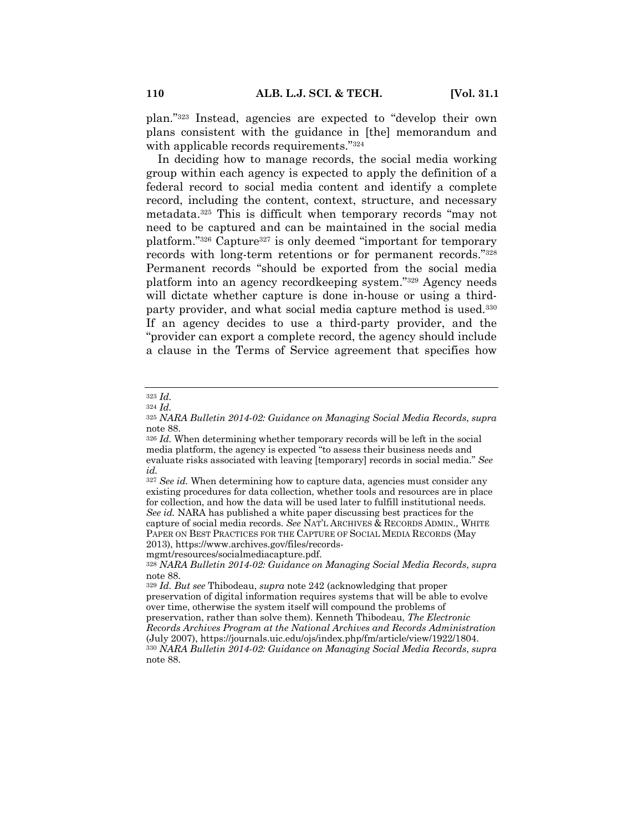plan."323 Instead, agencies are expected to "develop their own plans consistent with the guidance in [the] memorandum and with applicable records requirements."324

In deciding how to manage records, the social media working group within each agency is expected to apply the definition of a federal record to social media content and identify a complete record, including the content, context, structure, and necessary metadata.325 This is difficult when temporary records "may not need to be captured and can be maintained in the social media platform."326 Capture327 is only deemed "important for temporary records with long-term retentions or for permanent records."328 Permanent records "should be exported from the social media platform into an agency recordkeeping system."329 Agency needs will dictate whether capture is done in-house or using a thirdparty provider, and what social media capture method is used.330 If an agency decides to use a third-party provider, and the "provider can export a complete record, the agency should include a clause in the Terms of Service agreement that specifies how

<sup>327</sup> *See id.* When determining how to capture data, agencies must consider any existing procedures for data collection, whether tools and resources are in place for collection, and how the data will be used later to fulfill institutional needs. *See id.* NARA has published a white paper discussing best practices for the capture of social media records. *See* NAT'L ARCHIVES & RECORDS ADMIN., WHITE PAPER ON BEST PRACTICES FOR THE CAPTURE OF SOCIAL MEDIA RECORDS (May 2013), https://www.archives.gov/files/records-

mgmt/resources/socialmediacapture.pdf.

<sup>323</sup> *Id.*

<sup>324</sup> *Id.*

<sup>325</sup> *NARA Bulletin 2014-02: Guidance on Managing Social Media Records*, *supra* note 88.

<sup>326</sup> *Id.* When determining whether temporary records will be left in the social media platform, the agency is expected "to assess their business needs and evaluate risks associated with leaving [temporary] records in social media." *See id.*

<sup>328</sup> *NARA Bulletin 2014-02: Guidance on Managing Social Media Records*, *supra* note 88.

<sup>329</sup> *Id. But see* Thibodeau, *supra* note 242 (acknowledging that proper preservation of digital information requires systems that will be able to evolve over time, otherwise the system itself will compound the problems of preservation, rather than solve them). Kenneth Thibodeau, *The Electronic Records Archives Program at the National Archives and Records Administration* (July 2007), https://journals.uic.edu/ojs/index.php/fm/article/view/1922/1804. <sup>330</sup> *NARA Bulletin 2014-02: Guidance on Managing Social Media Records*, *supra* note 88.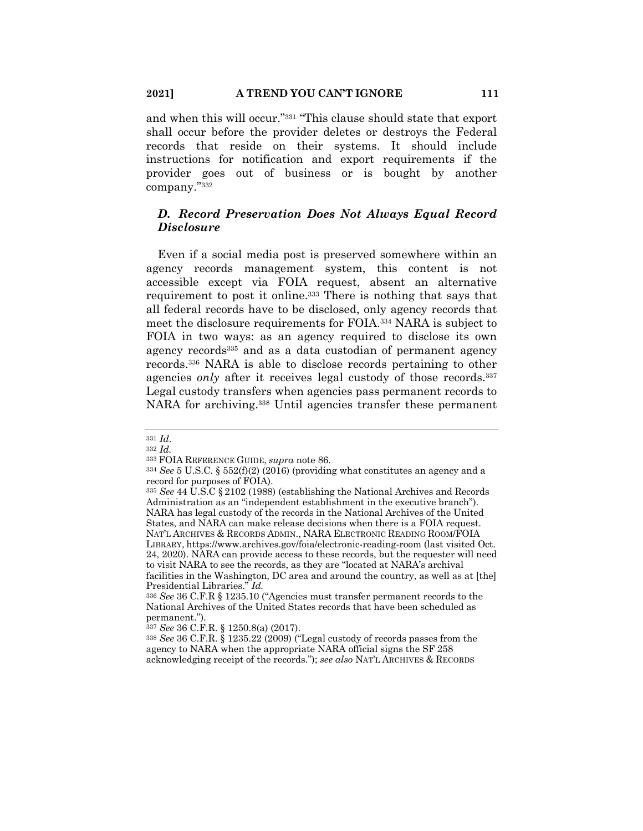and when this will occur."331 "This clause should state that export shall occur before the provider deletes or destroys the Federal records that reside on their systems. It should include instructions for notification and export requirements if the provider goes out of business or is bought by another company."332

# *D. Record Preservation Does Not Always Equal Record Disclosure*

Even if a social media post is preserved somewhere within an agency records management system, this content is not accessible except via FOIA request, absent an alternative requirement to post it online.<sup>333</sup> There is nothing that says that all federal records have to be disclosed, only agency records that meet the disclosure requirements for FOIA.334 NARA is subject to FOIA in two ways: as an agency required to disclose its own agency records<sup>335</sup> and as a data custodian of permanent agency records.336 NARA is able to disclose records pertaining to other agencies *only* after it receives legal custody of those records.<sup>337</sup> Legal custody transfers when agencies pass permanent records to NARA for archiving.<sup>338</sup> Until agencies transfer these permanent

<sup>331</sup> *Id*.

<sup>332</sup> *Id.*

<sup>333</sup> FOIA REFERENCE GUIDE, *supra* note 86.

<sup>334</sup> *See* 5 U.S.C. § 552(f)(2) (2016) (providing what constitutes an agency and a record for purposes of FOIA).

<sup>335</sup> *See* 44 U.S.C § 2102 (1988) (establishing the National Archives and Records Administration as an "independent establishment in the executive branch"). NARA has legal custody of the records in the National Archives of the United States, and NARA can make release decisions when there is a FOIA request. NAT'L ARCHIVES & RECORDS ADMIN., NARA ELECTRONIC READING ROOM/FOIA LIBRARY, https://www.archives.gov/foia/electronic-reading-room (last visited Oct.

<sup>24, 2020).</sup> NARA can provide access to these records, but the requester will need to visit NARA to see the records, as they are "located at NARA's archival facilities in the Washington, DC area and around the country, as well as at [the]

Presidential Libraries." *Id.* <sup>336</sup> *See* 36 C.F.R § 1235.10 ("Agencies must transfer permanent records to the National Archives of the United States records that have been scheduled as permanent.").

<sup>337</sup> *See* 36 C.F.R. § 1250.8(a) (2017).

<sup>338</sup> *See* 36 C.F.R. § 1235.22 (2009) ("Legal custody of records passes from the agency to NARA when the appropriate NARA official signs the SF 258 acknowledging receipt of the records."); *see also* NAT'L ARCHIVES & RECORDS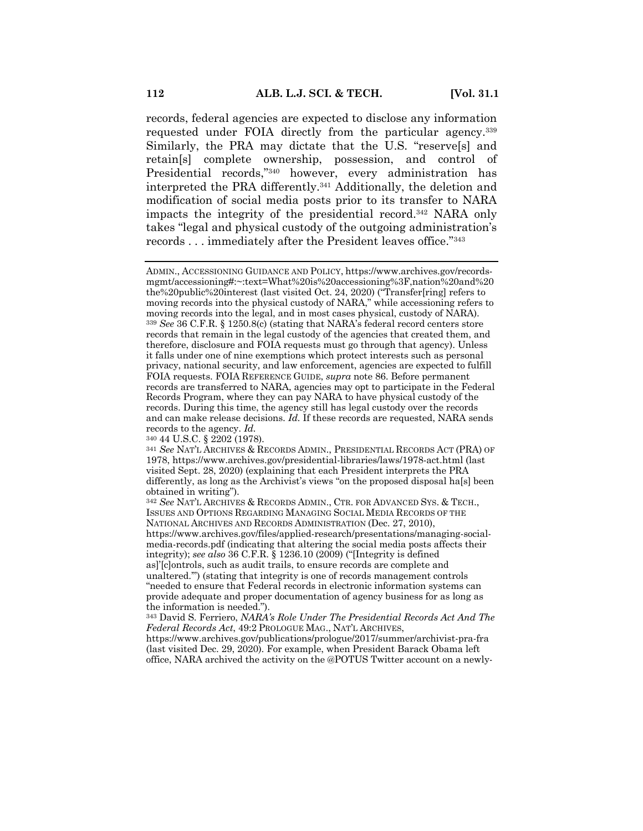records, federal agencies are expected to disclose any information requested under FOIA directly from the particular agency.339 Similarly, the PRA may dictate that the U.S. "reserve[s] and retain[s] complete ownership, possession, and control of Presidential records,"340 however, every administration has interpreted the PRA differently.341 Additionally, the deletion and modification of social media posts prior to its transfer to NARA impacts the integrity of the presidential record.342 NARA only takes "legal and physical custody of the outgoing administration's records . . . immediately after the President leaves office."343

<sup>340</sup> 44 U.S.C. § 2202 (1978).

ADMIN., ACCESSIONING GUIDANCE AND POLICY, https://www.archives.gov/recordsmgmt/accessioning#:~:text=What%20is%20accessioning%3F,nation%20and%20 the%20public%20interest (last visited Oct. 24, 2020) ("Transfer[ring] refers to moving records into the physical custody of NARA," while accessioning refers to moving records into the legal, and in most cases physical, custody of NARA). <sup>339</sup> *See* 36 C.F.R. § 1250.8(c) (stating that NARA's federal record centers store records that remain in the legal custody of the agencies that created them, and therefore, disclosure and FOIA requests must go through that agency). Unless it falls under one of nine exemptions which protect interests such as personal privacy, national security, and law enforcement, agencies are expected to fulfill FOIA requests. FOIA REFERENCE GUIDE, *supra* note 86. Before permanent records are transferred to NARA, agencies may opt to participate in the Federal Records Program, where they can pay NARA to have physical custody of the records. During this time, the agency still has legal custody over the records and can make release decisions. *Id.* If these records are requested, NARA sends records to the agency. *Id.*

<sup>341</sup> *See* NAT'L ARCHIVES & RECORDS ADMIN., PRESIDENTIAL RECORDS ACT (PRA) OF 1978, https://www.archives.gov/presidential-libraries/laws/1978-act.html (last visited Sept. 28, 2020) (explaining that each President interprets the PRA differently, as long as the Archivist's views "on the proposed disposal ha[s] been obtained in writing").

<sup>342</sup> *See* NAT'L ARCHIVES & RECORDS ADMIN., CTR. FOR ADVANCED SYS. & TECH., ISSUES AND OPTIONS REGARDING MANAGING SOCIAL MEDIA RECORDS OF THE NATIONAL ARCHIVES AND RECORDS ADMINISTRATION (Dec. 27, 2010), https://www.archives.gov/files/applied-research/presentations/managing-socialmedia-records.pdf (indicating that altering the social media posts affects their integrity); *see also* 36 C.F.R. § 1236.10 (2009) ("[Integrity is defined as]'[c]ontrols, such as audit trails, to ensure records are complete and unaltered.'") (stating that integrity is one of records management controls "needed to ensure that Federal records in electronic information systems can provide adequate and proper documentation of agency business for as long as the information is needed.").

<sup>343</sup> David S. Ferriero, *NARA's Role Under The Presidential Records Act And The Federal Records Act*, 49:2 PROLOGUE MAG., NAT'L ARCHIVES,

https://www.archives.gov/publications/prologue/2017/summer/archivist-pra-fra (last visited Dec. 29, 2020). For example, when President Barack Obama left office, NARA archived the activity on the @POTUS Twitter account on a newly-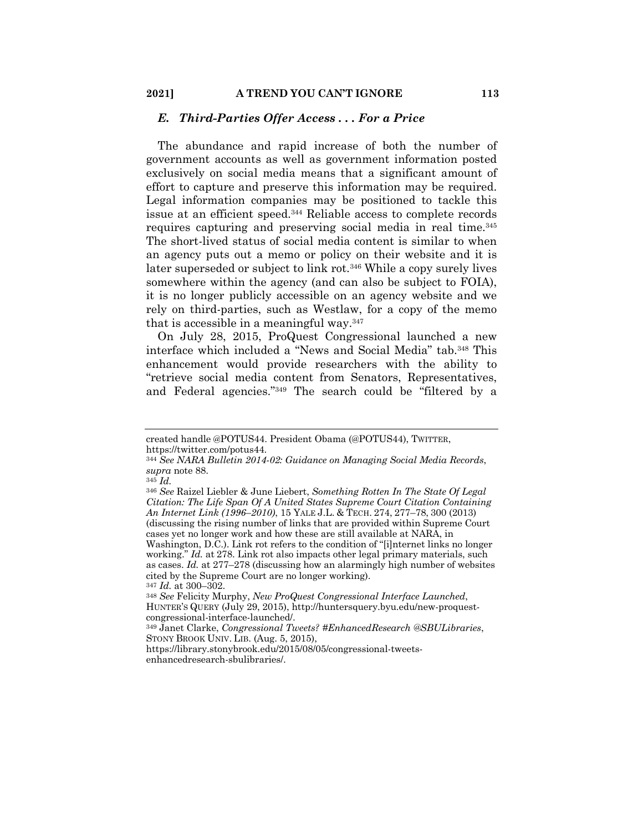## *E. Third-Parties Offer Access . . . For a Price*

The abundance and rapid increase of both the number of government accounts as well as government information posted exclusively on social media means that a significant amount of effort to capture and preserve this information may be required. Legal information companies may be positioned to tackle this issue at an efficient speed.344 Reliable access to complete records requires capturing and preserving social media in real time.345 The short-lived status of social media content is similar to when an agency puts out a memo or policy on their website and it is later superseded or subject to link rot.346 While a copy surely lives somewhere within the agency (and can also be subject to FOIA), it is no longer publicly accessible on an agency website and we rely on third-parties, such as Westlaw, for a copy of the memo that is accessible in a meaningful way.347

On July 28, 2015, ProQuest Congressional launched a new interface which included a "News and Social Media" tab.348 This enhancement would provide researchers with the ability to "retrieve social media content from Senators, Representatives, and Federal agencies."349 The search could be "filtered by a

working." *Id.* at 278. Link rot also impacts other legal primary materials, such as cases. *Id.* at 277–278 (discussing how an alarmingly high number of websites cited by the Supreme Court are no longer working).

<sup>347</sup> *Id.* at 300–302.

created handle @POTUS44. President Obama (@POTUS44), TWITTER, https://twitter.com/potus44.

<sup>344</sup> *See NARA Bulletin 2014-02: Guidance on Managing Social Media Records*, *supra* note 88.

<sup>345</sup> *Id.*

<sup>346</sup> *See* Raizel Liebler & June Liebert, *Something Rotten In The State Of Legal Citation: The Life Span Of A United States Supreme Court Citation Containing An Internet Link (1996*–*2010)*, 15 YALE J.L. & TECH. 274, 277–78, 300 (2013) (discussing the rising number of links that are provided within Supreme Court cases yet no longer work and how these are still available at NARA, in Washington, D.C.). Link rot refers to the condition of "[i]nternet links no longer

<sup>348</sup> *See* Felicity Murphy, *New ProQuest Congressional Interface Launched*, HUNTER'S QUERY (July 29, 2015), http://huntersquery.byu.edu/new-proquestcongressional-interface-launched/.

<sup>349</sup> Janet Clarke, *Congressional Tweets? #EnhancedResearch @SBULibraries*, STONY BROOK UNIV. LIB. (Aug. 5, 2015),

https://library.stonybrook.edu/2015/08/05/congressional-tweetsenhancedresearch-sbulibraries/.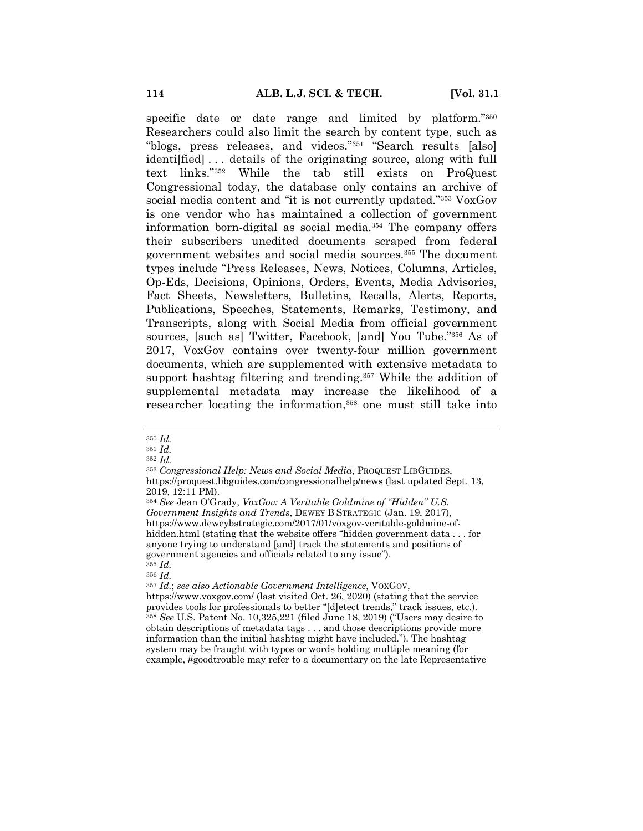specific date or date range and limited by platform."350 Researchers could also limit the search by content type, such as "blogs, press releases, and videos."351 "Search results [also] identi[fied] . . . details of the originating source, along with full text links."352 While the tab still exists on ProQuest Congressional today, the database only contains an archive of social media content and "it is not currently updated."353 VoxGov is one vendor who has maintained a collection of government information born-digital as social media.354 The company offers their subscribers unedited documents scraped from federal government websites and social media sources.355 The document types include "Press Releases, News, Notices, Columns, Articles, Op-Eds, Decisions, Opinions, Orders, Events, Media Advisories, Fact Sheets, Newsletters, Bulletins, Recalls, Alerts, Reports, Publications, Speeches, Statements, Remarks, Testimony, and Transcripts, along with Social Media from official government sources, [such as] Twitter, Facebook, [and] You Tube."356 As of 2017, VoxGov contains over twenty-four million government documents, which are supplemented with extensive metadata to support hashtag filtering and trending.<sup>357</sup> While the addition of supplemental metadata may increase the likelihood of a researcher locating the information,358 one must still take into

<sup>356</sup> *Id.*

<sup>350</sup> *Id.*

<sup>351</sup> *Id.*

<sup>352</sup> *Id.*

<sup>353</sup> *Congressional Help: News and Social Media*, PROQUEST LIBGUIDES,

https://proquest.libguides.com/congressionalhelp/news (last updated Sept. 13, 2019, 12:11 PM).

<sup>354</sup> *See* Jean O'Grady, *VoxGov: A Veritable Goldmine of "Hidden" U.S. Government Insights and Trends*, DEWEY B STRATEGIC (Jan. 19, 2017), https://www.deweybstrategic.com/2017/01/voxgov-veritable-goldmine-ofhidden.html (stating that the website offers "hidden government data . . . for anyone trying to understand [and] track the statements and positions of government agencies and officials related to any issue"). <sup>355</sup> *Id.*

<sup>357</sup> *Id.*; *see also Actionable Government Intelligence*, VOXGOV, https://www.voxgov.com/ (last visited Oct. 26, 2020) (stating that the service provides tools for professionals to better "[d]etect trends," track issues, etc.). <sup>358</sup> *See* U.S. Patent No. 10,325,221 (filed June 18, 2019) ("Users may desire to obtain descriptions of metadata tags . . . and those descriptions provide more information than the initial hashtag might have included."). The hashtag system may be fraught with typos or words holding multiple meaning (for example, #goodtrouble may refer to a documentary on the late Representative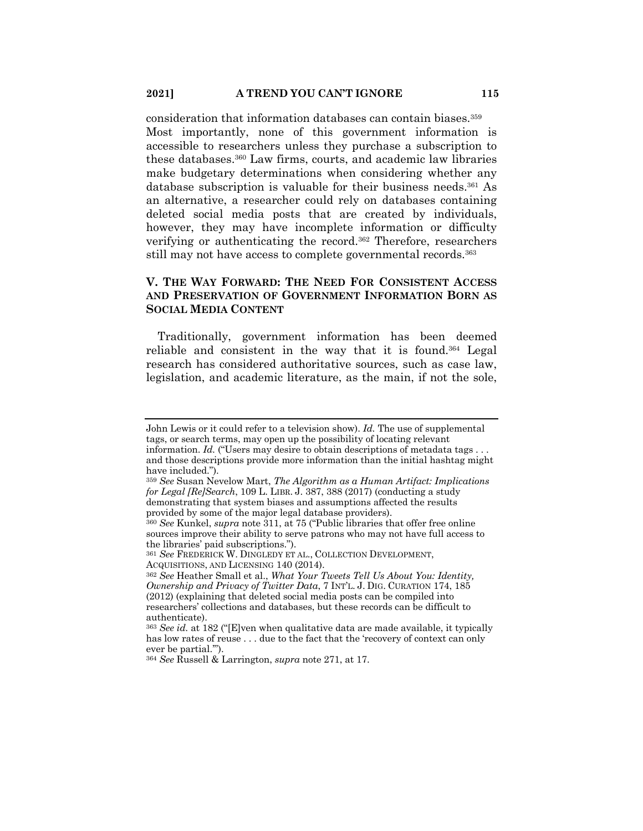consideration that information databases can contain biases.359 Most importantly, none of this government information is accessible to researchers unless they purchase a subscription to these databases.360 Law firms, courts, and academic law libraries make budgetary determinations when considering whether any database subscription is valuable for their business needs.361 As an alternative, a researcher could rely on databases containing deleted social media posts that are created by individuals, however, they may have incomplete information or difficulty verifying or authenticating the record.362 Therefore, researchers still may not have access to complete governmental records.363

# **V. THE WAY FORWARD: THE NEED FOR CONSISTENT ACCESS AND PRESERVATION OF GOVERNMENT INFORMATION BORN AS SOCIAL MEDIA CONTENT**

Traditionally, government information has been deemed reliable and consistent in the way that it is found.364 Legal research has considered authoritative sources, such as case law, legislation, and academic literature, as the main, if not the sole,

John Lewis or it could refer to a television show). *Id.* The use of supplemental tags, or search terms, may open up the possibility of locating relevant information. *Id.* ("Users may desire to obtain descriptions of metadata tags . . . and those descriptions provide more information than the initial hashtag might have included.").

<sup>359</sup> *See* Susan Nevelow Mart, *The Algorithm as a Human Artifact: Implications for Legal [Re]Search*, 109 L. LIBR. J. 387, 388 (2017) (conducting a study demonstrating that system biases and assumptions affected the results provided by some of the major legal database providers).

<sup>360</sup> *See* Kunkel, *supra* note 311, at 75 ("Public libraries that offer free online sources improve their ability to serve patrons who may not have full access to the libraries' paid subscriptions.").

<sup>361</sup> *See* FREDERICK W. DINGLEDY ET AL., COLLECTION DEVELOPMENT, ACQUISITIONS, AND LICENSING 140 (2014).

<sup>362</sup> *See* Heather Small et al., *What Your Tweets Tell Us About You: Identity, Ownership and Privacy of Twitter Data*, 7 INT'L. J. DIG. CURATION 174, 185 (2012) (explaining that deleted social media posts can be compiled into researchers' collections and databases, but these records can be difficult to authenticate).

<sup>363</sup> *See id.* at 182 ("[E]ven when qualitative data are made available, it typically has low rates of reuse . . . due to the fact that the 'recovery of context can only ever be partial.'").

<sup>364</sup> *See* Russell & Larrington, *supra* note 271, at 17.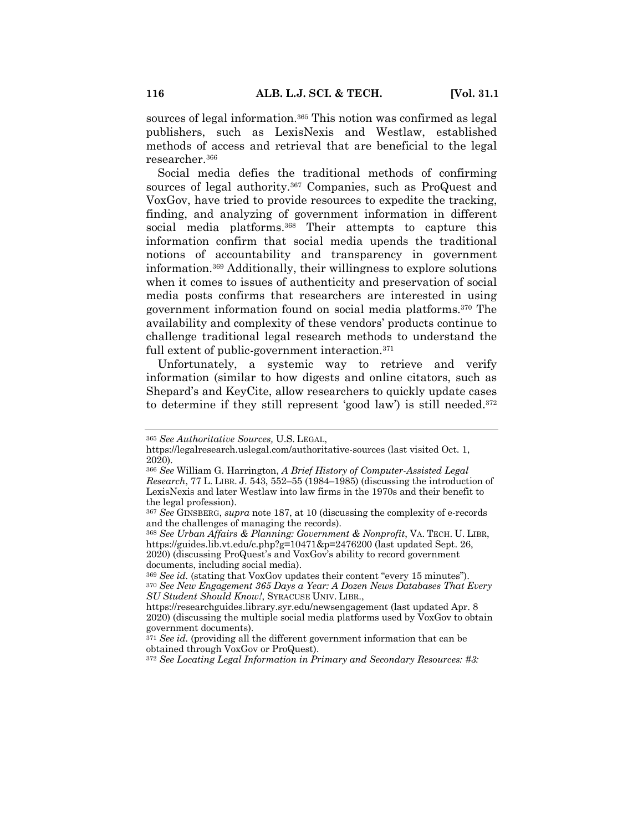sources of legal information.365 This notion was confirmed as legal publishers, such as LexisNexis and Westlaw, established methods of access and retrieval that are beneficial to the legal researcher.366

Social media defies the traditional methods of confirming sources of legal authority.<sup>367</sup> Companies, such as ProQuest and VoxGov, have tried to provide resources to expedite the tracking, finding, and analyzing of government information in different social media platforms.<sup>368</sup> Their attempts to capture this information confirm that social media upends the traditional notions of accountability and transparency in government information.369 Additionally, their willingness to explore solutions when it comes to issues of authenticity and preservation of social media posts confirms that researchers are interested in using government information found on social media platforms.370 The availability and complexity of these vendors' products continue to challenge traditional legal research methods to understand the full extent of public-government interaction.<sup>371</sup>

Unfortunately, a systemic way to retrieve and verify information (similar to how digests and online citators, such as Shepard's and KeyCite, allow researchers to quickly update cases to determine if they still represent 'good law') is still needed.372

<sup>372</sup> *See Locating Legal Information in Primary and Secondary Resources: #3:* 

<sup>365</sup> *See Authoritative Sources,* U.S. LEGAL,

https://legalresearch.uslegal.com/authoritative-sources (last visited Oct. 1, 2020).

<sup>366</sup> *See* William G. Harrington, *A Brief History of Computer-Assisted Legal Research*, 77 L. LIBR. J. 543, 552–55 (1984–1985) (discussing the introduction of LexisNexis and later Westlaw into law firms in the 1970s and their benefit to the legal profession).

<sup>367</sup> *See* GINSBERG, *supra* note 187, at 10 (discussing the complexity of e-records and the challenges of managing the records).

<sup>368</sup> *See Urban Affairs & Planning: Government & Nonprofit*, VA. TECH. U. LIBR, https://guides.lib.vt.edu/c.php?g=10471&p=2476200 (last updated Sept. 26, 2020) (discussing ProQuest's and VoxGov's ability to record government documents, including social media).

<sup>369</sup> *See id.* (stating that VoxGov updates their content "every 15 minutes"). <sup>370</sup> *See New Engagement 365 Days a Year: A Dozen News Databases That Every SU Student Should Know!*, SYRACUSE UNIV. LIBR.,

https://researchguides.library.syr.edu/newsengagement (last updated Apr. 8 2020) (discussing the multiple social media platforms used by VoxGov to obtain government documents).

<sup>&</sup>lt;sup>371</sup> *See id.* (providing all the different government information that can be obtained through VoxGov or ProQuest).